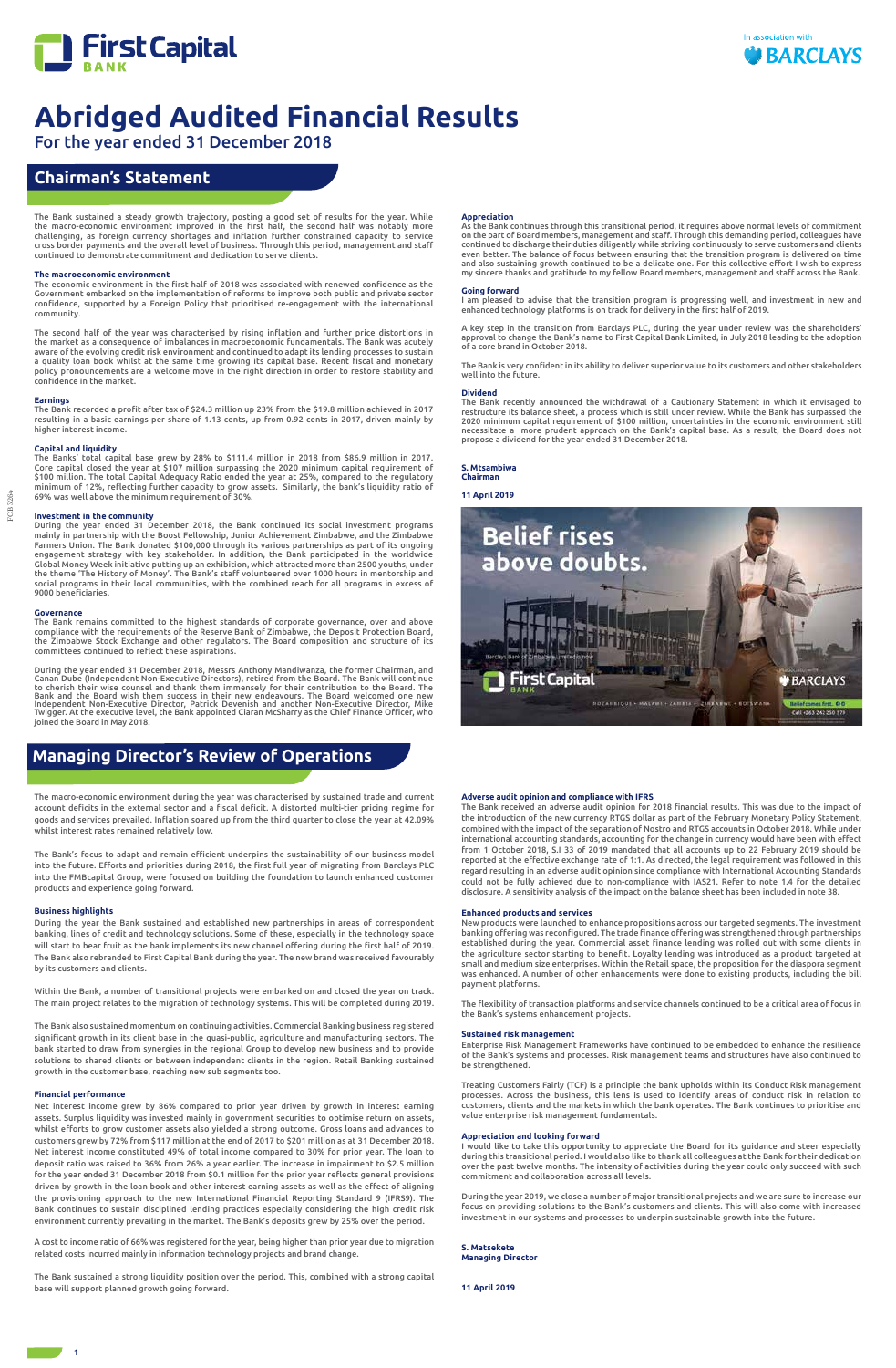

For the year ended 31 December 2018

FCB 3264

FCB 3264

1

# **Chairman's Statement**

The macro-economic environment during the year was characterised by sustained trade and current account deficits in the external sector and a fiscal deficit. A distorted multi-tier pricing regime for goods and services prevailed. Inflation soared up from the third quarter to close the year at 42.09% whilst interest rates remained relatively low.

The Bank's focus to adapt and remain efficient underpins the sustainability of our business model into the future. Efforts and priorities during 2018, the first full year of migrating from Barclays PLC into the FMBcapital Group, were focused on building the foundation to launch enhanced customer products and experience going forward.

#### **Business highlights**

During the year the Bank sustained and established new partnerships in areas of correspondent banking, lines of credit and technology solutions. Some of these, especially in the technology space will start to bear fruit as the bank implements its new channel offering during the first half of 2019. The Bank also rebranded to First Capital Bank during the year. The new brand was received favourably by its customers and clients.

Within the Bank, a number of transitional projects were embarked on and closed the year on track. The main project relates to the migration of technology systems. This will be completed during 2019.

The Bank also sustained momentum on continuing activities. Commercial Banking business registered significant growth in its client base in the quasi-public, agriculture and manufacturing sectors. The bank started to draw from synergies in the regional Group to develop new business and to provide solutions to shared clients or between independent clients in the region. Retail Banking sustained growth in the customer base, reaching new sub segments too.

#### **Financial performance**

Net interest income grew by 86% compared to prior year driven by growth in interest earning assets. Surplus liquidity was invested mainly in government securities to optimise return on assets, whilst efforts to grow customer assets also yielded a strong outcome. Gross loans and advances to customers grew by 72% from \$117 million at the end of 2017 to \$201 million as at 31 December 2018. Net interest income constituted 49% of total income compared to 30% for prior year. The loan to deposit ratio was raised to 36% from 26% a year earlier. The increase in impairment to \$2.5 million for the year ended 31 December 2018 from \$0.1 million for the prior year reflects general provisions driven by growth in the loan book and other interest earning assets as well as the effect of aligning the provisioning approach to the new International Financial Reporting Standard 9 (IFRS9). The Bank continues to sustain disciplined lending practices especially considering the high credit risk environment currently prevailing in the market. The Bank's deposits grew by 25% over the period.

A cost to income ratio of 66% was registered for the year, being higher than prior year due to migration related costs incurred mainly in information technology projects and brand change.

The Bank sustained a strong liquidity position over the period. This, combined with a strong capital base will support planned growth going forward.

#### **Adverse audit opinion and compliance with IFRS**

The Bank received an adverse audit opinion for 2018 financial results. This was due to the impact of the introduction of the new currency RTGS dollar as part of the February Monetary Policy Statement, combined with the impact of the separation of Nostro and RTGS accounts in October 2018. While under international accounting standards, accounting for the change in currency would have been with effect from 1 October 2018, S.I 33 of 2019 mandated that all accounts up to 22 February 2019 should be reported at the effective exchange rate of 1:1. As directed, the legal requirement was followed in this regard resulting in an adverse audit opinion since compliance with International Accounting Standards could not be fully achieved due to non-compliance with IAS21. Refer to note 1.4 for the detailed disclosure. A sensitivity analysis of the impact on the balance sheet has been included in note 38.

#### **Enhanced products and services**

New products were launched to enhance propositions across our targeted segments. The investment banking offering was reconfigured. The trade finance offering was strengthened through partnerships established during the year. Commercial asset finance lending was rolled out with some clients in the agriculture sector starting to benefit. Loyalty lending was introduced as a product targeted at small and medium size enterprises. Within the Retail space, the proposition for the diaspora segment was enhanced. A number of other enhancements were done to existing products, including the bill payment platforms.

The flexibility of transaction platforms and service channels continued to be a critical area of focus in the Bank's systems enhancement projects.

During the year ended 31 December 2018, Messrs Anthony Mandiwanza, the former Chairman, and<br>Canan Dube (Independent Non-Executive Directors), retired from the Board. The Bank will continue<br>to cherish their wise counsel and Bank and the Board wish them success in their new endeavours. The Board welcomed one new<br>Independent Non-Executive Director, Patrick Devenish and another Non-Executive Director, Mike<br>Twigger. At the executive level, the Ba joined the Board in May 2018.

#### **Sustained risk management**

Enterprise Risk Management Frameworks have continued to be embedded to enhance the resilience of the Bank's systems and processes. Risk management teams and structures have also continued to be strengthened.

Treating Customers Fairly (TCF) is a principle the bank upholds within its Conduct Risk management

processes. Across the business, this lens is used to identify areas of conduct risk in relation to customers, clients and the markets in which the bank operates. The Bank continues to prioritise and value enterprise risk management fundamentals.

#### **Appreciation and looking forward**

I would like to take this opportunity to appreciate the Board for its guidance and steer especially during this transitional period. I would also like to thank all colleagues at the Bank for their dedication over the past twelve months. The intensity of activities during the year could only succeed with such commitment and collaboration across all levels.

During the year 2019, we close a number of major transitional projects and we are sure to increase our focus on providing solutions to the Bank's customers and clients. This will also come with increased investment in our systems and processes to underpin sustainable growth into the future.

**S. Matsekete Managing Director**

**11 April 2019**

# **Managing Director's Review of Operations**

The Bank sustained a steady growth trajectory, posting a good set of results for the year. While the macro-economic environment improved in the first half, the second half was notably more challenging, as foreign currency shortages and inflation further constrained capacity to service cross border payments and the overall level of business. Through this period, management and staff continued to demonstrate commitment and dedication to serve clients.

#### **The macroeconomic environment**

The economic environment in the first half of 2018 was associated with renewed confidence as the Government embarked on the implementation of reforms to improve both public and private sector confidence, supported by a Foreign Policy that prioritised re-engagement with the international community.

The second half of the year was characterised by rising inflation and further price distortions in the market as a consequence of imbalances in macroeconomic fundamentals. The Bank was acutely aware of the evolving credit risk environment and continued to adapt its lending processes to sustain a quality loan book whilst at the same time growing its capital base. Recent fiscal and monetary policy pronouncements are a welcome move in the right direction in order to restore stability and confidence in the market.

### **Earnings**

The Bank recorded a profit after tax of \$24.3 million up 23% from the \$19.8 million achieved in 2017 resulting in a basic earnings per share of 1.13 cents, up from 0.92 cents in 2017, driven mainly by higher interest income.

### **Capital and liquidity**

The Banks' total capital base grew by 28% to \$111.4 million in 2018 from \$86.9 million in 2017. Core capital closed the year at \$107 million surpassing the 2020 minimum capital requirement of \$100 million. The total Capital Adequacy Ratio ended the year at 25%, compared to the regulatory minimum of 12%, reflecting further capacity to grow assets. Similarly, the bank's liquidity ratio of 69% was well above the minimum requirement of 30%.

### **Investment in the community**

During the year ended 31 December 2018, the Bank continued its social investment programs mainly in partnership with the Boost Fellowship, Junior Achievement Zimbabwe, and the Zimbabwe Farmers Union. The Bank donated \$100,000 through its various partnerships as part of its ongoing engagement strategy with key stakeholder. In addition, the Bank participated in the worldwide Global Money Week initiative putting up an exhibition, which attracted more than 2500 youths, under the theme 'The History of Money'. The Bank's staff volunteered over 1000 hours in mentorship and social programs in their local communities, with the combined reach for all programs in excess of 9000 beneficiaries.

### **Governance**

The Bank remains committed to the highest standards of corporate governance, over and above compliance with the requirements of the Reserve Bank of Zimbabwe, the Deposit Protection Board, the Zimbabwe Stock Exchange and other regulators. The Board composition and structure of its committees continued to reflect these aspirations.

#### **Appreciation**

As the Bank continues through this transitional period, it requires above normal levels of commitment on the part of Board members, management and staff. Through this demanding period, colleagues have continued to discharge their duties diligently while striving continuously to serve customers and clients even better. The balance of focus between ensuring that the transition program is delivered on time and also sustaining growth continued to be a delicate one. For this collective effort I wish to express my sincere thanks and gratitude to my fellow Board members, management and staff across the Bank.

#### **Going forward**

I am pleased to advise that the transition program is progressing well, and investment in new and enhanced technology platforms is on track for delivery in the first half of 2019.

A key step in the transition from Barclays PLC, during the year under review was the shareholders' approval to change the Bank's name to First Capital Bank Limited, in July 2018 leading to the adoption of a core brand in October 2018.

The Bank is very confident in its ability to deliver superior value to its customers and other stakeholders well into the future.

#### **Dividend**

The Bank recently announced the withdrawal of a Cautionary Statement in which it envisaged to restructure its balance sheet, a process which is still under review. While the Bank has surpassed the 2020 minimum capital requirement of \$100 million, uncertainties in the economic environment still necessitate a more prudent approach on the Bank's capital base. As a result, the Board does not propose a dividend for the year ended 31 December 2018.

#### **S. Mtsambiwa**

**Chairman**

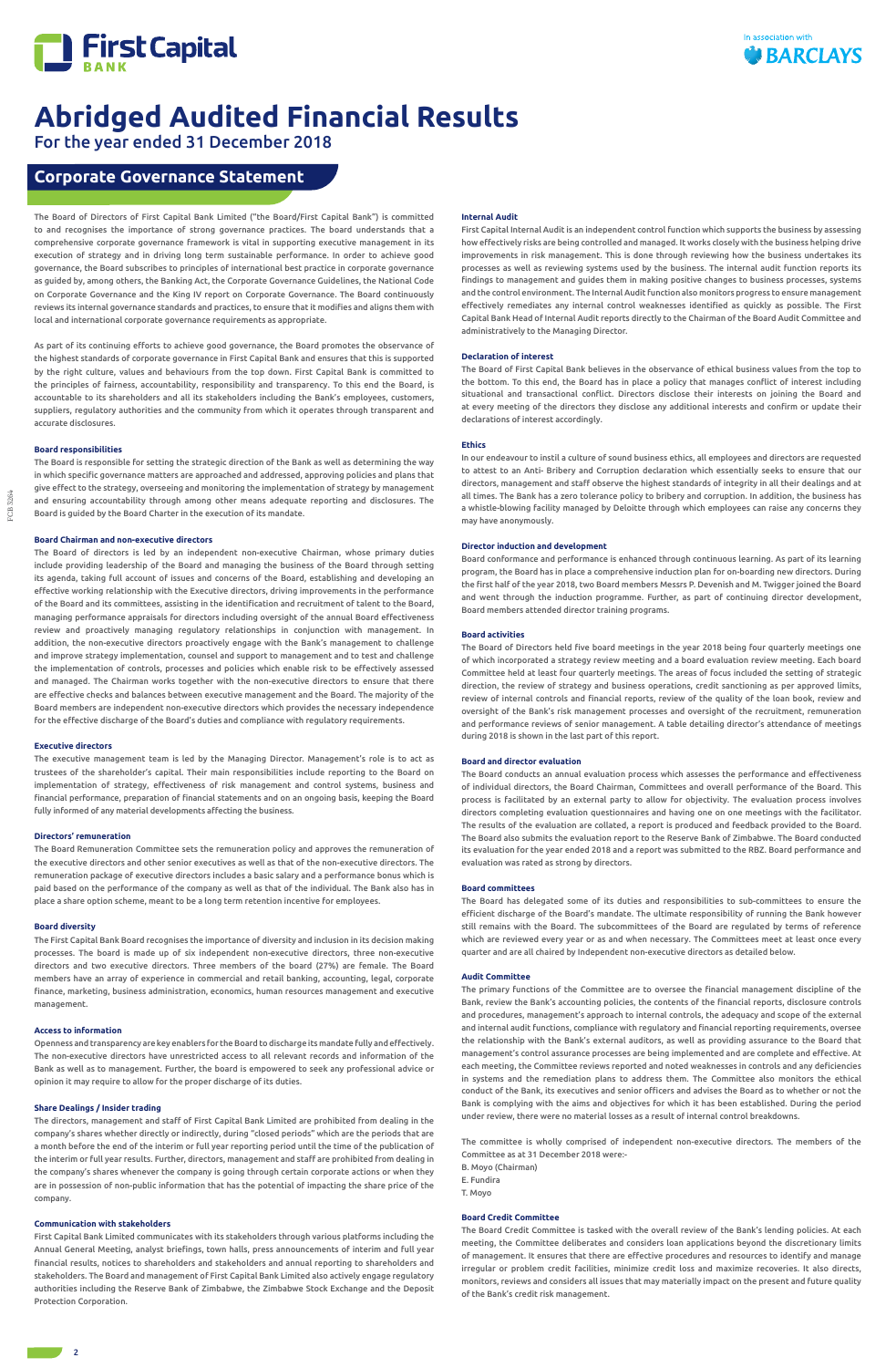

For the year ended 31 December 2018

# **Corporate Governance Statement**

The Board of Directors of First Capital Bank Limited ("the Board/First Capital Bank") is committed to and recognises the importance of strong governance practices. The board understands that a comprehensive corporate governance framework is vital in supporting executive management in its execution of strategy and in driving long term sustainable performance. In order to achieve good governance, the Board subscribes to principles of international best practice in corporate governance as guided by, among others, the Banking Act, the Corporate Governance Guidelines, the National Code on Corporate Governance and the King IV report on Corporate Governance. The Board continuously reviews its internal governance standards and practices, to ensure that it modifies and aligns them with local and international corporate governance requirements as appropriate.

As part of its continuing efforts to achieve good governance, the Board promotes the observance of the highest standards of corporate governance in First Capital Bank and ensures that this is supported by the right culture, values and behaviours from the top down. First Capital Bank is committed to the principles of fairness, accountability, responsibility and transparency. To this end the Board, is accountable to its shareholders and all its stakeholders including the Bank's employees, customers, suppliers, regulatory authorities and the community from which it operates through transparent and accurate disclosures.

### **Board responsibilities**

The Board is responsible for setting the strategic direction of the Bank as well as determining the way in which specific governance matters are approached and addressed, approving policies and plans that give effect to the strategy, overseeing and monitoring the implementation of strategy by management and ensuring accountability through among other means adequate reporting and disclosures. The Board is guided by the Board Charter in the execution of its mandate.

### **Board Chairman and non-executive directors**

The Board of directors is led by an independent non-executive Chairman, whose primary duties include providing leadership of the Board and managing the business of the Board through setting its agenda, taking full account of issues and concerns of the Board, establishing and developing an effective working relationship with the Executive directors, driving improvements in the performance of the Board and its committees, assisting in the identification and recruitment of talent to the Board, managing performance appraisals for directors including oversight of the annual Board effectiveness review and proactively managing regulatory relationships in conjunction with management. In addition, the non-executive directors proactively engage with the Bank's management to challenge and improve strategy implementation, counsel and support to management and to test and challenge the implementation of controls, processes and policies which enable risk to be effectively assessed and managed. The Chairman works together with the non-executive directors to ensure that there are effective checks and balances between executive management and the Board. The majority of the Board members are independent non-executive directors which provides the necessary independence for the effective discharge of the Board's duties and compliance with regulatory requirements.

#### **Executive directors**

The executive management team is led by the Managing Director. Management's role is to act as trustees of the shareholder's capital. Their main responsibilities include reporting to the Board on implementation of strategy, effectiveness of risk management and control systems, business and financial performance, preparation of financial statements and on an ongoing basis, keeping the Board fully informed of any material developments affecting the business.

#### **Directors' remuneration**

The Board Remuneration Committee sets the remuneration policy and approves the remuneration of the executive directors and other senior executives as well as that of the non-executive directors. The remuneration package of executive directors includes a basic salary and a performance bonus which is paid based on the performance of the company as well as that of the individual. The Bank also has in place a share option scheme, meant to be a long term retention incentive for employees.

### **Board diversity**

The First Capital Bank Board recognises the importance of diversity and inclusion in its decision making processes. The board is made up of six independent non-executive directors, three non-executive directors and two executive directors. Three members of the board (27%) are female. The Board members have an array of experience in commercial and retail banking, accounting, legal, corporate finance, marketing, business administration, economics, human resources management and executive management.

### **Access to information**

Openness and transparency are key enablers for the Board to discharge its mandate fully and effectively. The non-executive directors have unrestricted access to all relevant records and information of the Bank as well as to management. Further, the board is empowered to seek any professional advice or opinion it may require to allow for the proper discharge of its duties.

#### **Share Dealings / Insider trading**

The directors, management and staff of First Capital Bank Limited are prohibited from dealing in the company's shares whether directly or indirectly, during "closed periods" which are the periods that are a month before the end of the interim or full year reporting period until the time of the publication of the interim or full year results. Further, directors, management and staff are prohibited from dealing in the company's shares whenever the company is going through certain corporate actions or when they are in possession of non-public information that has the potential of impacting the share price of the company.

### **Communication with stakeholders**

First Capital Bank Limited communicates with its stakeholders through various platforms including the Annual General Meeting, analyst briefings, town halls, press announcements of interim and full year financial results, notices to shareholders and stakeholders and annual reporting to shareholders and stakeholders. The Board and management of First Capital Bank Limited also actively engage regulatory authorities including the Reserve Bank of Zimbabwe, the Zimbabwe Stock Exchange and the Deposit Protection Corporation.

### **Internal Audit**

First Capital Internal Audit is an independent control function which supports the business by assessing how effectively risks are being controlled and managed. It works closely with the business helping drive improvements in risk management. This is done through reviewing how the business undertakes its processes as well as reviewing systems used by the business. The internal audit function reports its findings to management and guides them in making positive changes to business processes, systems and the control environment. The Internal Audit function also monitors progress to ensure management effectively remediates any internal control weaknesses identified as quickly as possible. The First Capital Bank Head of Internal Audit reports directly to the Chairman of the Board Audit Committee and administratively to the Managing Director.

#### **Declaration of interest**

The Board of First Capital Bank believes in the observance of ethical business values from the top to the bottom. To this end, the Board has in place a policy that manages conflict of interest including situational and transactional conflict. Directors disclose their interests on joining the Board and at every meeting of the directors they disclose any additional interests and confirm or update their declarations of interest accordingly.

#### **Ethics**

In our endeavour to instil a culture of sound business ethics, all employees and directors are requested to attest to an Anti- Bribery and Corruption declaration which essentially seeks to ensure that our directors, management and staff observe the highest standards of integrity in all their dealings and at all times. The Bank has a zero tolerance policy to bribery and corruption. In addition, the business has a whistle-blowing facility managed by Deloitte through which employees can raise any concerns they may have anonymously.

#### **Director induction and development**

Board conformance and performance is enhanced through continuous learning. As part of its learning program, the Board has in place a comprehensive induction plan for on-boarding new directors. During the first half of the year 2018, two Board members Messrs P. Devenish and M. Twigger joined the Board and went through the induction programme. Further, as part of continuing director development, Board members attended director training programs.

#### **Board activities**

The Board of Directors held five board meetings in the year 2018 being four quarterly meetings one of which incorporated a strategy review meeting and a board evaluation review meeting. Each board Committee held at least four quarterly meetings. The areas of focus included the setting of strategic direction, the review of strategy and business operations, credit sanctioning as per approved limits, review of internal controls and financial reports, review of the quality of the loan book, review and oversight of the Bank's risk management processes and oversight of the recruitment, remuneration and performance reviews of senior management. A table detailing director's attendance of meetings during 2018 is shown in the last part of this report.

#### **Board and director evaluation**

The Board conducts an annual evaluation process which assesses the performance and effectiveness of individual directors, the Board Chairman, Committees and overall performance of the Board. This process is facilitated by an external party to allow for objectivity. The evaluation process involves directors completing evaluation questionnaires and having one on one meetings with the facilitator. The results of the evaluation are collated, a report is produced and feedback provided to the Board. The Board also submits the evaluation report to the Reserve Bank of Zimbabwe. The Board conducted its evaluation for the year ended 2018 and a report was submitted to the RBZ. Board performance and evaluation was rated as strong by directors.

#### **Board committees**

The Board has delegated some of its duties and responsibilities to sub-committees to ensure the efficient discharge of the Board's mandate. The ultimate responsibility of running the Bank however still remains with the Board. The subcommittees of the Board are regulated by terms of reference which are reviewed every year or as and when necessary. The Committees meet at least once every quarter and are all chaired by Independent non-executive directors as detailed below.

### **Audit Committee**

The primary functions of the Committee are to oversee the financial management discipline of the Bank, review the Bank's accounting policies, the contents of the financial reports, disclosure controls and procedures, management's approach to internal controls, the adequacy and scope of the external and internal audit functions, compliance with regulatory and financial reporting requirements, oversee the relationship with the Bank's external auditors, as well as providing assurance to the Board that management's control assurance processes are being implemented and are complete and effective. At each meeting, the Committee reviews reported and noted weaknesses in controls and any deficiencies in systems and the remediation plans to address them. The Committee also monitors the ethical

conduct of the Bank, its executives and senior officers and advises the Board as to whether or not the Bank is complying with the aims and objectives for which it has been established. During the period under review, there were no material losses as a result of internal control breakdowns.

The committee is wholly comprised of independent non-executive directors. The members of the Committee as at 31 December 2018 were:-

B. Moyo (Chairman)

- E. Fundira
- T. Moyo

#### **Board Credit Committee**

The Board Credit Committee is tasked with the overall review of the Bank's lending policies. At each meeting, the Committee deliberates and considers loan applications beyond the discretionary limits of management. It ensures that there are effective procedures and resources to identify and manage irregular or problem credit facilities, minimize credit loss and maximize recoveries. It also directs, monitors, reviews and considers all issues that may materially impact on the present and future quality of the Bank's credit risk management.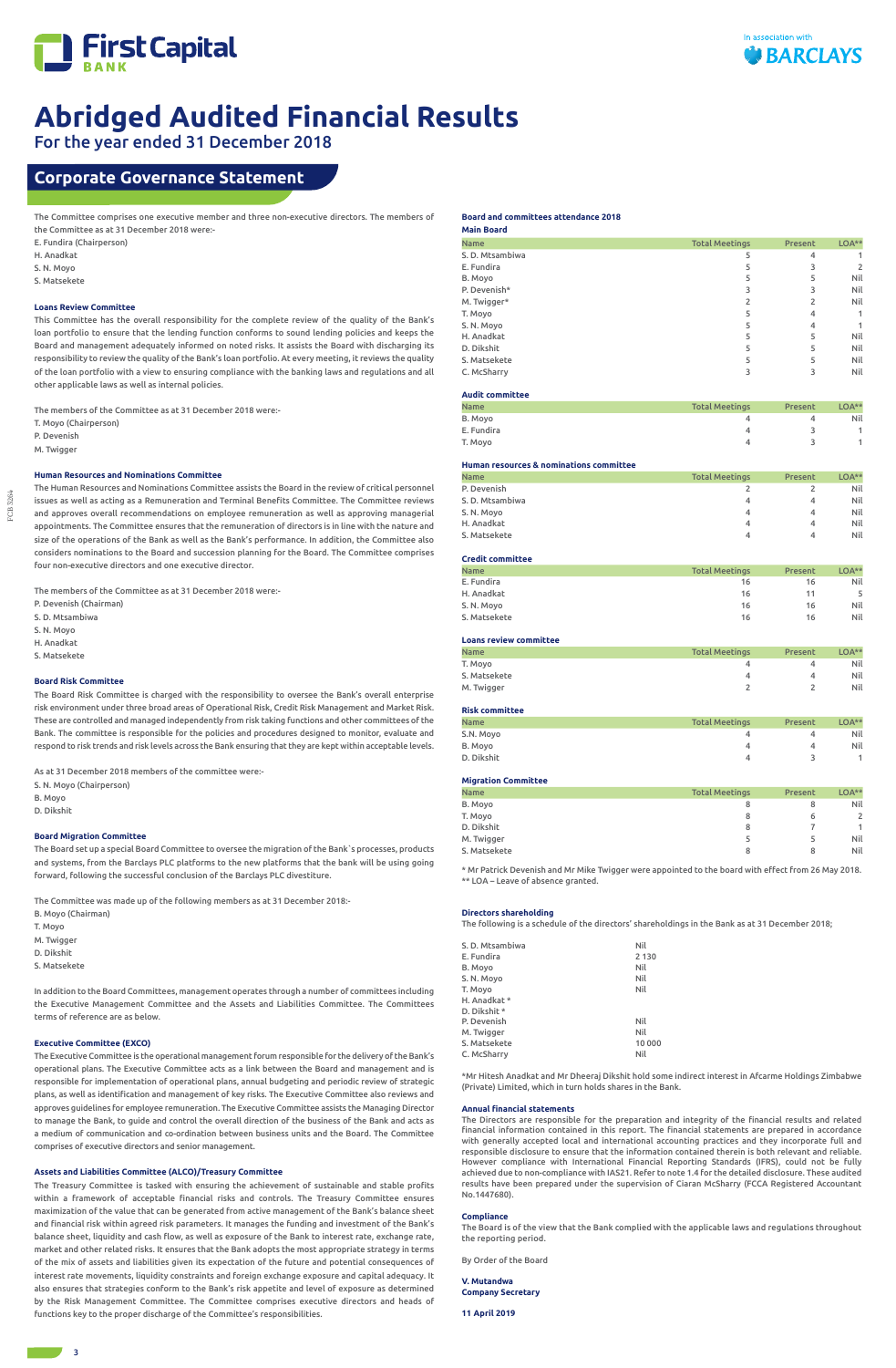

FCB 3264 FCB 3264

# For the year ended 31 December 2018

The Committee comprises one executive member and three non-executive directors. The members of the Committee as at 31 December 2018 were:-

- E. Fundira (Chairperson)
- H. Anadkat
- S. N. Moyo
- S. Matsekete

### **Loans Review Committee**

This Committee has the overall responsibility for the complete review of the quality of the Bank's loan portfolio to ensure that the lending function conforms to sound lending policies and keeps the Board and management adequately informed on noted risks. It assists the Board with discharging its responsibility to review the quality of the Bank's loan portfolio. At every meeting, it reviews the quality of the loan portfolio with a view to ensuring compliance with the banking laws and regulations and all other applicable laws as well as internal policies.

The members of the Committee as at 31 December 2018 were:-

T. Moyo (Chairperson)

P. Devenish

M. Twigger

### **Human Resources and Nominations Committee**

The Human Resources and Nominations Committee assists the Board in the review of critical personnel issues as well as acting as a Remuneration and Terminal Benefits Committee. The Committee reviews and approves overall recommendations on employee remuneration as well as approving managerial appointments. The Committee ensures that the remuneration of directors is in line with the nature and size of the operations of the Bank as well as the Bank's performance. In addition, the Committee also considers nominations to the Board and succession planning for the Board. The Committee comprises four non-executive directors and one executive director.

The members of the Committee as at 31 December 2018 were:-

- P. Devenish (Chairman)
- S. D. Mtsambiwa
- S. N. Moyo
- H. Anadkat
- S. Matsekete

### **Board Risk Committee**

The Board Risk Committee is charged with the responsibility to oversee the Bank's overall enterprise risk environment under three broad areas of Operational Risk, Credit Risk Management and Market Risk. These are controlled and managed independently from risk taking functions and other committees of the Bank. The committee is responsible for the policies and procedures designed to monitor, evaluate and respond to risk trends and risk levels across the Bank ensuring that they are kept within acceptable levels.

As at 31 December 2018 members of the committee were:-

- S. N. Moyo (Chairperson)
- B. Moyo
- D. Dikshit

### **Board Migration Committee**

The Board set up a special Board Committee to oversee the migration of the Bank`s processes, products and systems, from the Barclays PLC platforms to the new platforms that the bank will be using going forward, following the successful conclusion of the Barclays PLC divestiture.

The Committee was made up of the following members as at 31 December 2018:-

- B. Moyo (Chairman)
- T. Moyo
- M. Twigger
- D. Dikshit
- S. Matsekete

In addition to the Board Committees, management operates through a number of committees including the Executive Management Committee and the Assets and Liabilities Committee. The Committees terms of reference are as below.

#### **Executive Committee (EXCO)**

The Executive Committee is the operational management forum responsible for the delivery of the Bank's operational plans. The Executive Committee acts as a link between the Board and management and is responsible for implementation of operational plans, annual budgeting and periodic review of strategic

plans, as well as identification and management of key risks. The Executive Committee also reviews and approves guidelines for employee remuneration. The Executive Committee assists the Managing Director to manage the Bank, to guide and control the overall direction of the business of the Bank and acts as a medium of communication and co-ordination between business units and the Board. The Committee comprises of executive directors and senior management.

### **Assets and Liabilities Committee (ALCO)/Treasury Committee**

The Treasury Committee is tasked with ensuring the achievement of sustainable and stable profits within a framework of acceptable financial risks and controls. The Treasury Committee ensures maximization of the value that can be generated from active management of the Bank's balance sheet and financial risk within agreed risk parameters. It manages the funding and investment of the Bank's balance sheet, liquidity and cash flow, as well as exposure of the Bank to interest rate, exchange rate, market and other related risks. It ensures that the Bank adopts the most appropriate strategy in terms of the mix of assets and liabilities given its expectation of the future and potential consequences of interest rate movements, liquidity constraints and foreign exchange exposure and capital adequacy. It also ensures that strategies conform to the Bank's risk appetite and level of exposure as determined by the Risk Management Committee. The Committee comprises executive directors and heads of functions key to the proper discharge of the Committee's responsibilities.

#### **Board and committees attendance 2018**

| <b>Main Board</b> |                       |         |              |
|-------------------|-----------------------|---------|--------------|
| <b>Name</b>       | <b>Total Meetings</b> | Present | $LOA***$     |
| S. D. Mtsambiwa   | 5                     | 4       |              |
| E. Fundira        | 5                     | 3       | 2            |
| B. Moyo           | 5                     | 5       | Nil          |
| P. Devenish*      | 3                     | 3       | Nil          |
| M. Twigger*       | 2                     | 2       | Nil          |
| T. Moyo           | 5                     | 4       | $\mathbf{1}$ |
| S. N. Moyo        | 5                     | 4       | 1            |
| H. Anadkat        | 5                     | 5       | Nil          |
| D. Dikshit        | 5                     | 5       | Nil          |
| S. Matsekete      | 5                     | 5       | Nil          |
| C. McSharry       | 3                     | 3       | Nil          |
|                   |                       |         |              |

## **Audit committee**

| <b>Name</b> | <b>Total Meetings</b> | Present | $LOA***$ |
|-------------|-----------------------|---------|----------|
| B. Moyo     |                       |         | Nil      |
| E. Fundira  |                       |         |          |
| T. Moyo     |                       |         |          |

#### **Human resources & nominations committee**

| <b>Name</b>     | <b>Total Meetings</b> | Present | $LOA***$ |
|-----------------|-----------------------|---------|----------|
| P. Devenish     |                       |         | Nil      |
| S. D. Mtsambiwa | 4                     | 4       | Nil      |
| S. N. Moyo      | 4                     | 4       | Nil      |
| H. Anadkat      | 4                     | 4       | Nil      |
| S. Matsekete    | 4                     | 4       | Nil      |

### **Credit committee**

| <b>Name</b>  | <b>Total Meetings</b> | Present | $LOA***$ |
|--------------|-----------------------|---------|----------|
| E. Fundira   | 16                    | 16      | Nil      |
| H. Anadkat   | 16                    | 11      |          |
| S.N. Moyo    | 16                    | 16      | Nil      |
| S. Matsekete | 16                    | 16      | Nil      |

### **Loans review committee**

| <b>Name</b>  | <b>Total Meetings</b> | Present | LOA** |
|--------------|-----------------------|---------|-------|
| T. Moyo      |                       |         | Nil   |
| S. Matsekete |                       | Δ       | Nil   |
| M. Twigger   |                       |         | Nil   |

### **Risk committee**

| <b>Name</b> | <b>Total Meetings</b> | Present | LOA** |
|-------------|-----------------------|---------|-------|
| S.N. Moyo   | д                     |         | Nil   |
| B. Moyo     | 4                     | 4       | Nil   |
| D. Dikshit  | 4                     |         |       |
|             |                       |         |       |

### **Migration Committee**

| <b>Name</b>  | <b>Total Meetings</b> | Present | LOA**        |
|--------------|-----------------------|---------|--------------|
| B. Moyo      | 8                     | 8       | Nil          |
| T. Moyo      | 8                     | 6       | $\mathbf{2}$ |
| D. Dikshit   | 8                     |         | $\mathbf{1}$ |
| M. Twigger   |                       |         | Nil          |
| S. Matsekete | 8                     | 8       | Nil          |

\* Mr Patrick Devenish and Mr Mike Twigger were appointed to the board with effect from 26 May 2018. \*\* LOA – Leave of absence granted.

#### **Directors shareholding**

The following is a schedule of the directors' shareholdings in the Bank as at 31 December 2018;

| S. D. Mtsambiwa | Nil     |
|-----------------|---------|
| E. Fundira      | 2 1 3 0 |
| B. Moyo         | Nil     |
| S. N. Moyo      | Nil     |
| T. Moyo         | Nil     |
| H. Anadkat *    |         |
| D. Dikshit *    |         |
| P. Devenish     | Nil     |
| M. Twigger      | Nil     |
| S. Matsekete    | 10 000  |
| C. McSharry     | Nil     |

\*Mr Hitesh Anadkat and Mr Dheeraj Dikshit hold some indirect interest in Afcarme Holdings Zimbabwe (Private) Limited, which in turn holds shares in the Bank.

#### **Annual financial statements**

The Directors are responsible for the preparation and integrity of the financial results and related financial information contained in this report. The financial statements are prepared in accordance with generally accepted local and international accounting practices and they incorporate full and responsible disclosure to ensure that the information contained therein is both relevant and reliable. However compliance with International Financial Reporting Standards (IFRS), could not be fully achieved due to non-compliance with IAS21. Refer to note 1.4 for the detailed disclosure. These audited results have been prepared under the supervision of Ciaran McSharry (FCCA Registered Accountant No.1447680).

#### **Compliance**

The Board is of the view that the Bank complied with the applicable laws and regulations throughout the reporting period.

By Order of the Board

**V. Mutandwa Company Secretary**

**11 April 2019**

# **Corporate Governance Statement**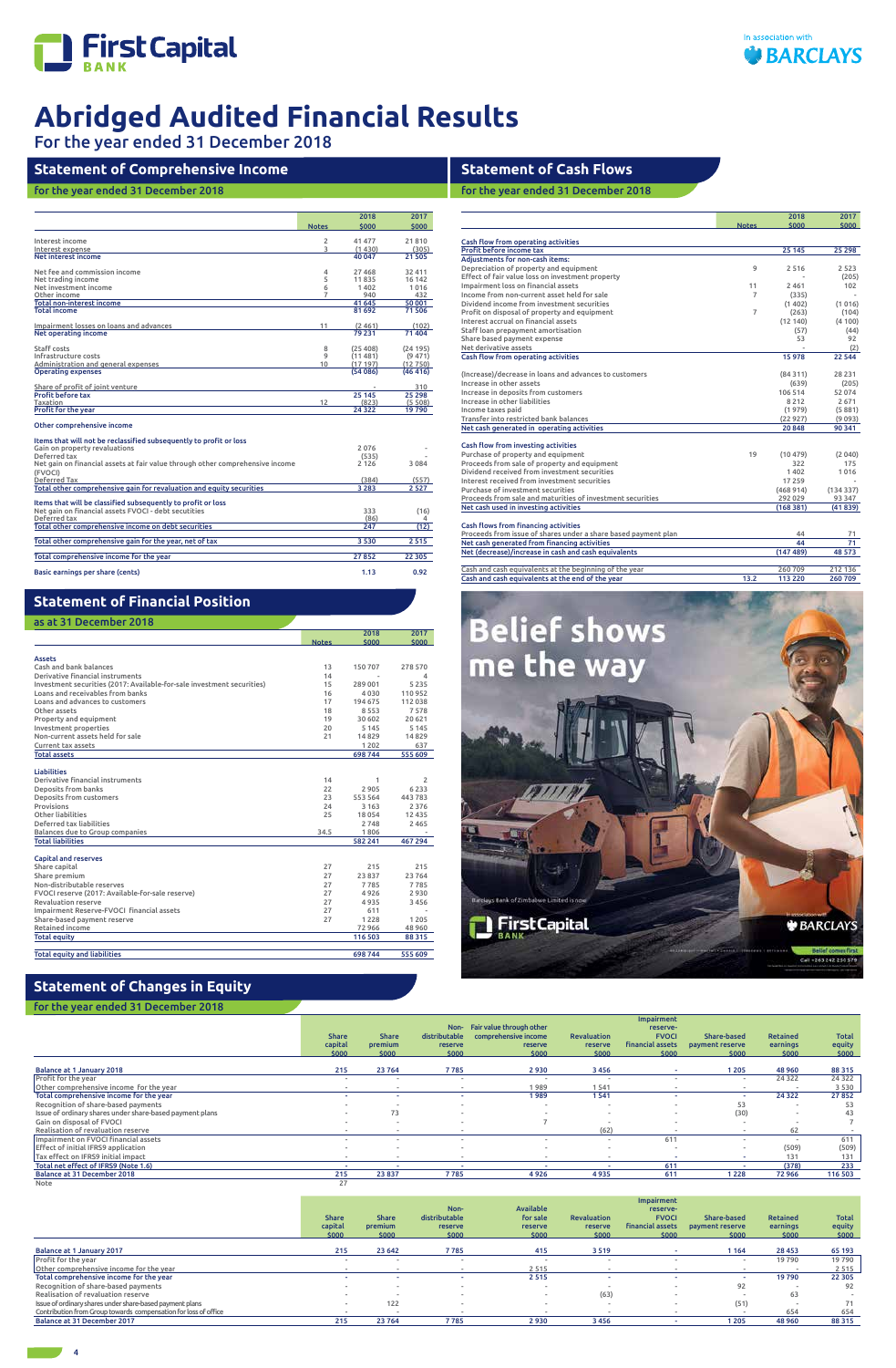

For the year ended 31 December 2018

4

# **Statement of Comprehensive Income**

# for the year ended 31 December 2018

|                                                                                          |                | 2018      | 2017      |
|------------------------------------------------------------------------------------------|----------------|-----------|-----------|
|                                                                                          | <b>Notes</b>   | \$000     | \$000     |
| Interest income                                                                          | $\overline{2}$ | 41 477    | 21810     |
| Interest expense                                                                         | 3              | (1430)    | (305)     |
| Net interest income                                                                      |                | 40 047    | 21 505    |
| Net fee and commission income                                                            | 4              | 27 4 68   | 32 411    |
| Net trading income                                                                       | 5              | 11835     | 16 142    |
| Net investment income                                                                    | 6              | 1402      | 1016      |
| Other income                                                                             | 7              | 940       | 432       |
| <b>Total non-interest income</b>                                                         |                | 41 645    | 50 001    |
| <b>Total income</b>                                                                      |                | 81 692    | 71506     |
| Impairment losses on loans and advances                                                  | 11             | (2461)    | (102)     |
| Net operating income                                                                     |                | 79 2 31   | 71 404    |
| Staff costs                                                                              | 8              | (25, 408) | (24195)   |
| Infrastructure costs                                                                     | 9              | (11481)   | (9471)    |
| Administration and general expenses                                                      | 10             | (17197)   | (12750)   |
| <b>Operating expenses</b>                                                                |                | (54086)   | (46, 416) |
| Share of profit of joint venture                                                         |                |           | 310       |
| <b>Profit before tax</b>                                                                 |                | 25 145    | 25 298    |
| Taxation                                                                                 | 12             | (823)     | (5, 508)  |
| <b>Profit for the year</b>                                                               |                | 24 3 22   | 19790     |
| Other comprehensive income                                                               |                |           |           |
| Items that will not be reclassified subsequently to profit or loss                       |                |           |           |
| Gain on property revaluations                                                            |                | 2076      |           |
| Deferred tax                                                                             |                | (535)     |           |
| Net gain on financial assets at fair value through other comprehensive income<br>(FVOCI) |                | 2 1 2 6   | 3084      |
| Deferred Tax                                                                             |                | (384)     | (557)     |
| Total other comprehensive gain for revaluation and equity securities                     |                | 3 2 8 3   | 2527      |
| Items that will be classified subsequently to profit or loss                             |                |           |           |
| Net gain on financial assets FVOCI - debt secutities                                     |                | 333       | (16)      |
| Deferred tax                                                                             |                | (86)      | 4         |
| Total other comprehensive income on debt securities                                      |                | 247       | (12)      |
| Total other comprehensive gain for the year, net of tax                                  |                | 3530      | 2515      |
| Total comprehensive income for the year                                                  |                | 27852     | 22 305    |
| Basic earnings per share (cents)                                                         |                | 1.13      | 0.92      |

# **Statement of Cash Flows**

for the year ended 31 December 2018

|                                                                |                | 2018<br>\$000 | 2017<br>\$000 |
|----------------------------------------------------------------|----------------|---------------|---------------|
|                                                                | <b>Notes</b>   |               |               |
| Cash flow from operating activities                            |                |               |               |
| Profit before income tax                                       |                | 25 145        | 25 298        |
| <b>Adiustments for non-cash items:</b>                         |                |               |               |
| Depreciation of property and equipment                         | 9              | 2516          | 2 5 2 3       |
| Effect of fair value loss on investment property               |                |               | (205)         |
| Impairment loss on financial assets                            | 11             | 2461          | 102           |
| Income from non-current asset held for sale                    | $\overline{7}$ | (335)         |               |
| Dividend income from investment securities                     |                | (1402)        | (1016)        |
| Profit on disposal of property and equipment                   | $\overline{7}$ | (263)         | (104)         |
| Interest accrual on financial assets                           |                | (12140)       | (4100)        |
| Staff loan prepayment amortisation                             |                | (57)          | (44)          |
| Share based payment expense                                    |                | 53            | 92            |
| Net derivative assets                                          |                |               | (2)           |
| Cash flow from operating activities                            |                | 15978         | 22 544        |
| (Increase)/decrease in loans and advances to customers         |                | (84311)       | 28 231        |
| Increase in other assets                                       |                | (639)         | (205)         |
| Increase in deposits from customers                            |                | 106 514       | 52 074        |
| Increase in other liabilities                                  |                | 8 2 1 2       | 2671          |
| Income taxes paid                                              |                | (1979)        | (5881)        |
| Transfer into restricted bank balances                         |                | (22927)       | (9093)        |
| Net cash generated in operating activities                     |                | 20848         | 90 341        |
| Cash flow from investing activities                            |                |               |               |
| Purchase of property and equipment                             | 19             | (10479)       | (2040)        |
| Proceeds from sale of property and equipment                   |                | 322           | 175           |
| Dividend received from investment securities                   |                | 1402          | 1016          |
| Interest received from investment securities                   |                | 17 2 5 9      |               |
| Purchase of investment securities                              |                | (468914)      | (134337)      |
| Proceeds from sale and maturities of investment securities     |                | 292 029       | 93 347        |
| Net cash used in investing activities                          |                | (168381)      | (41839)       |
| <b>Cash flows from financing activities</b>                    |                |               |               |
| Proceeds from issue of shares under a share based payment plan |                | 44            | 71            |
| Net cash generated from financing activities                   |                | 44            | 71            |
| Net (decrease)/increase in cash and cash equivalents           |                | (147489)      | 48 573        |
|                                                                |                |               |               |
| Cash and cash equivalents at the beginning of the year         |                | 260709        | 212 136       |
| Cash and cash equivalents at the end of the year               | 13.2           | 113 220       | 260 709       |
|                                                                |                |               |               |



# **Statement of Financial Position**f

as at 31 December 2018

# **Statement of Changes in Equity**

|                                                                        |              | 2018    | 2017     |
|------------------------------------------------------------------------|--------------|---------|----------|
|                                                                        | <b>Notes</b> | \$000   | \$000    |
|                                                                        |              |         |          |
| <b>Assets</b>                                                          |              |         |          |
| Cash and bank balances                                                 | 13           | 150 707 | 278 570  |
| Derivative financial instruments                                       | 14           |         | 4        |
| Investment securities (2017: Available-for-sale investment securities) | 15           | 289 001 | 5235     |
| Loans and receivables from banks                                       | 16           | 4030    | 110952   |
| Loans and advances to customers                                        | 17           | 194 675 | 112038   |
| Other assets                                                           | 18           | 8553    | 7578     |
| Property and equipment                                                 | 19           | 30 602  | 20 621   |
| Investment properties                                                  | 20           | 5 1 4 5 | 5 1 4 5  |
| Non-current assets held for sale                                       | 21           | 14829   | 14829    |
| Current tax assets                                                     |              | 1 2 0 2 | 637      |
| <b>Total assets</b>                                                    |              | 698 744 | 555 609  |
|                                                                        |              |         |          |
| <b>Liabilities</b>                                                     |              |         |          |
| Derivative financial instruments                                       | 14           | 1       | 2        |
| <b>Deposits from banks</b>                                             | 22           | 2905    | 6233     |
| Deposits from customers                                                | 23           | 553 564 | 443783   |
| Provisions                                                             | 24           | 3 1 6 3 | 2 3 7 6  |
| Other liabilities                                                      | 25           | 18054   | 12 4 3 5 |
| Deferred tax liabilities                                               |              | 2748    | 2 4 6 5  |
| Balances due to Group companies                                        | 34.5         | 1806    |          |
| <b>Total liabilities</b>                                               |              | 582 241 | 467 294  |
|                                                                        |              |         |          |
| <b>Capital and reserves</b>                                            |              |         |          |
| Share capital                                                          | 27           | 215     | 215      |
| Share premium                                                          | 27           | 23 837  | 23764    |
| Non-distributable reserves                                             | 27           | 7785    | 7785     |
| FVOCI reserve (2017: Available-for-sale reserve)                       | 27           | 4926    | 2930     |
| <b>Revaluation reserve</b>                                             | 27           | 4935    | 3456     |
| Impairment Reserve-FVOCI financial assets                              | 27           | 611     |          |
| Share-based payment reserve                                            | 27           | 1 2 2 8 | 1205     |
| Retained income                                                        |              | 72 966  | 48 9 60  |
| <b>Total equity</b>                                                    |              | 116 503 | 88 3 15  |
|                                                                        |              |         |          |
| <b>Total equity and liabilities</b>                                    |              | 698 744 | 555 609  |

|                                                          |              |                          |                          |                          |                          | Impairment              |                 |          |              |
|----------------------------------------------------------|--------------|--------------------------|--------------------------|--------------------------|--------------------------|-------------------------|-----------------|----------|--------------|
|                                                          |              |                          | Non-                     | Fair value through other |                          | reserve-                |                 |          |              |
|                                                          | <b>Share</b> | <b>Share</b>             | distributable            | comprehensive income     | Revaluation              | <b>FVOCI</b>            | Share-based     | Retained | <b>Total</b> |
|                                                          | capital      | premium                  | reserve                  | reserve                  | <b>reserve</b>           | <b>financial assets</b> | payment reserve | earnings | equity       |
|                                                          | \$000        | \$000                    | \$000                    | \$000                    | \$000                    | \$000                   | \$000           | \$000    | \$000        |
| Balance at 1 January 2018                                | 215          | 23764                    | 7785                     | 2930                     | 3456                     |                         | 1 2 0 5         | 48 9 60  | 88 315       |
| <b>Profit for the year</b>                               | $\,$         |                          | $\overline{\phantom{a}}$ | $\overline{\phantom{a}}$ |                          |                         |                 | 24 3 22  | 24 3 22      |
| Other comprehensive income for the year                  |              |                          |                          | 1989                     | 1541                     |                         |                 |          | 3 5 3 0      |
| Total comprehensive income for the year                  |              |                          |                          | 1989                     | 1541                     |                         |                 | 24 3 22  | 27852        |
| Recognition of share-based payments                      |              |                          |                          | $\overline{\phantom{a}}$ |                          |                         | 53              |          | 53           |
| Issue of ordinary shares under share-based payment plans | . .          | 73                       |                          |                          | $\overline{\phantom{a}}$ |                         | (30)            |          | 43           |
| Gain on disposal of FVOCI                                | $\sim$       | $\sim$                   |                          |                          |                          |                         |                 |          |              |
| Realisation of revaluation reserve                       |              |                          |                          |                          | (62)                     |                         |                 | 62       |              |
| Impairment on FVOCI financial assets                     | $\,$         |                          | $\overline{\phantom{a}}$ | $\sim$                   | $\overline{\phantom{a}}$ | 611                     | $\sim$          |          | 611          |
| Effect of initial IFRS9 application                      | $\sim$       | $\sim$                   |                          | $\,$                     | $\overline{\phantom{a}}$ | ۰                       |                 | (509)    | (509)        |
| Tax effect on IFRS9 initial impact                       | $\,$         | $\overline{\phantom{a}}$ |                          | $\,$                     | $\,$                     | ٠                       |                 | 131      | 131          |
| Total net effect of IFRS9 (Note 1.6)                     |              |                          |                          |                          |                          | 611                     |                 | (378)    | 233          |
| Balance at 31 December 2018                              | 215          | 23837                    | 7785                     | 4926                     | 4935                     | 611                     | 1 2 2 8         | 72966    | 116 503      |
| Note                                                     | 27           |                          |                          |                          |                          |                         |                 |          |              |

|                                                                 |              |              |                |           |                    | Impairment              |                 |          |              |
|-----------------------------------------------------------------|--------------|--------------|----------------|-----------|--------------------|-------------------------|-----------------|----------|--------------|
|                                                                 |              |              | Non-           | Available |                    | reserve-                |                 |          |              |
|                                                                 | <b>Share</b> | <b>Share</b> | distributable  | for sale  | <b>Revaluation</b> | <b>FVOCI</b>            | Share-based     | Retained | <b>Total</b> |
|                                                                 | capital      | premium      | <b>reserve</b> | reserve   | <b>reserve</b>     | <b>financial assets</b> | payment reserve | earnings | equity       |
|                                                                 | \$000        | \$000        | \$000          | \$000     | \$000              | \$000                   | \$000           | \$000    | \$000        |
|                                                                 |              |              |                |           |                    |                         |                 |          |              |
| Balance at 1 January 2017                                       | 215          | 23 642       | 7785           | 415       | 3519               |                         | 1 1 6 4         | 28 4 5 3 | 65 193       |
| <b>Profit for the year</b>                                      |              |              |                |           |                    |                         | $\,$            | 19790    | 19790        |
| Other comprehensive income for the year                         |              |              |                | 2515      |                    |                         |                 |          | 2 5 1 5      |
| Total comprehensive income for the year                         |              |              |                | 2515      |                    |                         |                 | 19790    | 22 305       |
| Recognition of share-based payments                             |              |              |                |           |                    |                         | 92              |          | 92           |
| Realisation of revaluation reserve                              |              |              |                |           | (63)               |                         |                 | 63       |              |
| Issue of ordinary shares under share-based payment plans        |              | 122          |                |           | . .                |                         | (51)            |          | 71           |
| Contribution from Group towards compensation for loss of office |              |              |                |           |                    |                         |                 | 654      | 654          |
| Balance at 31 December 2017                                     | 215          | 23764        | 7785           | 2930      | 3456               |                         | 1 2 0 5         | 48 9 60  | 88 315       |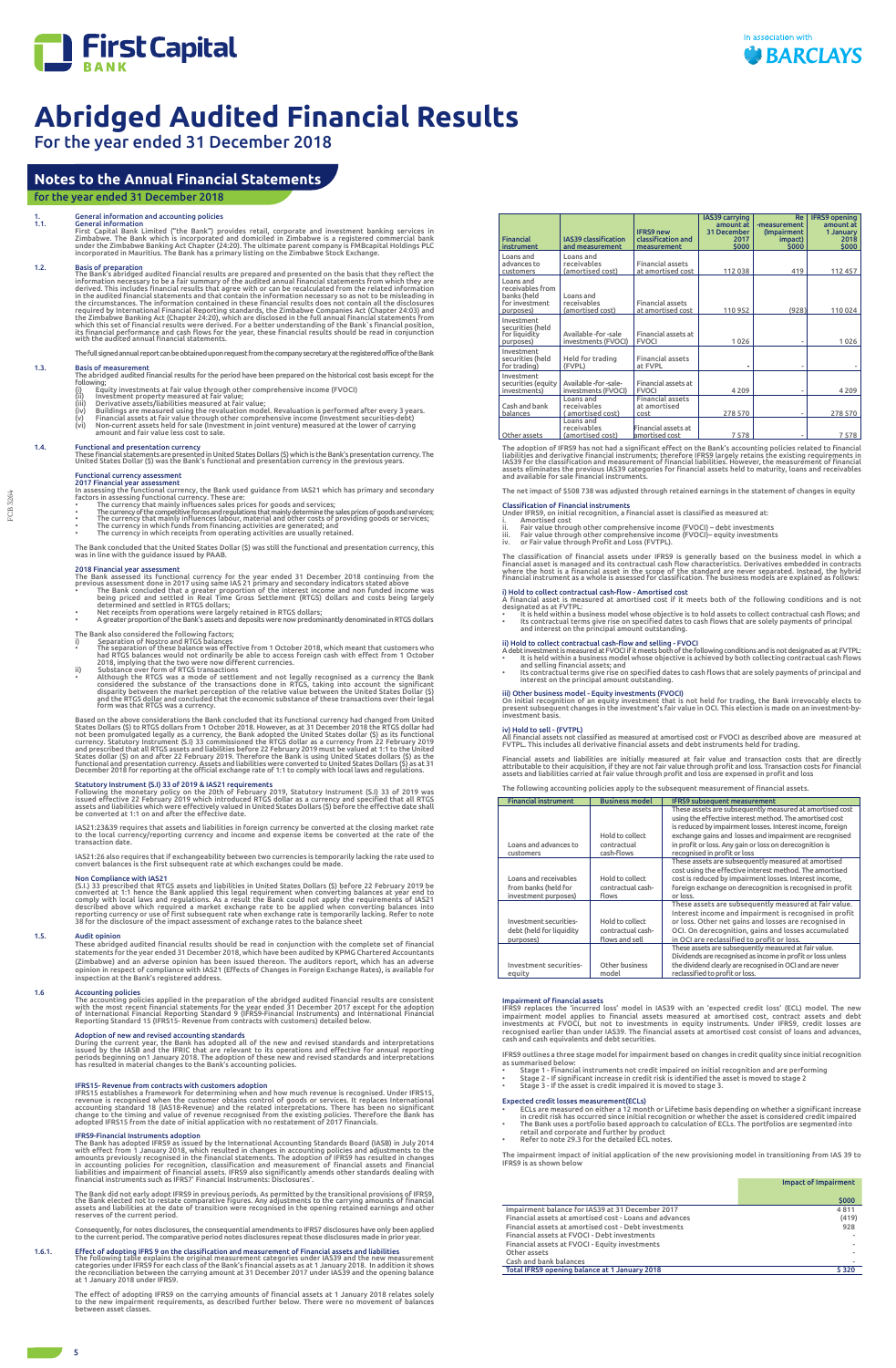

IFRS15- Revenue from contracts with customers adoption<br>IFRS15 establishes a framework for determining when and how much revenue is recognised. Under IFRS15,<br>IFRS15 establishes a framework for determining when and how much

IFRS9-Financial Instruments adoption<br>The Bank has adopted IFRS9 as issued by the International Accounting Standards Board (IASB) in July 2014<br>with effect from 1 January 2018, which resulted in changes in accounting policie

The Bank did not early adopt IFRS9 in previous periods. As permitted by the transitional provisions of IFRS9,<br>the Bank elected not to restate comparative figures. Any adjustments to the carrying amounts of financial<br>assets

For the year ended 31 December 2018

The net impact of \$508 738 was adjusted through retained earnings in the statement of changes in equity

- 
- Classification of Financial instruments<br>Under IFRS9, on initial recognition, a financial asset is classified as measured at:<br>i. Amortised cost<br>ii. Fair value through other comprehensive income (FVOCI) debt inve
- 

The classification of financial assets under IFRS9 is generally based on the business model in which a<br>financial asset is managed and its contractual cash flow characteristics. Derivatives embedded in contracts<br>where the h

i) Hold to collect contractual cash-flow - Amortised cost<br>A financial asset is measured at amortised cost if it meets both of the following conditions and is not<br>designated as at FVTPL:<br>• It is held within a business model

- 
- ii) Hold to collect contractual cash-flow and selling FVOCI<br>A debt investment is measured at FVOCI if timests both of the following conditions and is not designated as at FVTPL.<br>• It is held within a business model whose

iii) Other business model - Equity investments (FVOCI)<br>On initial recognition of an equity investment that is not held for trading, the Bank irrevocably elects to<br>present subsequent changes in the investment's fair value i

iv) Hold to sell - (FVTPL)<br>All financial assets not classified as measured at amortised cost or FVOCI as described above are measured at<br>FVTPL. This includes all derivative financial assets and debt instruments held for t

Financial assets and liabilities are initially measured at fair value and transaction costs that are directly<br>attributable to their acquisition, if they are not fair value through profit and loss. Transaction costs for fin

IFRS9 replaces the 'incurred loss' model in IAS39 with an 'expected credit loss' (ECL) model. The new<br>impairment model applies to financial assets measured at amortised cost, contract assets and debt<br>investments at FVOCI, cash and cash equivalents and debt securities.

The following accounting policies apply to the subsequent measurement of financial assets.

#### Impairment of financial assets

The abridged audited financial results for the period have been prepared on the historical cost basis except for the following;<br>(i) Equity investments at fair value through other comprehensive income (FVOCI)<br>(ii) Envestment property measured at fair value;<br>(ii) Derivative assets/liabilities measured at fair value;<br>(iv) Buildings are meas

- 
- 
- 
- 
- 

1.4. Functional and presentation currency<br>These financial statements are presented in United States Dollars (\$) which is the Bank's presentation currency. The<br>United States Dollar (\$) was the Bank's functional and presenta

- Functional currency assessment<br>2017 Financial year assessment<br>In assessing the functional currency, the Bank used guidance from IAS21 which has primary and secondary<br>factors in assessing functional currency. These are:<br>fac
- 
- 
- 

IFRS9 outlines a three stage model for impairment based on changes in credit quality since initial recognition

- as summarised below:<br>• Stage 1 Financial instruments not credit impaired on initial recognition and are performing<br>• Stage 2 If significant increase in credit risk is identified the asset is moved to stag
- 

#### Expected credit losses measurement(ECLs)

- 
- ECLs are measured on either a 12 month or Lifetime basis depending on whether a significant increase<br>in credit risk has occurred since initial recognition or whether the asset is considered credit impaired<br>The Bank uses a
- 

The impairment impact of initial application of the new provisioning model in transitioning from IAS 39 to IFRS9 is as shown below

|                                                         | <b>Impact of Impairment</b> |
|---------------------------------------------------------|-----------------------------|
|                                                         | \$000                       |
| Impairment balance for IAS39 at 31 December 2017        | 4811                        |
| Financial assets at amortised cost - Loans and advances | (419)                       |
| Financial assets at amortised cost - Debt investments   | 928                         |
| Financial assets at FVOCI - Debt investments            |                             |
| Financial assets at FVOCI - Equity investments          |                             |
| Other assets                                            |                             |
| Cash and bank balances                                  |                             |
| Total IFRS9 opening balance at 1 January 2018           | 5320                        |

# **Notes to the Annual Financial Statements**

### for the year ended 31 December 2018

1.<br>1.1. General information and accounting policies<br>1.1. General information controllers in Simon First Capital Bank<br>1.1. First Capital Bank Limited ("the Bank") provides retail, corporate and investment banking services i

1.2. Basis of preparation<br>The Bank's abridged audited financial results are prepared and presented on the basis that they reflect the<br>Information necessary to be a fair summary of the audited cannual financial statements

The full signed annual report can be obtained upon request from the company secretary at the registered office of the Bank

### 1.3. **Basis of measurement**<br>The abridged audited

1.6.1. Effect of adopting IFRS 9 on the classification and measurement of Financial assets and liabilities<br>The following table explains the original measurement categories under IAS39 and the new measurement<br>categories und at 1 January 2018 under IFRS9.

The effect of adopting IFRS9 on the carrying amounts of financial assets at 1 January 2018 relates solely<br>to the new impairment requirements, as described further below. There were no movement of balances<br>between asset cla

The Bank concluded that the United States Dollar (\$) was still the functional and presentation currency, this was in line with the guidance issued by PAAB.

- 2018 Financial year assessment<br>The Bank assessed its functional currency for the year ended 31 December 2018 continuing from the<br>previous assessment done in 2017 using same IAS 21 primary and secondary indicators stated ab
- determined and sectted in NTGS dollars;<br>In RET receipts from operations were largely retained in RTGS dollars;<br>A greater proportion of the Bank's assets and deposits were now predominantly denominated in RTGS dollars

- 
- 
- The Bank also considered the following factors;<br>
"Separation of Nostro and RTGS balances<br>
"The separation of these balance was effective from 1 October 2018, which meant that customers who<br>
had RTGS balances would not ordi

Based on the above considerations the Bank concluded that its functional currency had changed from United<br>States Dollars (\$) to RTGS dollars from 1 October 2018. However, as a t31 December 2018 the RTGS dollar had<br>not been

Statutory Instrument (S.1) 33 of 2019 & IAS21 requirements<br>Following the monetary policy on the 20th of February 2019, Statutory Instrument (S.I) 33 of 2019 was<br>issued effective 22 February 2019 which introduced RTGS dolla

IAS21:238.39 requires that assets and liabilities in foreign currency be converted at the closing market rate<br>to the local currency/reporting currency and income and expense items be converted at the rate of the<br>transactio

IAS21:26 also requires that if exchangeability between two currencies is temporarily lacking the rate used to convert balances is the first subsequent rate at which exchanges could be made.

Non Compliance with IAS21<br>(S.I.) 33 prescribed that RTGS assets and liabilities in United States Dollars (\$) before 22 February 2019 be<br>converted at 1:1 hence the Bank applied this legal requirement when converting balance

#### 1.5. Audit opinion

These abridged audited financial results should be read in conjunction with the complete set of financial statements for the year ended 31 December 2018, which have been audited by KPMG Chartered Accountants (Zimbabwe) and an adverse opinion has been issued thereon. The auditors report, which has an adverse opinion in respect of compliance with IAS21 (Effects of Changes in Foreign Exchange Rates), is available for inspection at the Bank's registered address.

#### 1.6 Accounting policies

The accounting policies applied in the preparation of the abridged audited financial results are consistent<br>with the most recent financial statements for the year ended 31 December 2017 except for the adoption<br>of Internati

### Adoption of new and revised accounting standards

During the current year, the Bank has adopted all of the new and revised standards and interpretations<br>issued by the IASB and the IFRIC that are relevant to its operations and effective for annual reporting<br>periods beginni

Consequently, for notes disclosures, the consequential amendments to IFRS7 disclosures have only been applied to the current period. The comparative period notes disclosures repeat those disclosures made in prior year.

| <b>Financial</b><br>instrument                                              | <b>IAS39 classification</b><br>and measurement | <b>IFRS9 new</b><br>classification and<br>measurement | IAS39 carrying<br>amount at<br>31 December<br>2017<br>\$000 | <b>Re</b><br>-measurement<br>(Impairment<br>impact)<br>\$000 | <b>IFRS9</b> opening<br>amount at<br>1 January<br>2018<br>\$000 |
|-----------------------------------------------------------------------------|------------------------------------------------|-------------------------------------------------------|-------------------------------------------------------------|--------------------------------------------------------------|-----------------------------------------------------------------|
| Loans and<br>advances to<br>customers                                       | Loans and<br>receivables<br>(amortised cost)   | <b>Financial assets</b><br>at amortised cost          | 112 038                                                     | 419                                                          | 112 457                                                         |
| Loans and<br>receivables from<br>banks (held<br>for investment<br>purposes) | Loans and<br>receivables<br>(amortised cost)   | <b>Financial assets</b><br>at amortised cost          | 110 952                                                     | (928)                                                        | 110 024                                                         |
| Investment<br>securities (held<br>for liquidity<br>purposes)                | Available -for -sale<br>investments (FVOCI)    | Financial assets at<br><b>FVOCI</b>                   | 1026                                                        |                                                              | 1026                                                            |
| Investment<br>securities (held<br>for trading)                              | Held for trading<br>(FVPL)                     | <b>Financial assets</b><br>at FVPL                    |                                                             |                                                              |                                                                 |
| Investment<br>securities (equity<br>investments)                            | Available -for -sale-<br>investments (FVOCI)   | Financial assets at<br><b>FVOCI</b>                   | 4 2 0 9                                                     |                                                              | 4 2 0 9                                                         |
| Cash and bank<br>balances                                                   | Loans and<br>receivables<br>amortised cost)    | <b>Financial assets</b><br>at amortised<br>cost       | 278 570                                                     |                                                              | 278 570                                                         |
| Other assets                                                                | Loans and<br>receivables<br>(amortised cost)   | Financial assets at<br>amortised cost                 | 7578                                                        |                                                              | 7578                                                            |

The adoption of IFRS9 has not had a significant effect on the Bank's accounting policies related to financial<br>liabilities and derivative financial instruments; therefore IFRS9 largely retains the existing requirements in<br>I

| <b>Financial instrument</b>                                           | <b>Business model</b>                                  | <b>IFRS9</b> subsequent measurement                                                                                                                                                                                                                                                                                                    |
|-----------------------------------------------------------------------|--------------------------------------------------------|----------------------------------------------------------------------------------------------------------------------------------------------------------------------------------------------------------------------------------------------------------------------------------------------------------------------------------------|
| Loans and advances to<br>customers                                    | Hold to collect<br>contractual<br>cash-flows           | These assets are subsequently measured at amortised cost<br>using the effective interest method. The amortised cost<br>is reduced by impairment losses. Interest income, foreign<br>exchange gains and losses and impairment are recognised<br>in profit or loss. Any gain or loss on derecognition is<br>recognised in profit or loss |
| Loans and receivables<br>from banks (held for<br>investment purposes) | Hold to collect<br>contractual cash-<br>flows          | These assets are subsequently measured at amortised<br>cost using the effective interest method. The amortised<br>cost is reduced by impairment losses. Interest income,<br>foreign exchange on derecognition is recognised in profit<br>or loss.                                                                                      |
| Investment securities-<br>debt (held for liquidity<br>purposes)       | Hold to collect<br>contractual cash-<br>flows and sell | These assets are subsequently measured at fair value.<br>Interest income and impairment is recognised in profit<br>or loss. Other net gains and losses are recognised in<br>OCI. On derecognition, gains and losses accumulated<br>in OCI are reclassified to profit or loss.                                                          |
| Investment securities-<br>eauity                                      | Other business<br>model                                | These assets are subsequently measured at fair value.<br>Dividends are recognised as income in profit or loss unless<br>the dividend clearly are recognised in OCI and are never<br>reclassified to profit or loss.                                                                                                                    |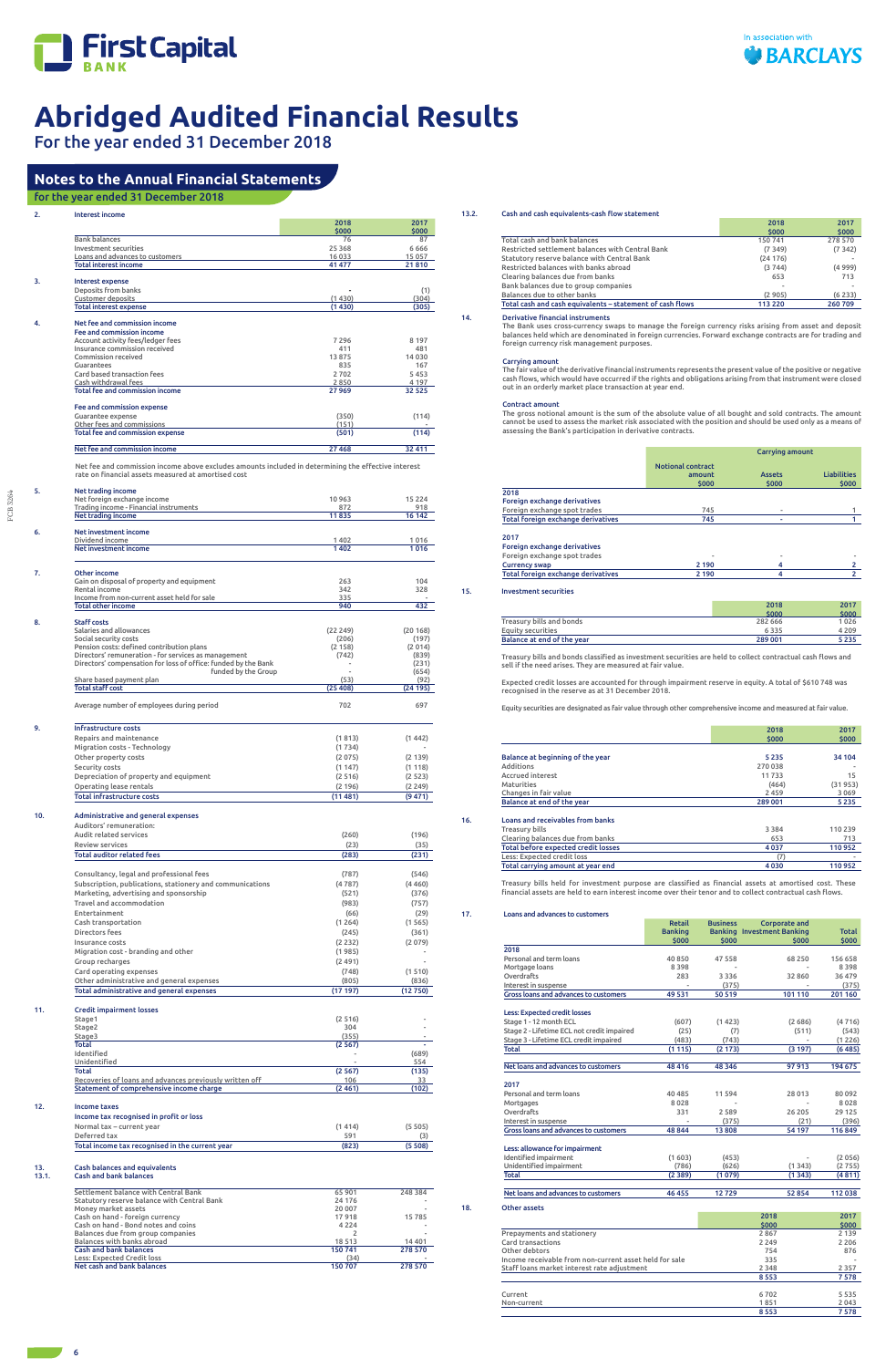

For the year ended 31 December 2018

FCB 3264

FCB 3264

| 2.  | <b>Interest income</b>                                                                                                                                     |                       |                  |
|-----|------------------------------------------------------------------------------------------------------------------------------------------------------------|-----------------------|------------------|
|     |                                                                                                                                                            | 2018<br>\$000         | 2017<br>\$000    |
|     | <b>Bank balances</b><br>Investment securities                                                                                                              | 76<br>25 3 68         | 87<br>6666       |
|     | Loans and advances to customers                                                                                                                            | 16 033                | 15 057           |
|     | <b>Total interest income</b>                                                                                                                               | 41 477                | 21810            |
| 3.  | Interest expense                                                                                                                                           |                       |                  |
|     | Deposits from banks<br><b>Customer deposits</b>                                                                                                            | (1430)                | (1)<br>(304)     |
|     | <b>Total interest expense</b>                                                                                                                              | (1430)                | (305)            |
| 4.  | Net fee and commission income                                                                                                                              |                       |                  |
|     | Fee and commission income                                                                                                                                  |                       |                  |
|     | Account activity fees/ledger fees<br>Insurance commission received                                                                                         | 7 2 9 6<br>411        | 8 1 9 7<br>481   |
|     | Commission received                                                                                                                                        | 13875                 | 14 030           |
|     | Guarantees<br>Card based transaction fees                                                                                                                  | 835<br>2702           | 167<br>5453      |
|     | Cash withdrawal fees                                                                                                                                       | 2850                  | 4 197            |
|     | <b>Total fee and commission income</b>                                                                                                                     | 27969                 | 32 525           |
|     | Fee and commission expense                                                                                                                                 |                       |                  |
|     | Guarantee expense<br>Other fees and commissions                                                                                                            | (350)<br>(151)        | (114)            |
|     | Total fee and commission expense                                                                                                                           | (501)                 | (114)            |
|     | Net fee and commission income                                                                                                                              | 27 4 68               | 32 411           |
|     |                                                                                                                                                            |                       |                  |
|     | Net fee and commission income above excludes amounts included in determining the effective interest<br>rate on financial assets measured at amortised cost |                       |                  |
|     |                                                                                                                                                            |                       |                  |
| 5.  | Net trading income<br>Net foreign exchange income                                                                                                          | 10963                 | 15 2 2 4         |
|     | Trading income - Financial instruments                                                                                                                     | 872                   | 918              |
|     | Net trading income                                                                                                                                         | 11835                 | 16 142           |
| 6.  | Net investment income                                                                                                                                      |                       |                  |
|     | Dividend income<br>Net investment income                                                                                                                   | 1402<br>1402          | 1016<br>1016     |
|     |                                                                                                                                                            |                       |                  |
| 7.  | Other income                                                                                                                                               |                       |                  |
|     | Gain on disposal of property and equipment<br>Rental income                                                                                                | 263<br>342            | 104<br>328       |
|     | Income from non-current asset held for sale                                                                                                                | 335                   |                  |
|     | <b>Total other income</b>                                                                                                                                  | 940                   | 432              |
| 8.  | <b>Staff costs</b>                                                                                                                                         |                       |                  |
|     | Salaries and allowances<br>Social security costs                                                                                                           | (22 249)<br>(206)     | (20168)<br>(197) |
|     | Pension costs: defined contribution plans                                                                                                                  | (2 158)               | (2014)           |
|     | Directors' remuneration - for services as management<br>Directors' compensation for loss of office: funded by the Bank                                     | (742)                 | (839)<br>(231)   |
|     | funded by the Group                                                                                                                                        |                       | (654)            |
|     | Share based payment plan<br><b>Total staff cost</b>                                                                                                        | (53)<br>(25408)       | (92)<br>(24195)  |
|     |                                                                                                                                                            |                       |                  |
|     | Average number of employees during period                                                                                                                  | 702                   | 697              |
| 9.  | Infrastructure costs                                                                                                                                       |                       |                  |
|     | Repairs and maintenance                                                                                                                                    | (1813)                | (1442)           |
|     | Migration costs - Technology                                                                                                                               | (1734)                |                  |
|     | Other property costs                                                                                                                                       | (2 075)               | (2139)           |
|     | Security costs<br>Depreciation of property and equipment                                                                                                   | (1147)<br>(2516)      | (1118)<br>(2523) |
|     | Operating lease rentals                                                                                                                                    | (2196)                | (2 249)          |
|     | Total infrastructure costs                                                                                                                                 | (11 481)              | (9 471)          |
| 10. | Administrative and general expenses                                                                                                                        |                       |                  |
|     | Auditors' remuneration:                                                                                                                                    |                       |                  |
|     | Audit related services                                                                                                                                     | (260)                 | (196)            |
|     | <b>Review services</b><br><b>Total auditor related fees</b>                                                                                                | (23)<br>(283)         | (35)<br>(231)    |
|     |                                                                                                                                                            |                       |                  |
|     | Consultancy, legal and professional fees                                                                                                                   | (787)                 | (546)            |
|     | Subscription, publications, stationery and communications                                                                                                  | (4787)                | (4460)           |
|     | Marketing, advertising and sponsorship<br>Travel and accommodation                                                                                         | (521)<br>(983)        | (376)<br>(757)   |
|     | Entertainment                                                                                                                                              | (66)                  | (29)             |
|     | Cash transportation                                                                                                                                        | (1264)                | (1565)           |
|     | Directors fees<br>Insurance costs                                                                                                                          | (245)                 | (361)            |
|     | Migration cost - branding and other                                                                                                                        | (2 2 3 2 )<br>(1 985) | (2 079)          |
|     | Group recharges                                                                                                                                            | (2491)                |                  |
|     | Card operating expenses                                                                                                                                    | (748)                 | (1510)           |
|     | Other administrative and general expenses<br>Total administrative and general expenses                                                                     | (805)<br>(17197)      | (836)<br>(12750) |
|     |                                                                                                                                                            |                       |                  |
| 11. | <b>Credit impairment losses</b>                                                                                                                            |                       |                  |
|     | Stage1<br>Stage2                                                                                                                                           | (2516)<br>304         |                  |
|     | Stage3                                                                                                                                                     | (355)                 |                  |
|     | Total<br>Identified                                                                                                                                        | (2567)                | (689)            |
|     | Unidentified                                                                                                                                               |                       | 554              |
|     | Total<br>Recoveries of loans and advances previously written off                                                                                           | (2567)<br>106         | (135)            |
|     |                                                                                                                                                            |                       | 33               |

| Income taxes                                    |        |          |
|-------------------------------------------------|--------|----------|
| Income tax recognised in profit or loss         |        |          |
| Normal tax - current year                       | (1414) | (5, 505) |
| Deferred tax                                    | 591    | (3)      |
| Total income tax recognised in the current year | (823)  | (5508)   |

Total before expected credit losses 4 037 110 952 Less: Expected credit loss (7) - Total carrying amount at year end

## 13. Cash balances and equivalents 13.1. Cash and bank balances

| Settlement balance with Central Bank        | 65901   | 248 384  |
|---------------------------------------------|---------|----------|
| Statutory reserve balance with Central Bank | 24 17 6 |          |
| Money market assets                         | 20 007  |          |
| Cash on hand - foreign currency             | 17918   | 15785    |
| Cash on hand - Bond notes and coins         | 4 2 2 4 |          |
| Balances due from group companies           |         |          |
| Balances with banks abroad                  | 18513   | 14 4 0 1 |
| <b>Cash and bank balances</b>               | 150741  | 278 570  |
| Less: Expected Credit loss                  | (34)    |          |
| Net cash and bank balances                  | 150707  | 278 570  |

# **Notes to the Annual Financial Statements**

## for the year ended 31 December 2018

### 13.2. Cash and cash equivalents-cash flow statement

| 2018     | 2017    |
|----------|---------|
| \$000    | \$000   |
| 150741   | 278 570 |
| (7349)   | (7342)  |
| (24176)  |         |
| (3744)   | (4999)  |
| 653      | 713     |
|          |         |
| (2905)   | (6233)  |
| 113 2 20 | 260709  |
|          |         |

14. Derivative financial instruments

The Bank uses cross-currency swaps to manage the foreign currency risks arising from asset and deposit balances held which are denominated in foreign currencies. Forward exchange contracts are for trading and foreign currency risk management purposes.

#### Carrying amount

The fair value of the derivative financial instruments represents the present value of the positive or negative cash flows, which would have occurred if the rights and obligations arising from that instrument were closed out in an orderly market place transaction at year end.

#### Contract amount

The gross notional amount is the sum of the absolute value of all bought and sold contracts. The amount cannot be used to assess the market risk associated with the position and should be used only as a means of assessing the Bank's participation in derivative contracts.

|                                    | <b>Carrying amount</b>                      |                        |                             |
|------------------------------------|---------------------------------------------|------------------------|-----------------------------|
|                                    | <b>Notional contract</b><br>amount<br>\$000 | <b>Assets</b><br>\$000 | <b>Liabilities</b><br>\$000 |
| 2018                               |                                             |                        |                             |
| Foreign exchange derivatives       |                                             |                        |                             |
| Foreign exchange spot trades       | 745                                         |                        |                             |
| Total foreign exchange derivatives | 745                                         | ٠                      |                             |
| 2017                               |                                             |                        |                             |
| Foreign exchange derivatives       |                                             |                        |                             |
| Foreign exchange spot trades       |                                             |                        |                             |
| <b>Currency swap</b>               | 2 1 9 0                                     |                        |                             |
| Total foreign exchange derivatives | 2 1 9 0                                     | 4                      | $\overline{2}$              |

#### 15. Investment securities

 $18.$ 

|                            | 2018    | 2017    |
|----------------------------|---------|---------|
|                            | \$000   | \$000   |
| Treasury bills and bonds   | 282 666 | 1026    |
| Equity securities          | 6335    | 4 2 0 9 |
| Balance at end of the year | 289 001 | 5235    |
|                            |         |         |

Treasury bills and bonds classified as investment securities are held to collect contractual cash flows and sell if the need arises. They are measured at fair value.

Expected credit losses are accounted for through impairment reserve in equity. A total of \$610 748 was recognised in the reserve as at 31 December 2018.

Equity securities are designated as fair value through other comprehensive income and measured at fair value.

|                                     | 2018    | 2017    |
|-------------------------------------|---------|---------|
|                                     | \$000   | \$000   |
| Balance at beginning of the year    | 5 2 3 5 | 34 104  |
| Additions                           | 270 038 |         |
| <b>Accrued interest</b>             | 11733   | 15      |
| Maturities                          | (464)   | (31953) |
| Changes in fair value               | 2459    | 3 0 6 9 |
| Balance at end of the year          | 289 001 | 5 2 3 5 |
| Loans and receivables from banks    |         |         |
| Treasury bills                      | 3 3 8 4 | 110 239 |
| Clearing balances due from banks    | 653     | 713     |
| Total hefore expected credit losses | 4.037   | 110952  |

Treasury bills held for investment purpose are classified as financial assets at amortised cost. These financial assets are held to earn interest income over their tenor and to collect contractual cash flows.

| Loans and advances to customers                        |                                          |                          |                                                             |                       |  |  |
|--------------------------------------------------------|------------------------------------------|--------------------------|-------------------------------------------------------------|-----------------------|--|--|
|                                                        | <b>Retail</b><br><b>Banking</b><br>\$000 | <b>Business</b><br>\$000 | Corporate and<br><b>Banking Investment Banking</b><br>\$000 | <b>Total</b><br>\$000 |  |  |
| 2018                                                   |                                          |                          |                                                             |                       |  |  |
| Personal and term loans                                | 40 850                                   | 47 558                   | 68 250                                                      | 156 658               |  |  |
| Mortgage loans                                         | 8 3 9 8                                  |                          |                                                             | 8398                  |  |  |
| Overdrafts                                             | 283                                      | 3 3 3 6                  | 32 860                                                      | 36479                 |  |  |
| Interest in suspense                                   |                                          | (375)                    |                                                             | (375)                 |  |  |
| <b>Gross loans and advances to customers</b>           | 49 531                                   | 50 519                   | 101 110                                                     | 201 160               |  |  |
| <b>Less: Expected credit losses</b>                    |                                          |                          |                                                             |                       |  |  |
| Stage 1 - 12 month ECL                                 | (607)                                    | (1423)                   | (2686)                                                      | (4716)                |  |  |
| Stage 2 - Lifetime ECL not credit impaired             | (25)                                     | (7)                      | (511)                                                       | (543)                 |  |  |
| Stage 3 - Lifetime ECL credit impaired                 | (483)                                    | (743)                    |                                                             | (1226)                |  |  |
| Total                                                  | (1115)                                   | (2173)                   | (3197)                                                      | (6485)                |  |  |
| Net loans and advances to customers                    | 48 416                                   | 48 3 46                  | 97913                                                       | 194 675               |  |  |
| 2017                                                   |                                          |                          |                                                             |                       |  |  |
| Personal and term loans                                | 40 485                                   | 11 594                   | 28 013                                                      | 80092                 |  |  |
| Mortgages                                              | 8028                                     |                          |                                                             | 8028                  |  |  |
| Overdrafts                                             | 331                                      | 2589                     | 26 205                                                      | 29 125                |  |  |
| Interest in suspense                                   |                                          | (375)                    | (21)                                                        | (396)                 |  |  |
| Gross loans and advances to customers                  | 48 844                                   | 13 808                   | 54 197                                                      | 116849                |  |  |
| Less: allowance for impairment                         |                                          |                          |                                                             |                       |  |  |
| Identified impairment                                  | (1603)                                   | (453)                    |                                                             | (2056)                |  |  |
| Unidentified impairment                                | (786)                                    | (626)                    | (1343)                                                      | (2755)                |  |  |
| <b>Total</b>                                           | (2389)                                   | (1079)                   | (1343)                                                      | (4811)                |  |  |
| Net loans and advances to customers                    | 46 455                                   | 12729                    | 52 854                                                      | 112038                |  |  |
| Other assets                                           |                                          |                          |                                                             |                       |  |  |
|                                                        |                                          |                          | 2018                                                        | 2017                  |  |  |
| Prepayments and stationery                             |                                          |                          | \$000<br>2867                                               | \$000<br>2 1 3 9      |  |  |
| Card transactions                                      |                                          |                          | 2 2 4 9                                                     | 2 2 0 6               |  |  |
| Other debtors                                          |                                          |                          | 754                                                         | 876                   |  |  |
| Income receivable from non-current asset held for sale |                                          |                          | 335                                                         |                       |  |  |
| Staff loans market interest rate adjustment            |                                          |                          | 2 3 4 8                                                     | 2357                  |  |  |
|                                                        |                                          |                          | 8553                                                        | 7578                  |  |  |
| Current                                                |                                          |                          | 6702                                                        | 5535                  |  |  |
| Non-current                                            |                                          |                          | 1851                                                        | 2043                  |  |  |
|                                                        |                                          |                          | 8553                                                        | 7578                  |  |  |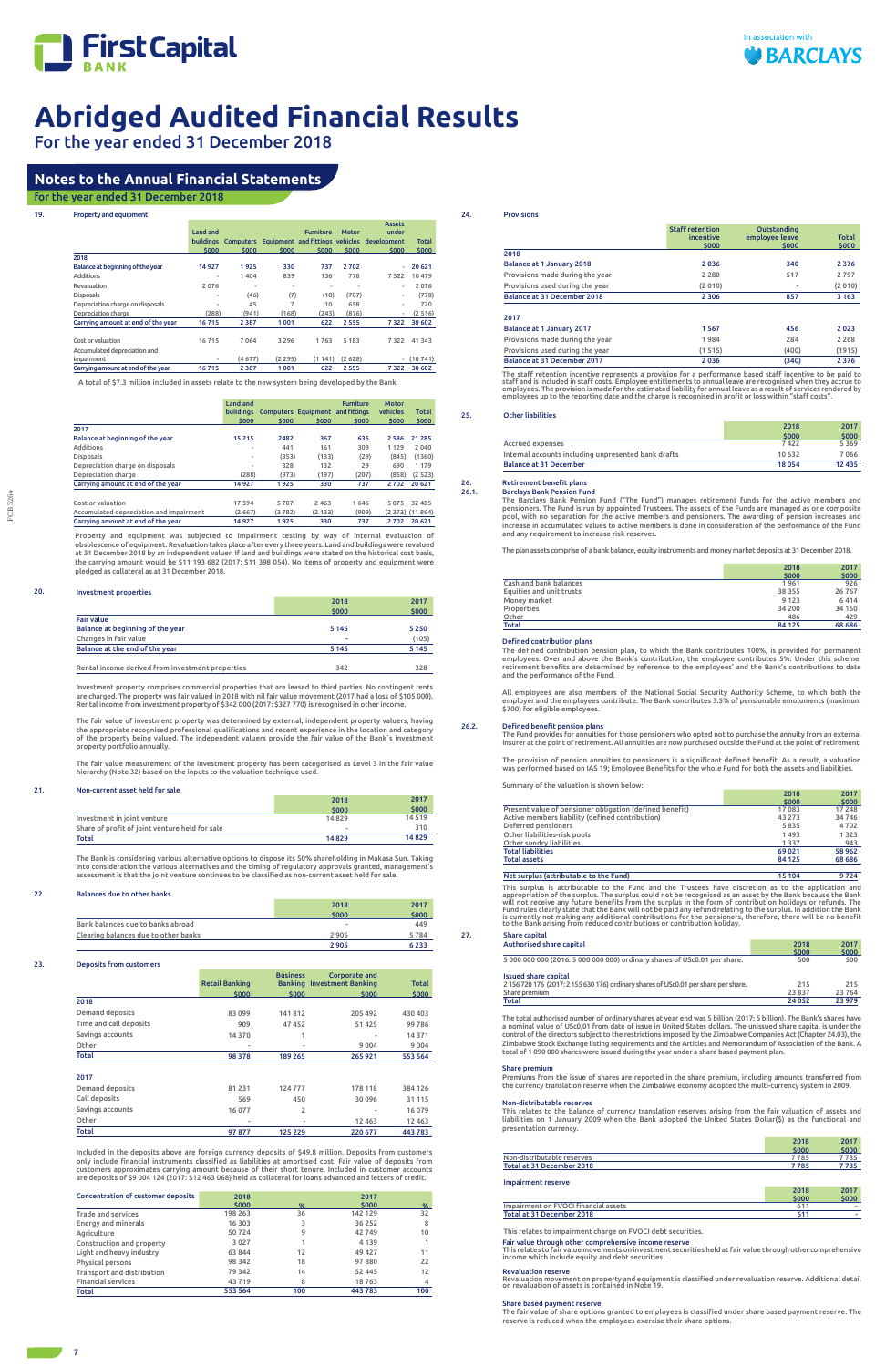

For the year ended 31 December 2018

7

| Property and equipment                     |                          |                     |         |                          |              |                                             |          |
|--------------------------------------------|--------------------------|---------------------|---------|--------------------------|--------------|---------------------------------------------|----------|
|                                            | Land and                 |                     |         | <b>Furniture</b>         | <b>Motor</b> | <b>Assets</b><br>under                      |          |
|                                            |                          | buildings Computers |         |                          |              | Equipment and fittings vehicles development | Total    |
| 2018                                       | \$000                    | \$000               | \$000   | \$000                    | \$000        | \$000                                       | \$000    |
| Balance at beginning of the year           | 14927                    | 1925                | 330     | 737                      | 2702         |                                             | 20 621   |
| <b>Additions</b>                           | $\overline{\phantom{a}}$ | 1404                | 839     | 136                      | 778          | 7322                                        | 10 479   |
| Revaluation                                | 2076                     | ٠                   | ٠       | $\overline{\phantom{a}}$ | ۰            | ٠                                           | 2076     |
| <b>Disposals</b>                           | ٠                        | (46)                | (7)     | (18)                     | (707)        | ٠                                           | (778)    |
| Depreciation charge on disposals           | ۰                        | 45                  | 7       | 10                       | 658          | ٠                                           | 720      |
| Depreciation charge                        | (288)                    | (941)               | (168)   | (243)                    | (876)        | ٠                                           | (2516)   |
| Carrying amount at end of the year         | 16715                    | 2 3 8 7             | 1001    | 622                      | 2555         | 7322                                        | 30 602   |
| Cost or valuation                          | 16715                    | 7064                | 3 2 9 6 | 1763                     | 5 1 8 3      | 7322                                        | 41 3 4 3 |
| Accumulated depreciation and<br>impairment | $\overline{\phantom{a}}$ | (4677)              | (2295)  | (1141)                   | (2628)       | $\overline{\phantom{a}}$                    | (10741)  |
| Carrying amount at end of the year         | 16715                    | 2 3 8 7             | 1001    | 622                      | 2555         | 7322                                        | 30 602   |

A total of \$7.3 million included in assets relate to the new system being developed by the Bank.

|                                         | Land and | buildings Computers Equipment and fittings |         | <b>Furniture</b> | <b>Motor</b><br>vehicles | <b>Total</b>       |
|-----------------------------------------|----------|--------------------------------------------|---------|------------------|--------------------------|--------------------|
| 2017                                    | \$000    | \$000                                      | \$000   | \$000            | \$000                    | \$000              |
| Balance at beginning of the year        | 15 2 15  | 2482                                       | 367     | 635              | 2 5 8 6                  | 21 2 8 5           |
| Additions                               | ۰        | 441                                        | 161     | 309              | 1 1 2 9                  | 2040               |
| <b>Disposals</b>                        | ۰        | (353)                                      | (133)   | (29)             | (845)                    | (1360)             |
| Depreciation charge on disposals        | ٠        | 328                                        | 132     | 29               | 690                      | 1 1 7 9            |
| Depreciation charge                     | (288)    | (973)                                      | (197)   | (207)            | (858)                    | (2523)             |
| Carrving amount at end of the year      | 14927    | 1925                                       | 330     | 737              | 2702                     | 20 621             |
|                                         |          |                                            |         |                  |                          |                    |
| Cost or valuation                       | 17594    | 5707                                       | 2 4 6 3 | 1646             | 5075                     | 32 485             |
| Accumulated depreciation and impairment | (2667)   | (3782)                                     | (2 133) | (909)            |                          | $(2373)$ $(11864)$ |
| Carrving amount at end of the year      | 14927    | 1925                                       | 330     | 737              | 2702                     | 20 621             |

Property and equipment was subjected to impairment testing by way of internal evaluation of obsolescence of equipment. Revaluation takes place after every three years. Land and buildings were revalued<br>at 31 December 2018 by an independent valuer. If land and buildings were stated on the historical cost basis,<br>the pledged as collateral as at 31 December 2018.

#### 20. Investment properties

|                                                  | 2018    | 2017    |
|--------------------------------------------------|---------|---------|
|                                                  | \$000   | \$000   |
| <b>Fair value</b>                                |         |         |
| Balance at beginning of the year                 | 5 1 4 5 | 5250    |
| Changes in fair value                            | ۰       | (105)   |
| Balance at the end of the year                   | 5 1 4 5 | 5 1 4 5 |
|                                                  |         |         |
| Rental income derived from investment properties | 342     | 328     |

Investment property comprises commercial properties that are leased to third parties. No contingent rents are charged. The property was fair valued in 2018 with nil fair value movement (2017 had a loss of \$105 000). Rental income from investment property of \$342 000 (2017: \$327 770) is recognised in other income.

The fair value of investment property was determined by external, independent property valuers, having the appropriate recognised professional qualifications and recent experience in the location and category of the property being valued. The independent valuers provide the fair value of the Bank`s investment property portfolio annually.

The staff retention incentive represents a provision for a performance based staff incentive to be paid to<br>staff and is included in staff costs. Employee entitlements to annual leave are recognised when they accrue to<br>empl employees up to the reporting date and the charge is recognised in profit or loss within "staff costs".

The fair value measurement of the investment property has been categorised as Level 3 in the fair value hierarchy (Note 32) based on the inputs to the valuation technique used.

П

#### 21. Non-current asset held for sale

| Investment in joint venture                    | \$000<br>14829 | \$000<br>14519 |
|------------------------------------------------|----------------|----------------|
| Share of profit of joint venture held for sale | ۰              | 310            |
| Total                                          | 14829          | 14829          |

The Bank is considering various alternative options to dispose its 50% shareholding in Makasa Sun. Taking into consideration the various alternatives and the timing of regulatory approvals granted, management's assessment is that the joint venture continues to be classified as non-current asset held for sale.

#### 22. Balances due to other banks

|                                      | 2018  | 2017  |
|--------------------------------------|-------|-------|
|                                      | \$000 | \$000 |
| Bank balances due to banks abroad    | $\,$  | 449   |
| Clearing balances due to other banks | 2905  | 5784  |
|                                      | 2905  | 6233  |

#### 23. Deposits from customers

|                        | <b>Retail Banking</b> | <b>Business</b> | Corporate and<br><b>Banking Investment Banking</b> | <b>Total</b> |
|------------------------|-----------------------|-----------------|----------------------------------------------------|--------------|
|                        | \$000                 | \$000           | \$000                                              | 5000         |
| 2018                   |                       |                 |                                                    |              |
| Demand deposits        | 83 099                | 141812          | 205 492                                            | 430 403      |
| Time and call deposits | 909                   | 47452           | 51 425                                             | 99786        |
| Savings accounts       | 14 370                |                 | $\,$                                               | 14 3 7 1     |
| Other                  | $\blacksquare$        | ۰               | 9 0 0 4                                            | 9004         |
| <b>Total</b>           | 98 378                | 189 265         | 265 921                                            | 553 564      |

#### 2017

| Demand deposits  | 81 2 31 | 124777  | 178 118  | 384 126  |
|------------------|---------|---------|----------|----------|
| Call deposits    | 569     | 450     | 30 096   | 31 1 1 5 |
| Savings accounts | 16 077  |         | $\,$     | 16079    |
| Other            | ۰       | $\,$    | 12 4 6 3 | 12 4 63  |
| <b>Total</b>     | 97877   | 125 229 | 220 677  | 443 783  |

Included in the deposits above are foreign currency deposits of \$49.8 million. Deposits from customers only include financial instruments classified as liabilities at amortised cost. Fair value of deposits from customers approximates carrying amount because of their short tenure. Included in customer accounts are deposits of \$9 004 124 (2017: \$12 463 068) held as collateral for loans advanced and letters of credit.

| <b>Concentration of customer deposits</b> | 2018    |     | 2017    |     |
|-------------------------------------------|---------|-----|---------|-----|
|                                           | \$000   | %   | \$000   | %   |
| <b>Trade and services</b>                 | 198 263 | 36  | 142 129 | 32  |
| <b>Energy and minerals</b>                | 16 30 3 | 3   | 36 25 2 | 8   |
| Agriculture                               | 50724   | 9   | 42749   | 10  |
| Construction and property                 | 3027    |     | 4 1 3 9 |     |
| Light and heavy industry                  | 63844   | 12  | 49 427  | 11  |
| Physical persons                          | 98 342  | 18  | 97880   | 22  |
| Transport and distribution                | 79 342  | 14  | 52 445  | 12  |
| <b>Financial services</b>                 | 43719   | 8   | 18763   | 4   |
| <b>Total</b>                              | 553 564 | 100 | 443783  | 100 |

24. Provisions

|                                 | <b>Staff retention</b><br>incentive<br>\$000 | Outstanding<br>employee leave<br>\$000 | Total<br>\$000 |
|---------------------------------|----------------------------------------------|----------------------------------------|----------------|
| 2018                            |                                              |                                        |                |
| Balance at 1 January 2018       | 2036                                         | 340                                    | 2 3 7 6        |
| Provisions made during the year | 2 2 8 0                                      | 517                                    | 2797           |
| Provisions used during the year | (2010)                                       | $\overline{\phantom{a}}$               | (2010)         |
| Balance at 31 December 2018     | 2 3 0 6                                      | 857                                    | 3 1 6 3        |
| 2017                            |                                              |                                        |                |
| Balance at 1 January 2017       | 1567                                         | 456                                    | 2023           |
| Provisions made during the year | 1984                                         | 284                                    | 2 2 6 8        |
| Provisions used during the year | (1515)                                       | (400)                                  | (1915)         |
| Balance at 31 December 2017     | 2036                                         | (340)                                  | 2 3 7 6        |

#### 25. Other liabilities

|                                                     | 2018    | 2017     |
|-----------------------------------------------------|---------|----------|
|                                                     | \$000   | \$000    |
| Accrued expenses                                    | 7422    | 5369     |
| Internal accounts including unpresented bank drafts | 10 632  | 7066     |
| <b>Balance at 31 December</b>                       | 18 0 54 | 12 4 3 5 |

## 26. Retirement benefit plans<br>26.1. Barclays Bank Pension Fu

26.1. Barclays Bank Pension Fund The Barclays Bank Pension Fund ("The Fund") manages retirement funds for the active members and pensioners. The Fund is run by appointed Trustees. The assets of the Funds are managed as one composite pool, with no separation for the active members and pensioners. The awarding of pension increases and increase in accumulated values to active members is done in consideration of the performance of the Fund and any requirement to increase risk reserves.

The plan assets comprise of a bank balance, equity instruments and money market deposits at 31 December 2018.

|                          | 2018    | 2017     |
|--------------------------|---------|----------|
|                          | \$000   | \$000    |
| Cash and bank balances   | 1961    | 926      |
| Equities and unit trusts | 38 355  | 26 7 6 7 |
| Money market             | 9 1 2 3 | 6414     |
| Properties               | 34 200  | 34 150   |
| Other                    | 486     | 429      |
| Total                    | 84 125  | 68 686   |

#### Defined contribution plans

The defined contribution pension plan, to which the Bank contributes 100%, is provided for permanent employees. Over and above the Bank's contribution, the employee contributes 5%. Under this scheme, retirement benefits are determined by reference to the employees' and the Bank's contributions to date and the performance of the Fund.

All employees are also members of the National Social Security Authority Scheme, to which both the employer and the employees contribute. The Bank contributes 3.5% of pensionable emoluments (maximum \$700) for eligible employees.

26.2. Defined benefit pension plans The Fund provides for annuities for those pensioners who opted not to purchase the annuity from an external insurer at the point of retirement. All annuities are now purchased outside the Fund at the point of retirement.

The provision of pension annuities to pensioners is a significant defined benefit. As a result, a valuation was performed based on IAS 19; Employee Benefits for the whole Fund for both the assets and liabilities.

Summary of the valuation is shown below:

2018 2017

|                                                         | \$000   | \$000   |
|---------------------------------------------------------|---------|---------|
| Present value of pensioner obligation (defined benefit) | 17 083  | 17 248  |
| Active members liability (defined contribution)         | 43 273  | 34746   |
| Deferred pensioners                                     | 5835    | 4702    |
| Other liabilities-risk pools                            | 1493    | 1323    |
| Other sundry liabilities                                | 1 3 3 7 | 943     |
| Total liabilities                                       | 69 0 21 | 58962   |
| <b>Total assets</b>                                     | 84 125  | 68 68 6 |
|                                                         |         |         |

#### Net surplus (attributable to the Fund) 15 104 9 724

This surplus is attributable to the Fund and the Trustees have discretion as to the application and<br>appropriation of the surplus. The surplus could not be recognised as an asset by the Bank because the Bank<br>will not receiv Fund rules clearly state that the Bank will not be paid any refund relating to the surplus. In addition the Bank<br>is currently not making any additional contributions for the pensioners, therefore, there will be no benefit<br>

| 27. | Share capital                                                                       |         |        |
|-----|-------------------------------------------------------------------------------------|---------|--------|
|     | Authorised share capital                                                            | 2018    | 2017   |
|     |                                                                                     | \$000   | \$000  |
|     | 5 000 000 000 (2016: 5 000 000 000) ordinary shares of USc0.01 per share.           | 500     | 500    |
|     | <b>Issued share capital</b>                                                         |         |        |
|     | 2 156 720 176 (2017: 2 155 630 176) ordinary shares of USc0.01 per share per share. | 215     | 215    |
|     | Share premium                                                                       | 23 837  | 23764  |
|     | Total                                                                               | 24 0 52 | 23 979 |

The total authorised number of ordinary shares at year end was 5 billion (2017: 5 billion). The Bank's shares have a nominal value of USc0,01 from date of issue in United States dollars. The unissued share capital is under the control of the directors subject to the restrictions imposed by the Zimbabwe Companies Act (Chapter 24.03), the Zimbabwe Stock Exchange listing requirements and the Articles and Memorandum of Association of the Bank. A total of 1 090 000 shares were issued during the year under a share based payment plan.

#### Share premium

Premiums from the issue of shares are reported in the share premium, including amounts transferred from

the currency translation reserve when the Zimbabwe economy adopted the multi-currency system in 2009.

Non-distributable reserves This relates to the balance of currency translation reserves arising from the fair valuation of assets and liabilities on 1 January 2009 when the Bank adopted the United States Dollar(\$) as the functional and presentation currency.

|                            | 2018  | 2017  |
|----------------------------|-------|-------|
|                            | \$000 | \$000 |
| Non-distributable reserves | 7 785 | * 785 |
| Total at 31 December 2018  | 7 785 | ' 785 |

#### Impairment reserve

|                                      | 2018 | 2017                     |
|--------------------------------------|------|--------------------------|
|                                      | snnr | \$000                    |
| Impairment on FVOCI financial assets |      | $\overline{\phantom{a}}$ |
| Total at 31 December 2018            |      |                          |

This relates to impairment charge on FVOCI debt securities.

Fair value through other comprehensive income reserve This relates to fair value movements on investment securities held at fair value through other comprehensive income which include equity and debt securities.

#### Revaluation reserve

Revaluation movement on property and equipment is classified under revaluation reserve. Additional detail on revaluation of assets is contained in Note 19.

#### Share based payment reserve

The fair value of share options granted to employees is classified under share based payment reserve. The reserve is reduced when the employees exercise their share options.

# **Notes to the Annual Financial Statements**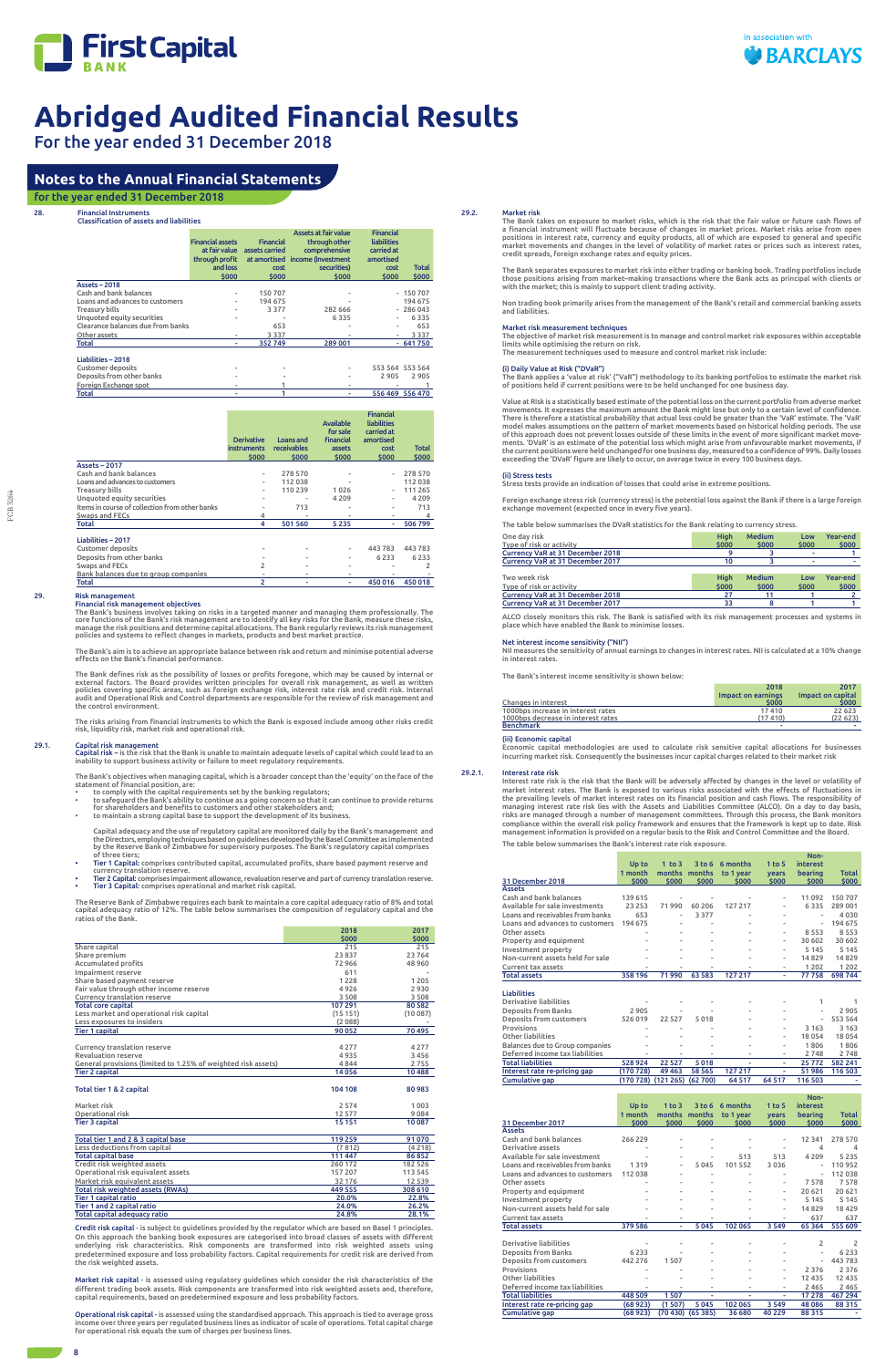

For the year ended 31 December 2018

28. Financial Instruments

### Classification of assets and liabilities

|                                   | <b>Financial assets</b><br>at fair value<br>through profit<br>and loss<br>\$000 | <b>Financial</b><br>assets carried<br>cost<br>\$000 | Assets at fair value<br>through other<br>comprehensive<br>at amortised income (Investment<br>securities)<br>\$000 | <b>Financial</b><br>liabilities<br>carried at<br>amortised<br>cost<br>\$000 | Total<br>\$000  |
|-----------------------------------|---------------------------------------------------------------------------------|-----------------------------------------------------|-------------------------------------------------------------------------------------------------------------------|-----------------------------------------------------------------------------|-----------------|
| <b>Assets - 2018</b>              |                                                                                 |                                                     |                                                                                                                   |                                                                             |                 |
| Cash and bank balances            | ۰                                                                               | 150 707                                             |                                                                                                                   |                                                                             | $-150707$       |
| Loans and advances to customers   |                                                                                 | 194 675                                             |                                                                                                                   |                                                                             | 194 675         |
| <b>Treasury bills</b>             | ۰                                                                               | 3 3 7 7                                             | 282 666                                                                                                           |                                                                             | $-286043$       |
| Unquoted equity securities        |                                                                                 |                                                     | 6335                                                                                                              |                                                                             | 6335            |
| Clearance balances due from banks |                                                                                 | 653                                                 |                                                                                                                   |                                                                             | 653             |
| Other assets                      |                                                                                 | 3337                                                |                                                                                                                   |                                                                             | 3 3 3 7         |
| Total                             | ٠                                                                               | 352749                                              | 289 001                                                                                                           |                                                                             | $-641750$       |
| Liabilities - 2018                |                                                                                 |                                                     |                                                                                                                   |                                                                             |                 |
| <b>Customer deposits</b>          |                                                                                 |                                                     |                                                                                                                   |                                                                             | 553 564 553 564 |
| Deposits from other banks         |                                                                                 |                                                     |                                                                                                                   | 2905                                                                        | 2905            |
| Foreign Exchange spot             | ۰                                                                               |                                                     | ۰                                                                                                                 |                                                                             |                 |
| Total                             | ۰                                                                               |                                                     |                                                                                                                   |                                                                             | 556 469 556 470 |

|                                                | <b>Derivative</b><br><b>instruments</b><br>\$000 | Loans and<br>receivables<br>\$000 | <b>Available</b><br>for sale<br><b>financial</b><br><b>assets</b><br>\$000 | <b>Financial</b><br>liabilities<br>carried at<br>amortised<br>cost<br>\$000 | <b>Total</b><br>\$000 |
|------------------------------------------------|--------------------------------------------------|-----------------------------------|----------------------------------------------------------------------------|-----------------------------------------------------------------------------|-----------------------|
| <b>Assets - 2017</b>                           |                                                  |                                   |                                                                            |                                                                             |                       |
| Cash and bank balances                         | $\blacksquare$                                   | 278 570                           |                                                                            | $\blacksquare$                                                              | 278 570               |
| Loans and advances to customers                | $\blacksquare$                                   | 112038                            | ۰                                                                          |                                                                             | 112 038               |
| <b>Treasury bills</b>                          | ٠                                                | 110 239                           | 1026                                                                       | $\blacksquare$                                                              | 111 265               |
| Unquoted equity securities                     |                                                  |                                   | 4 2 0 9                                                                    | $\overline{a}$                                                              | 4 2 0 9               |
| Items in course of collection from other banks |                                                  | 713                               |                                                                            |                                                                             | 713                   |
| <b>Swaps and FECs</b>                          | 4                                                | ٠                                 | ۰                                                                          | ۰                                                                           | 4                     |
| Total                                          | 4                                                | 501 560                           | 5235                                                                       | ٠                                                                           | 506 799               |
| Liabilities - 2017                             |                                                  |                                   |                                                                            |                                                                             |                       |
| <b>Customer deposits</b>                       |                                                  | $\overline{a}$                    | $\overline{\phantom{a}}$                                                   | 443783                                                                      | 443 783               |
| Deposits from other banks                      |                                                  | ٠                                 | ۰                                                                          | 6233                                                                        | 6 2 3 3               |
| Swaps and FECs                                 | $\overline{c}$                                   | ٠                                 | ۰                                                                          | ۰                                                                           | 2                     |
| Bank balances due to group companies           |                                                  | ٠                                 | ۰                                                                          |                                                                             |                       |
| Total                                          | 2                                                | ٠                                 | ٠                                                                          | 450 016                                                                     | 450018                |

29.1. Capital risk management<br>Capital risk – is the risk that the Bank is unable to maintain adequate levels of capital which could lead to an inability to support business activity or failure to meet regulatory requirements.

## 29. Risk management

Financial risk management objectives<br>The Bank's business involves taking on risks in a targeted manner and managing them professionally. The<br>core functions of the Bank's risk management are to identify all key risks for th manage the risk positions and determine capital allocations. The Bank regularly reviews its risk management<br>policies and systems to reflect changes in markets, products and best market practice.

- statement of financial position, are:<br>• to comply with the capital requirements set by the banking regulators;<br>• to safeguard the Bank's ability to continue as a going concern so that it can continue to p
- to maintain a strong capital base to support the development of its business.

The Bank's aim is to achieve an appropriate balance between risk and return and minimise potential adverse effects on the Bank's financial performance.

The Bank defines risk as the possibility of losses or profits foregone, which may be caused by internal or<br>external factors. The Board provides written principles for overall risk management, as well as written<br>policies co

The risks arising from financial instruments to which the Bank is exposed include among other risks credit risk, liquidity risk, market risk and operational risk.

The Bank's objectives when managing capital, which is a broader concept than the 'equity' on the face of the

Capital adequacy and the use of regulatory capital are monitored daily by the Bank's management and the Directors, employing techniques based on guidelines developed by the Basel Committee as implemented by the Reserve Bank of Zimbabwe for supervisory purposes. The Bank's regulatory capital comprises of three tiers;

- Tier 1 Capital: comprises contributed capital, accumulated profits, share based payment reserve and currency translation reserve.
- Tier 2 Capital: comprises impairment allowance, revaluation reserve and part of currency translation reserve. Tier 3 Capital: comprises operational and market risk capital.

The Reserve Bank of Zimbabwe requires each bank to maintain a core capital adequacy ratio of 8% and total<br>capital adequacy ratio of 12%. The table below summarises the composition of regulatory capital and the<br>ratios of th

|                                                               | 2018    | 2017    |
|---------------------------------------------------------------|---------|---------|
|                                                               | \$000   | \$000   |
| Share capital                                                 | 215     | 215     |
| Share premium                                                 | 23837   | 23764   |
| Accumulated profits                                           | 72966   | 48 960  |
| Impairment reserve                                            | 611     |         |
| Share based payment reserve                                   | 1228    | 1 2 0 5 |
| Fair value through other income reserve                       | 4926    | 2930    |
| Currency translation reserve                                  | 3508    | 3 5 0 8 |
| <b>Total core capital</b>                                     | 107 291 | 80 582  |
| Less market and operational risk capital                      | (15151) | (10087) |
| Less exposures to insiders                                    | (2088)  |         |
| <b>Tier 1 capital</b>                                         | 90 052  | 70 495  |
|                                                               |         |         |
| Currency translation reserve                                  | 4 2 7 7 | 4 2 7 7 |
| <b>Revaluation reserve</b>                                    | 4935    | 3456    |
| General provisions (limited to 1.25% of weighted risk assets) | 4844    | 2755    |
| <b>Tier 2 capital</b>                                         | 14056   | 10 488  |

Net interest income sensitivity ("NII")<br>NII measures the sensitivity of annual nual earnings to changes in interest rates. NII is calculated at a 10% change in interest rates.

| Total tier 1 & 2 capital | 104 108 | 80 983 |
|--------------------------|---------|--------|
| Market risk              | 2 5 7 4 | 1003   |
| Operational risk         | 12 577  | 9084   |
| <b>Tier 3 capital</b>    | 15 15 1 | 10 087 |

| Total tier 1 and 2 & 3 capital base | 119 259 | 91 070   |
|-------------------------------------|---------|----------|
| Less deductions from capital        | (7812)  | (4218)   |
| <b>Total capital base</b>           | 111 447 | 86852    |
| Credit risk weighted assets         | 260 172 | 182 526  |
| Operational risk equivalent assets  | 157 207 | 113 545  |
| Market risk equivalent assets       | 32 176  | 12 5 3 9 |
| Total risk weighted assets (RWAs)   | 449 555 | 308 610  |
| <b>Tier 1 capital ratio</b>         | 20.0%   | 22.8%    |
| Tier 1 and 2 capital ratio          | 24.0%   | 26.2%    |
| <b>Total capital adequacy ratio</b> | 24.8%   | 28.1%    |

Credit risk capital - is subject to guidelines provided by the regulator which are based on Basel 1 principles. On this approach the banking book exposures are categorised into broad classes of assets with different underlying risk characteristics. Risk components are transformed into risk weighted assets using predetermined exposure and loss probability factors. Capital requirements for credit risk are derived from the risk weighted assets.

Market risk capital - is assessed using regulatory guidelines which consider the risk characteristics of the different trading book assets. Risk components are transformed into risk weighted assets and, therefore, capital requirements, based on predetermined exposure and loss probability factors.

Operational risk capital - is assessed using the standardised approach. This approach is tied to average gross income over three years per regulated business lines as indicator of scale of operations. Total capital charge for operational risk equals the sum of charges per business lines.

#### 29.2. Market risk

The Bank takes on exposure to market risks, which is the risk that the fair value or future cash flows of a financial instrument will fluctuate because of changes in market prices. Market risks arise from open positions in interest rate, currency and equity products, all of which are exposed to general and specific market movements and changes in the level of volatility of market rates or prices such as interest rates, credit spreads, foreign exchange rates and equity prices.

The Bank separates exposures to market risk into either trading or banking book. Trading portfolios include those positions arising from market–making transactions where the Bank acts as principal with clients or with the market; this is mainly to support client trading activity.

Non trading book primarily arises from the management of the Bank's retail and commercial banking assets and liabilities.

#### Market risk measurement techniques

The objective of market risk measurement is to manage and control market risk exposures within acceptable limits while optimising the return on risk. The measurement techniques used to measure and control market risk include:

### (i) Daily Value at Risk ("DVaR")

The Bank applies a 'value at risk' ("VaR") methodology to its banking portfolios to estimate the market risk of positions held if current positions were to be held unchanged for one business day.

Value at Risk is a statistically based estimate of the potential loss on the current portfolio from adverse market movements. It expresses the maximum amount the Bank might lose but only to a certain level of confidence. There is therefore a statistical probability that actual loss could be greater than the 'VaR' estimate. The 'VaR'<br>model makes assumptions on the pattern of market movements based on historical holding periods. The use<br>of t ments. 'DVaR' is an estimate of the potential loss which might arise from unfavourable market movements, if the current positions were held unchanged for one business day, measured to a confidence of 99%. Daily losses exceeding the 'DVaR' figure are likely to occur, on average twice in every 100 business days.

#### (ii) Stress tests

Stress tests provide an indication of losses that could arise in extreme positions.

Foreign exchange stress risk (currency stress) is the potential loss against the Bank if there is a large foreign exchange movement (expected once in every five years).

The table below summarises the DVaR statistics for the Bank relating to currency stress.

| One day risk<br>Type of risk or activity | <b>High</b><br>\$000 | <b>Medium</b><br>\$000 | Low<br>\$000 | Year-end<br>\$000 |
|------------------------------------------|----------------------|------------------------|--------------|-------------------|
| Currency VaR at 31 December 2018         |                      |                        |              |                   |
| Currency VaR at 31 December 2017         | 10                   |                        |              |                   |
|                                          |                      |                        |              |                   |
| Two week risk                            | <b>High</b>          | <b>Medium</b>          | Low          | Year-end          |
| Type of risk or activity                 | \$000                | \$000                  | \$000        | \$000             |
| Currency VaR at 31 December 2018         | フフ                   |                        |              |                   |

Currency VaR at 31 December 2017 33 8 1 1

ALCO closely monitors this risk. The Bank is satisfied with its risk management processes and systems in place which have enabled the Bank to minimise losses.

The Bank's interest income sensitivity is shown below:

|                                    | 2018               | 2017              |
|------------------------------------|--------------------|-------------------|
|                                    | Impact on earnings | Impact on capital |
| Changes in interest                | \$000              | \$000             |
| 1000bps increase in interest rates | 17410              | 22 623            |
| 1000bps decrease in interest rates | (17410)            | (22623)           |
| <b>Benchmark</b>                   |                    |                   |

#### (iii) Economic capital

Economic capital methodologies are used to calculate risk sensitive capital allocations for businesses incurring market risk. Consequently the businesses incur capital charges related to their market risk

#### 29.2.1. Interest rate risk

Interest rate risk is the risk that the Bank will be adversely affected by changes in the level or volatility of market interest rates. The Bank is exposed to various risks associated with the effects of fluctuations in the prevailing levels of market interest rates on its financial position and cash flows. The responsibility of managing interest rate risk lies with the Assets and Liabilities Committee (ALCO). On a day to day basis,<br>risks are managed through a number of management committees. Through this process, the Bank monitors<br>compliance with management information is provided on a regular basis to the Risk and Control Committee and the Board. The table below summarises the Bank's interest rate risk exposure.

|                                                             |                    |                     |                 |                   |                   | Non-                     |                |
|-------------------------------------------------------------|--------------------|---------------------|-----------------|-------------------|-------------------|--------------------------|----------------|
|                                                             | Up to              | $1$ to $3$          |                 | 3 to 6 6 months   | $1$ to 5          | <b>interest</b>          |                |
|                                                             | 1 month            | months months       |                 | to 1 year         | years             | bearing                  | <b>Total</b>   |
| 31 December 2018<br><b>Assets</b>                           | \$000              | \$000               | \$000           | \$000             | \$000             | \$000                    | \$000          |
| Cash and bank balances                                      | 139 615            | $\overline{a}$      |                 |                   |                   | 11 092                   | 150707         |
| Available for sale investments                              | 23 2 5 3           | 71990               | 60 20 6         | 127 217           | $\overline{a}$    | 6335                     | 289 001        |
| Loans and receivables from banks                            | 653                |                     | 3 3 7 7         |                   |                   |                          | 4030           |
| Loans and advances to customers                             | 194 675            |                     |                 |                   |                   | $\overline{\phantom{a}}$ | 194 675        |
| Other assets                                                |                    |                     |                 |                   |                   | 8553                     | 8553           |
| Property and equipment                                      |                    |                     |                 |                   |                   | 30 602                   | 30 602         |
| Investment property                                         |                    |                     |                 |                   | $\overline{a}$    | 5 1 4 5                  | 5 1 4 5        |
| Non-current assets held for sale                            |                    |                     |                 |                   |                   | 14829                    | 14829          |
| Current tax assets                                          |                    |                     |                 |                   |                   | 1 2 0 2                  | 1 2 0 2        |
| <b>Total assets</b>                                         | 358 196            | 71990               | 63 583          | 127 217           | ä,                | 77758                    | 698744         |
|                                                             |                    |                     |                 |                   |                   |                          |                |
| <b>Liabilities</b>                                          |                    |                     |                 |                   |                   |                          |                |
| Derivative liabilities                                      |                    |                     |                 |                   |                   | 1                        | 1              |
| <b>Deposits from Banks</b>                                  | 2905               |                     |                 |                   |                   |                          | 2905           |
| Deposits from customers                                     | 526019             | 22 5 27             | 5018            |                   |                   |                          | 553 564        |
| Provisions                                                  |                    |                     |                 |                   |                   | 3 1 6 3                  | 3 1 6 3        |
| Other liabilities                                           |                    |                     |                 |                   | $\overline{a}$    | 18 0 54                  | 18054          |
| Balances due to Group companies                             |                    |                     |                 |                   | i.                | 1806<br>2748             | 1806<br>2748   |
| Deferred income tax liabilities<br><b>Total liabilities</b> | 528 924            | 22 5 27             | 5018            |                   | ä,                | 25772                    | 582 241        |
| Interest rate re-pricing gap                                | (170728)           | 49 4 63             | 58 565          | 127 217           | à,                | 51986                    | 116 503        |
| Cumulative gap                                              |                    | (170 728) (121 265) | (62700)         | 64 517            | 64 5 1 7          | 116 503                  |                |
|                                                             |                    |                     |                 |                   |                   |                          |                |
|                                                             |                    |                     |                 |                   |                   | Non-                     |                |
|                                                             | Up to              | $1$ to $3$          |                 | 3 to 6 6 months   | $1$ to $5$        | <b>interest</b>          |                |
|                                                             | 1 month            | months months       |                 | to 1 year         | years             | bearing                  | <b>Total</b>   |
| 31 December 2017                                            |                    |                     |                 |                   |                   |                          |                |
|                                                             | \$000              | \$000               | \$000           | \$000             | \$000             | \$000                    | \$000          |
| <b>Assets</b>                                               |                    |                     |                 |                   |                   |                          |                |
| Cash and bank balances                                      | 266 229            |                     |                 |                   |                   | 12 341                   | 278 570        |
| Derivative assets                                           |                    |                     |                 |                   |                   | 4                        | 4              |
| Available for sale investment                               |                    |                     |                 | 513               | 513               | 4 2 0 9                  | 5235           |
| Loans and receivables from banks                            | 1319               |                     | 5045            | 101 552           | 3036              |                          | 110952         |
| Loans and advances to customers                             | 112 038            |                     |                 |                   |                   | i,                       | 112 038        |
| Other assets                                                |                    |                     |                 |                   |                   | 7578                     | 7578           |
| Property and equipment                                      |                    |                     |                 |                   | $\overline{a}$    | 20 621                   | 20 621         |
| Investment property                                         |                    |                     |                 |                   | $\overline{a}$    | 5 1 4 5                  | 5 1 4 5        |
| Non-current assets held for sale                            |                    |                     |                 |                   |                   | 14829                    | 18429          |
| Current tax assets                                          |                    | ä,                  |                 |                   |                   | 637                      | 637            |
| <b>Total assets</b>                                         | 379 586            |                     | 5045            | 102 065           | 3549              | 65 3 64                  | 555 609        |
| Derivative liabilities                                      |                    |                     |                 |                   |                   | $\overline{2}$           | $\overline{2}$ |
| <b>Deposits from Banks</b>                                  | 6233               | ä,                  |                 |                   |                   | ä,                       | 6233           |
| Deposits from customers                                     | 442 276            | 1507                |                 |                   |                   | i,                       | 443783         |
| Provisions                                                  |                    |                     |                 |                   |                   | 2 3 7 6                  | 2 3 7 6        |
| Other liabilities                                           |                    |                     |                 |                   | i.                | 12 4 3 5                 | 12 4 3 5       |
| Deferred income tax liabilities                             |                    |                     |                 |                   |                   | 2 4 6 5                  | 2 4 6 5        |
| <b>Total liabilities</b>                                    | 448 509            | 1507                |                 |                   |                   | 17 278                   | 467 294        |
| Interest rate re-pricing gap<br><b>Cumulative gap</b>       | (68923)<br>(68923) | (1507)<br>(70430)   | 5045<br>(65385) | 102 065<br>36 680 | 3 5 4 9<br>40 229 | 48 08 6<br>88 315        | 88 315         |

# **Notes to the Annual Financial Statements**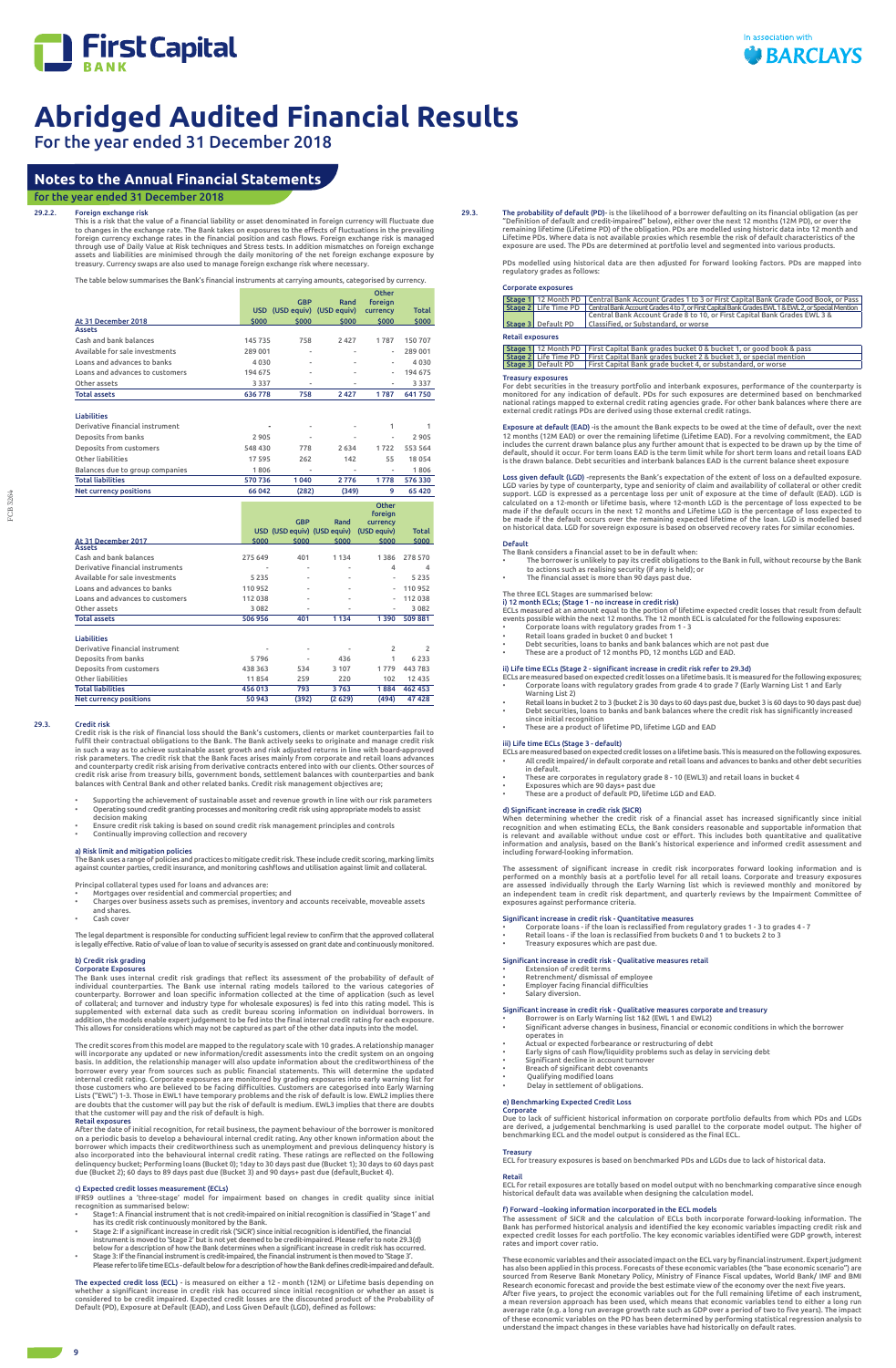

For the year ended 31 December 2018

This is a risk that the value of a financial liability or asset denominated in foreign currency will fluctuate due to changes in the exchange rate. The Bank takes on exposures to the effects of fluctuations in the prevailing foreign currency exchange rates in the financial position and cash flows. Foreign exchange risk is managed through use of Daily Value at Risk techniques and Stress tests. In addition mismatches on foreign exchange assets and liabilities are minimised through the daily monitoring of the net foreign exchange exposure by<br>treasury. Currency swaps are also used to manage foreign exchange risk where necessary.

FCB 3264

FCB 3264

### 29.2.2. Foreign exchange risk

The table below summarises the Bank's financial instruments at carrying amounts, categorised by currency.

|                                  |         | <b>GBP</b>                                | Rand                        | <b>Other</b><br>foreian         |                |
|----------------------------------|---------|-------------------------------------------|-----------------------------|---------------------------------|----------------|
|                                  |         |                                           | USD (USD equiv) (USD equiv) | currency                        | <b>Total</b>   |
| At 31 December 2018              | \$000   | \$000                                     | \$000                       | \$000                           | \$000          |
| <b>Assets</b>                    |         |                                           |                             |                                 |                |
| Cash and bank balances           | 145735  | 758                                       | 2 4 2 7                     | 1787                            | 150707         |
| Available for sale investments   | 289 001 |                                           |                             |                                 | 289 001        |
| Loans and advances to banks      | 4030    |                                           |                             |                                 | 4030           |
| Loans and advances to customers  | 194 675 | J.                                        |                             |                                 | 194 675        |
| Other assets                     | 3337    | ٠                                         |                             | $\overline{\phantom{a}}$        | 3337           |
| <b>Total assets</b>              | 636778  | 758                                       | 2 4 2 7                     | 1787                            | 641750         |
|                                  |         |                                           |                             |                                 |                |
| <b>Liabilities</b>               |         |                                           |                             |                                 |                |
| Derivative financial instrument  |         |                                           |                             | 1                               | 1              |
| Deposits from banks              | 2905    |                                           |                             |                                 | 2905           |
| Deposits from customers          | 548 430 | 778                                       | 2 6 3 4                     | 1722                            | 553 564        |
| Other liabilities                | 17595   | 262                                       | 142                         | 55                              | 18054          |
| Balances due to group companies  | 1806    |                                           |                             |                                 | 1806           |
| <b>Total liabilities</b>         | 570736  | 1040                                      | 2776                        | 1778                            | 576330         |
| <b>Net currency positions</b>    | 66042   | (282)                                     | (349)                       | 9                               | 65 4 20        |
|                                  |         |                                           |                             | Other<br>foreign                |                |
|                                  |         | <b>GBP</b><br>USD (USD equiv) (USD equiv) | Rand                        | <b>CULLED CA</b><br>(USD equiv) | <b>Total</b>   |
| At 31 December 2017              | \$000   | \$000                                     | \$000                       | \$000                           | \$000          |
| <b>Assets</b>                    |         |                                           |                             |                                 |                |
| Cash and bank balances           | 275 649 | 401                                       | 1134                        | 1386                            | 278 570        |
| Derivative financial instruments |         |                                           |                             | 4                               | 4              |
| Available for sale investments   | 5235    |                                           |                             |                                 | 5235           |
| Loans and advances to banks      | 110952  |                                           |                             |                                 | 110952         |
| Loans and advances to customers  | 112 038 |                                           |                             |                                 | 112038         |
| Other assets                     | 3082    |                                           |                             | $\overline{a}$                  | 3082           |
| <b>Total assets</b>              | 506956  | 401                                       | 1 1 3 4                     | 1390                            | 509881         |
| <b>Liabilities</b>               |         |                                           |                             |                                 |                |
| Derivative financial instrument  |         | $\overline{a}$                            |                             | $\overline{2}$                  | $\overline{2}$ |
| Deposits from banks              | 5796    | $\overline{\phantom{a}}$                  | 436                         | 1                               | 6 2 3 3        |
| Deposits from customers          | 438 363 | 534                                       | 3 1 0 7                     | 1779                            | 443783         |
| Other liabilities                | 11854   | 259                                       | 220                         | 102                             | 12 4 3 5       |
| <b>Total liabilities</b>         | 456013  | 793                                       | 3763                        | 1884                            | 462 453        |
|                                  |         |                                           |                             |                                 |                |

- Mortgages over residential and commercial properties; and • Charges over business assets such as premises, inventory and accounts receivable, moveable assets and shares.
- Cash cover

#### 29.3. Credit risk

Credit risk is the risk of financial loss should the Bank's customers, clients or market counterparties fail to fulfil their contractual obligations to the Bank. The Bank actively seeks to originate and manage credit risk in such a way as to achieve sustainable asset growth and risk adjusted returns in line with board-approved risk parameters. The credit risk that the Bank faces arises mainly from corporate and retail loans advances and counterparty credit risk arising from derivative contracts entered into with our clients. Other sources of credit risk arise from treasury bills, government bonds, settlement balances with counterparties and bank balances with Central Bank and other related banks. Credit risk management objectives are;

- Supporting the achievement of sustainable asset and revenue growth in line with our risk parameters • Operating sound credit granting processes and monitoring credit risk using appropriate models to assist decision making
- Ensure credit risk taking is based on sound credit risk management principles and controls • Continually improving collection and recovery
- a) Risk limit and mitigation policies

The Bank uses a range of policies and practices to mitigate credit risk. These include credit scoring, marking limits<br>against counter parties, credit insurance, and monitoring cashflows and utilisation against limit and co

Principal collateral types used for loans and advances are:

29.3. The probability of default (PD)- is the likelihood of a borrower defaulting on its financial obligation (as per "Definition of default and credit-impaired" below), either over the next 12 months (12M PD), or over the remaining lifetime (Lifetime PD) of the obligation. PDs are modelled using historic data into 12 month and<br>Lifetime PDs. Where data is not available proxies which resemble the risk of default characteristics of the<br>exposur

The legal department is responsible for conducting sufficient legal review to confirm that the approved collateral is legally effective. Ratio of value of loan to value of security is assessed on grant date and continuously monitored.

#### b) Credit risk grading Corporate Exposures

The Bank uses internal credit risk gradings that reflect its assessment of the probability of default of individual counterparties. The Bank use internal rating models tailored to the various categories of counterparty. Borrower and loan specific information collected at the time of application (such as level of collateral; and turnover and industry type for wholesale exposures) is fed into this rating model. This is<br>supplemented with external data such as credit bureau scoring information on individual borrowers. In<br>addition, This allows for considerations which may not be captured as part of the other data inputs into the model.

Exposure at default (EAD) -is the amount the Bank expects to be owed at the time of default, over the next 12 months (12M EAD) or over the remaining lifetime (Lifetime EAD). For a revolving commitment, the EAD<br>includes the current drawn balance plus any further amount that is expected to be drawn up by the time of<br>default, shou

Loss given default (LGD) -represents the Bank's expectation of the extent of loss on a defaulted exposure. LGD varies by type of counterparty, type and seniority of claim and availability of collateral or other credit<br>support. LGD is expressed as a percentage loss per unit of exposure at the time of default (EAD). LGD is<br>calcul be made if the default occurs over the remaining expected lifetime of the loan. LGD is modelled based on historical data. LGD for sovereign exposure is based on observed recovery rates for similar economies.

The credit scores from this model are mapped to the regulatory scale with 10 grades. A relationship manager will incorporate any updated or new information/credit assessments into the credit system on an ongoing basis. In addition, the relationship manager will also update information about the creditworthiness of the borrower every year from sources such as public financial statements. This will determine the updated internal credit rating. Corporate exposures are monitored by grading exposures into early warning list for those customers who are believed to be facing difficulties. Customers are categorised into Early Warning Lists ("EWL") 1-3. Those in EWL1 have temporary problems and the risk of default is low. EWL2 implies there are doubts that the customer will pay but the risk of default is medium. EWL3 implies that there are doubts that the customer will pay and the risk of default is high.

#### Retail exposures

- ECLs are measured based on expected credit losses on a lifetime basis. This is measured on the following exposures. • All credit impaired/ in default corporate and retail loans and advances to banks and other debt securities in default.
- 
- These are corporates in regulatory grade 8 10 (EWL3) and retail loans in bucket 4 Exposures which are 90 days+ past due
- These are a product of default PD, lifetime LGD and EAD.

After the date of initial recognition, for retail business, the payment behaviour of the borrower is monitored on a periodic basis to develop a behavioural internal credit rating. Any other known information about the borrower which impacts their creditworthiness such as unemployment and previous delinquency history is also incorporated into the behavioural internal credit rating. These ratings are reflected on the following delinquency bucket; Performing loans (Bucket 0); 1day to 30 days past due (Bucket 1); 30 days to 60 days past due (Bucket 2); 60 days to 89 days past due (Bucket 3) and 90 days+ past due (default,Bucket 4).

#### c) Expected credit losses measurement (ECLs)

IFRS9 outlines a 'three-stage' model for impairment based on changes in credit quality since initial recognition as summarised below:

- Stage1: A financial instrument that is not credit-impaired on initial recognition is classified in 'Stage1' and has its credit risk continuously monitored by the Bank.
- Stage 2: If a significant increase in credit risk ('SICR') since initial recognition is identified, the financial instrument is moved to 'Stage 2' but is not yet deemed to be credit-impaired. Please refer to note 29.3(d) below for a description of how the Bank determines when a significant increase in credit risk has occurred.
- Stage 3: If the financial instrument is credit-impaired, the financial instrument is then moved to 'Stage 3'. Please refer to life time ECLs - default below for a description of how the Bank defines credit-impaired and default.
- Borrower is on Early Warning list 1&2 (EWL 1 and EWL2) Significant adverse changes in business, financial or economic conditions in which the borrower operates in
- Actual or expected forbearance or restructuring of debt
- 
- 
- 
- Breach of significant debt covenants
- 
- Salary diversion

The expected credit loss (ECL) - is measured on either a 12 - month (12M) or Lifetime basis depending on whether a significant increase in credit risk has occurred since initial recognition or whether an asset is considered to be credit impaired. Expected credit losses are the discounted product of the Probability of Default (PD), Exposure at Default (EAD), and Loss Given Default (LGD), defined as follows:

The assessment of SICR and the calculation of ECLs both incorporate forward-looking information. The<br>Bank has performed historical analysis and identified the key economic variables impacting credit risk and<br>expected credi rates and import cover ratio.

These economic variables and their associated impact on the ECL vary by financial instrument. Expert judgment has also been applied in this process. Forecasts of these economic variables (the "base economic scenario") are<br>sourced from Reserve Bank Monetary Policy, Ministry of Finance Fiscal updates, World Bank/ IMF and BMI<br>Researc After five years, to project the economic variables out for the full remaining lifetime of each instrument, a mean reversion approach has been used, which means that economic variables tend to either a long run average rate (e.g. a long run average growth rate such as GDP over a period of two to five years). The impact of these economic variables on the PD has been determined by performing statistical regression analysis to<br>understand the impact changes in these variables have had historically on default rates.

PDs modelled using historical data are then adjusted for forward looking factors. PDs are mapped into regulatory grades as follows:

#### Corporate exposures

|                         | COIDOIQUE CADOJQICJ |                                                                                                                         |
|-------------------------|---------------------|-------------------------------------------------------------------------------------------------------------------------|
|                         |                     | Stage 1   12 Month PD   Central Bank Account Grades 1 to 3 or First Capital Bank Grade Good Book, or Pass               |
|                         |                     | Stage 2 Life Time PD Central Bank Account Grades 4 to 7, or First Capital Bank Grades EWL 1 & EWL 2, or Special Mention |
|                         |                     | Central Bank Account Grade 8 to 10, or First Capital Bank Grades EWL 3 &                                                |
|                         | Stage 3 Default PD  | Classified, or Substandard, or worse                                                                                    |
| <b>Retail exposures</b> |                     |                                                                                                                         |

<mark>Stage 1</mark> | 12 Month PD | First Capital Bank grades bucket 0 & bucket 1, or good book & pass<br><mark>Stage 2 |</mark> Life Time PD | First Capital Bank grades bucket 2 & bucket 3, or special mention

Stage 3 Default PD First Capital Bank grade bucket 4, or substandard, or worse

#### Treasury exposures

For debt securities in the treasury portfolio and interbank exposures, performance of the counterparty is monitored for any indication of default. PDs for such exposures are determined based on benchmarked national ratings mapped to external credit rating agencies grade. For other bank balances where there are external credit ratings PDs are derived using those external credit ratings.

#### Default

- 
- The Bank considers a financial asset to be in default when:<br>• The borrower is unlikely to pay its credit obligations to the Bank in full, without recourse by the Bank<br>• to actions such as realising security (if any is held
- The financial asset is more than 90 days past due

#### The three ECL Stages are summarised below:

i) 12 month ECLs; (Stage 1 - no increase in credit risk)<br>ECLs measured at an amount equal to the portion of lifetime expected credit losses that result from default<br>events possible within the next 12 months. The 12 month E

- Corporate loans with regulatory grades from 1 3
- Retail loans graded in bucket 0 and bucket 1 Debt securities, loans to banks and bank balances which are not past due
- These are a product of 12 months PD, 12 months LGD and EAD
- 
- ii) Life time ECLs (Stage 2 significant increase in credit risk refer to 29.3d)
- ECLs are measured based on expected credit losses on a lifetime basis. It is measured for the following exposures; • Corporate loans with regulatory grades from grade 4 to grade 7 (Early Warning List 1 and Early
- Warning List 2) Retail loans in bucket 2 to 3 (bucket 2 is 30 days to 60 days past due, bucket 3 is 60 days to 90 days past due) • Debt securities, loans to banks and bank balances where the credit risk has significantly increased
- since initial recognition These are a product of lifetime PD, lifetime LGD and EAD

#### iii) Life time ECLs (Stage 3 - default)

#### d) Significant increase in credit risk (SICR)

When determining whether the credit risk of a financial asset has increased significantly since initial recognition and when estimating ECLs, the Bank considers reasonable and supportable information that is relevant and available without undue cost or effort. This includes both quantitative and qualitative information and analysis, based on the Bank's historical experience and informed credit assessment and including forward-looking information.

The assessment of significant increase in credit risk incorporates forward looking information and is performed on a monthly basis at a portfolio level for all retail loans. Corporate and treasury exposures<br>are assessed individually through the Early Warning list which is reviewed monthly and monitored by<br>an independent te exposures against performance criteria.

#### Significant increase in credit risk - Quantitative measures

- Corporate loans if the loan is reclassified from regulatory grades 1 3 to grades 4 7
- Retail loans if the loan is reclassified from buckets 0 and 1 to buckets 2 to 3

### • Treasury exposures which are past due.

#### Significant increase in credit risk - Qualitative measures retail

- Extension of credit terms Retrenchment/ dismissal of employee
- Employer facing financial difficulties
- 

#### Significant increase in credit risk - Qualitative measures corporate and treasury

- 
- Early signs of cash flow/liquidity problems such as delay in servicing debt Significant decline in account turnover
- 
- 
- Qualifying modified loans

• Delay in settlement of obligations.

# e) Benchmarking Expected Credit Loss

Corporate Due to lack of sufficient historical information on corporate portfolio defaults from which PDs and LGDs are derived, a judgemental benchmarking is used parallel to the corporate model output. The higher of benchmarking ECL and the model output is considered as the final ECL.

#### Treasury

ECL for treasury exposures is based on benchmarked PDs and LGDs due to lack of historical data.

#### Retail

ECL for retail exposures are totally based on model output with no benchmarking comparative since enough historical default data was available when designing the calculation model.

#### f) Forward –looking information incorporated in the ECL models

# **Notes to the Annual Financial Statements**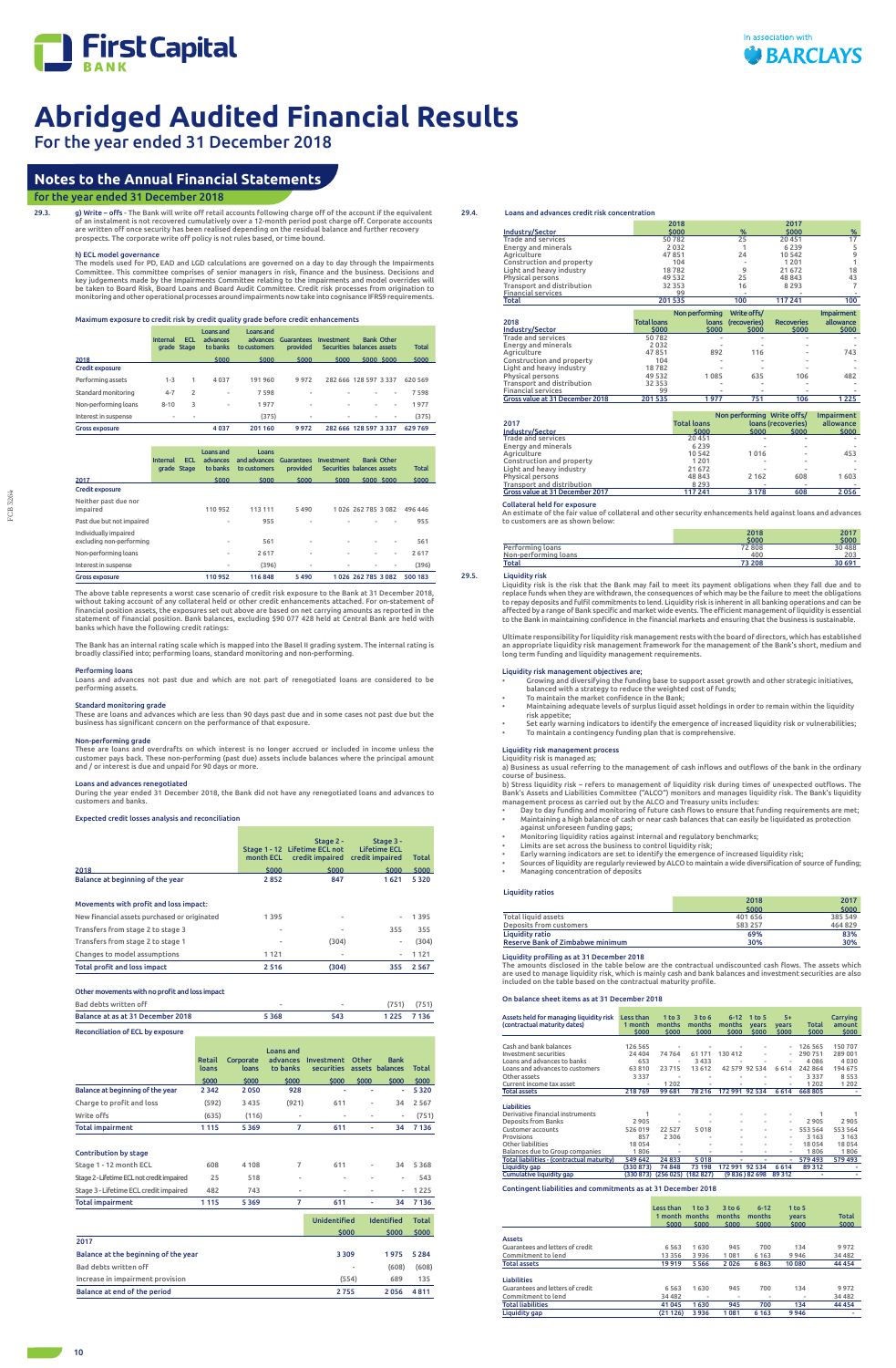

29.3. g) Write – offs - The Bank will write off retail accounts following charge off of the account if the equivalent of an instalment is not recovered cumulatively over a 12-month period post charge off. Corporate accounts are written off once security has been realised depending on the residual balance and further recovery prospects. The corporate write off policy is not rules based, or time bound.

# For the year ended 31 December 2018

#### h) ECL model governance

The models used for PD, EAD and LGD calculations are governed on a day to day through the Impairments Committee. This committee comprises of senior managers in risk, finance and the business. Decisions and key judgements made by the Impairments Committee relating to the impairments and model overrides will be taken to Board Risk, Board Loans and Board Audit Committee. Credit risk processes from origination to monitoring and other operational processes around impairments now take into cognisance IFRS9 requirements.

Maximum exposure to credit risk by credit quality grade before credit enhancements

|                       | <b>Internal</b>          | <b>ECL</b><br>grade Stage | Loans and<br>advances<br>to banks | Loans and<br>advances<br>to customers | <b>Guarantees</b><br><b>provided</b> | Investment | <b>Bank Other</b><br>Securities balances assets | <b>Total</b> |
|-----------------------|--------------------------|---------------------------|-----------------------------------|---------------------------------------|--------------------------------------|------------|-------------------------------------------------|--------------|
| 2018                  |                          |                           | \$000                             | \$000                                 | \$000                                | \$000      | <b>\$000 \$000</b>                              | \$000        |
| Credit exposure       |                          |                           |                                   |                                       |                                      |            |                                                 |              |
| Performing assets     | $1 - 3$                  | 1                         | 4 0 3 7                           | 191960                                | 9972                                 |            | 282 666 128 597 3 337                           | 620 569      |
| Standard monitoring   | $4 - 7$                  | 2                         | ۰                                 | 7598                                  |                                      |            | ۰<br>۰                                          | 7598         |
| Non-performing loans  | $8 - 10$                 | 3                         | ۰                                 | 1977                                  | ٠                                    |            | ٠<br>۰                                          | 1977         |
| Interest in suspense  | $\overline{\phantom{a}}$ | -                         |                                   | (375)                                 | ٠                                    |            | $\overline{\phantom{a}}$<br>۰                   | (375)        |
| <b>Gross exposure</b> |                          |                           | 4037                              | 201 160                               | 9972                                 |            | 282 666 128 597 3 337                           | 629769       |

|                                                   | <b>Internal</b><br>grade Stage | <b>ECL</b> | Loans and<br>advances<br>to banks | Loans<br>and advances<br>to customers | <b>Guarantees</b><br><b>provided</b> | Investment | <b>Bank Other</b><br>Securities balances assets |    | <b>Total</b> |
|---------------------------------------------------|--------------------------------|------------|-----------------------------------|---------------------------------------|--------------------------------------|------------|-------------------------------------------------|----|--------------|
| 2017                                              |                                |            | \$000                             | \$000                                 | \$000                                | \$000      | <b>\$000 \$000</b>                              |    | \$000        |
| Credit exposure                                   |                                |            |                                   |                                       |                                      |            |                                                 |    |              |
| Neither past due nor<br>impaired                  |                                |            | 110952                            | 113 111                               | 5490                                 |            | 1026 262 785 3082                               |    | 496 446      |
| Past due but not impaired                         |                                |            | ۰                                 | 955                                   | ٠                                    |            |                                                 |    | 955          |
| Individually impaired<br>excluding non-performing |                                |            | ۰                                 | 561                                   | $\overline{\phantom{a}}$             | ۰          | ۰                                               | ۰  | 561          |
| Non-performing loans                              |                                |            | ۰                                 | 2617                                  | ٠                                    | ۰          | ۰                                               | ۰. | 2617         |
| Interest in suspense                              |                                |            | -                                 | (396)                                 | ٠                                    | ۰          |                                                 |    | (396)        |
| <b>Gross exposure</b>                             |                                |            | 110952                            | 116848                                | 5490                                 |            | 1026 262 785 3082                               |    | 500 183      |

The above table represents a worst case scenario of credit risk exposure to the Bank at 31 December 2018, without taking account of any collateral held or other credit enhancements attached. For on-statement of financial position assets, the exposures set out above are based on net carrying amounts as reported in the statement of financial position. Bank balances, excluding \$90 077 428 held at Central Bank are held with banks which have the following credit ratings:

The Bank has an internal rating scale which is mapped into the Basel II grading system. The internal rating is broadly classified into; performing loans, standard monitoring and non-performing.

#### Performing loans

Loans and advances not past due and which are not part of renegotiated loans are considered to be performing assets.

#### Standard monitoring grade

These are loans and advances which are less than 90 days past due and in some cases not past due but the business has significant concern on the performance of that exposure.

Non-performing grade These are loans and overdrafts on which interest is no longer accrued or included in income unless the customer pays back. These non-performing (past due) assets include balances where the principal amount and / or interest is due and unpaid for 90 days or more.

Liquidity risk is the risk that the Bank may fail to meet its payment obligations when they fall due and to replace funds when they are withdrawn, the consequences of which may be the failure to meet the obligations to repay deposits and fulfil commitments to lend. Liquidity risk is inherent in all banking operations and can be<br>affected by a range of Bank specific and market wide events. The efficient management of liquidity is essent

Loans and advances renegotiated During the year ended 31 December 2018, the Bank did not have any renegotiated loans and advances to customers and banks.

#### Expected credit losses analysis and reconciliation

|                                  | month ECL | Stage 2 -<br>Stage 1 - 12 Lifetime ECL not<br>credit impaired credit impaired | Stage 3 -<br><b>Lifetime ECL</b> | <b>Total</b> |
|----------------------------------|-----------|-------------------------------------------------------------------------------|----------------------------------|--------------|
| 2018                             | \$000     | \$000                                                                         | \$000                            | \$000        |
| Balance at beginning of the year | 2852      | 847                                                                           | 1621                             | 5 3 2 0      |

#### Movements with profit and loss impact:

| Total profit and loss impact                 | 2516 | (304)                    | 355                      | 2 5 6 7 |
|----------------------------------------------|------|--------------------------|--------------------------|---------|
| Changes to model assumptions                 | 1121 | $\overline{\phantom{a}}$ | $\overline{\phantom{0}}$ | 1 1 2 1 |
| Transfers from stage 2 to stage 1            | ٠    | (304)                    | ۰                        | (304)   |
| Transfers from stage 2 to stage 3            |      | $\overline{\phantom{a}}$ | 355                      | 355     |
| New financial assets purchased or originated | 1395 | $\overline{\phantom{a}}$ | $\overline{\phantom{0}}$ | 1 3 9 5 |

#### Other movements with no profit and loss impact

| Bad debts written off             | $\equiv$ |     | (751)   | (751) |
|-----------------------------------|----------|-----|---------|-------|
| Balance at as at 31 December 2018 | 5368     | 543 | 1 2 2 5 | 7 136 |
|                                   |          |     |         |       |

#### Reconciliation of ECL by exposure

|                                            | <b>Retail</b><br>loans | Corporate<br>loans | <b>Loans and</b><br>advances<br>to banks | Investment<br>securities | Other<br>assets          | <b>Bank</b><br>balances  | Total        |
|--------------------------------------------|------------------------|--------------------|------------------------------------------|--------------------------|--------------------------|--------------------------|--------------|
|                                            | \$000                  | \$000              | \$000                                    | \$000                    | \$000                    | \$000                    | \$000        |
| Balance at beginning of the year           | 2 3 4 2                | 2050               | 928                                      | ٠                        | ٠                        | ٠                        | 5320         |
| Charge to profit and loss                  | (592)                  | 3435               | (921)                                    | 611                      | ٠                        | 34                       | 2 5 6 7      |
| Write offs                                 | (635)                  | (116)              | $\blacksquare$                           | $\overline{a}$           | ٠                        | $\overline{\phantom{a}}$ | (751)        |
| <b>Total impairment</b>                    | 1 1 1 5                | 5369               | 7                                        | 611                      | ٠                        | 34                       | 7 1 3 6      |
| <b>Contribution by stage</b>               |                        |                    |                                          |                          |                          |                          |              |
| Stage 1 - 12 month ECL                     | 608                    | 4 1 0 8            | 7                                        | 611                      | ٠                        | 34                       | 5368         |
| Stage 2 - Lifetime ECL not credit impaired | 25                     | 518                | $\blacksquare$                           | $\overline{a}$           | ٠                        | $\overline{\phantom{a}}$ | 543          |
| Stage 3 - Lifetime ECL credit impaired     | 482                    | 743                | $\blacksquare$                           | ۰                        | $\overline{a}$           | ٠                        | 1225         |
| <b>Total impairment</b>                    | 1115                   | 5369               | 7                                        | 611                      | ٠                        | 34                       | 7 1 3 6      |
|                                            |                        |                    |                                          | <b>Unidentified</b>      |                          | <b>Identified</b>        | <b>Total</b> |
|                                            |                        |                    |                                          | \$000                    |                          | \$000                    | \$000        |
| 2017                                       |                        |                    |                                          |                          |                          |                          |              |
| Balance at the beginning of the year       |                        |                    |                                          | 3 3 0 9                  |                          | 1975                     | 5 2 8 4      |
| Bad debts written off                      |                        |                    |                                          |                          | $\overline{\phantom{a}}$ | (608)                    | (608)        |
| Increase in impairment provision           |                        |                    |                                          |                          | (554)                    | 689                      | 135          |
| Balance at end of the period               |                        |                    |                                          | 2755                     |                          | 2056                     | 4811         |

#### 29.4. Loans and advances credit risk concentration

|                                                              | 2018               |                |              | 2017              |                   |
|--------------------------------------------------------------|--------------------|----------------|--------------|-------------------|-------------------|
| Industry/Sector                                              | \$000              |                | %            | \$000             | %                 |
| <b>Trade and services</b>                                    | 50782              |                | 25           | 20 451            | 17                |
| <b>Energy and minerals</b>                                   | 2032               |                |              | 6 2 3 9           | 5                 |
| Agriculture                                                  | 47851              |                | 24           | 10 542            | 9                 |
| Construction and property                                    | 104                |                |              | 1 2 0 1           |                   |
| Light and heavy industry                                     | 18782              |                | 9            | 21 672            | 18                |
| <b>Physical persons</b>                                      | 49 5 32            |                | 25           | 48 843            | 43                |
| Transport and distribution                                   | 32 3 5 3           |                | 16           | 8 2 9 3           | 7                 |
| <b>Financial services</b>                                    | 99                 |                |              |                   |                   |
| Total                                                        | 201535             |                | 100          | 117 241           | 100               |
|                                                              |                    |                |              |                   |                   |
|                                                              |                    |                |              |                   |                   |
|                                                              |                    | Non performing | Write offs/  |                   | <b>Impairment</b> |
| 2018                                                         | <b>Total loans</b> | loans          | (recoveries) | <b>Recoveries</b> | allowance         |
| Industry/Sector                                              | \$000              | \$000          | \$000        | \$000             | \$000             |
| <b>Trade and services</b>                                    | 50782              |                |              |                   |                   |
| Energy and minerals                                          | 2032               |                |              |                   |                   |
| Agriculture                                                  | 47851              | 892            | 116          |                   | 743               |
| Construction and property                                    | 104                |                |              |                   |                   |
| Light and heavy industry                                     | 18782              |                |              |                   |                   |
| Physical persons                                             | 49 532             | 1085           | 635          | 106               | 482               |
| Transport and distribution                                   | 32 3 53            |                |              |                   |                   |
| <b>Financial services</b><br>Gross value at 31 December 2018 | 99<br>201535       | 1977           | 751          | 106               | 1 2 2 5           |

91 11 12 13 14 13 14 14 14 14 14 14 14 15 14 14 15 14 14 15 14 15 14 15 14 15 14 15 14 15 14 15 14 15 14 15 1<br>
11 12 11 12 11 12 11 12 11 12 11 12 11 12 11 12 11 12 11 12 11 12 11 12 11 12 11 12 11 12 11 12 11 12 11 12 1<br> Total liabilities 41 045 1 630 945 700 134 44 454 Liquidity gap (21 126) 3 936 1 081 6 163 9 946 -

|                                 |                    | Non performing Write offs/ |                    | <b>Impairment</b> |
|---------------------------------|--------------------|----------------------------|--------------------|-------------------|
| 2017                            | <b>Total loans</b> |                            | loans (recoveries) | allowance         |
| Industry/Sector                 | \$000              | \$000                      | \$000              | \$000             |
| <b>Trade and services</b>       | 20451              | ۰                          | $\sim$             |                   |
| <b>Energy and minerals</b>      | 6 2 3 9            | ۰                          | $\sim$             |                   |
| Agriculture                     | 10542              | 1016                       | $\frac{1}{2}$      | 453               |
| Construction and property       | 1 2 0 1            | ۰                          | $\sim$             |                   |
| Light and heavy industry        | 21 672             | ۰                          | $\sim$             |                   |
| <b>Physical persons</b>         | 48 843             | 2 1 6 2                    | 608                | 1603              |
| Transport and distribution      | 8 2 9 3            | ۰                          | $\sim$             |                   |
| Gross value at 31 December 2017 | 117 241            | 3 1 7 8                    | 608                | 2056              |

#### Collateral held for exposure

An estimate of the fair value of collateral and other security enhancements held against loans and advances to customers are as shown below:

|                      | 2018   | 2017   |
|----------------------|--------|--------|
|                      | \$000  | \$000  |
| Performing loans     | 72 808 | 30 488 |
| Non-performing loans | 400    | 203    |
| Total                | 73 208 | 30 691 |

#### 29.5. Liquidity risk

Ultimate responsibility for liquidity risk management rests with the board of directors, which has established an appropriate liquidity risk management framework for the management of the Bank's short, medium and long term funding and liquidity management requirements.

#### Liquidity risk management objectives are;

- Growing and diversifying the funding base to support asset growth and other strategic initiatives,
- balanced with a strategy to reduce the weighted cost of funds; To maintain the market confidence in the Bank; • Maintaining adequate levels of surplus liquid asset holdings in order to remain within the liquidity
- risk appetite; • Set early warning indicators to identify the emergence of increased liquidity risk or vulnerabilities;
- To maintain a contingency funding plan that is comprehensive.

#### Liquidity risk management process

Liquidity risk is managed as; a) Business as usual referring to the management of cash inflows and outflows of the bank in the ordinary course of business.

b) Stress liquidity risk – refers to management of liquidity risk during times of unexpected outflows. The Bank's Assets and Liabilities Committee ("ALCO") monitors and manages liquidity risk. The Bank's liquidity

- management process as carried out by the ALCO and Treasury units includes: Day to day funding and monitoring of future cash flows to ensure that funding requirements are met;
- Maintaining a high balance of cash or near cash balances that can easily be liquidated as protection against unforeseen funding gaps; • Monitoring liquidity ratios against internal and regulatory benchmarks;
- 
- Limits are set across the business to control liquidity risk; Early warning indicators are set to identify the emergence of increased liquidity risk;
- Sources of liquidity are regularly reviewed by ALCO to maintain a wide diversification of source of funding; Managing concentration of deposits

#### Liquidity ratios

|                                         | 2018    | 2017    |
|-----------------------------------------|---------|---------|
|                                         | \$000   | \$000   |
| <b>Total liquid assets</b>              | 401 656 | 385 549 |
| Deposits from customers                 | 583 257 | 464829  |
| Liquidity ratio                         | 69%     | 83%     |
| <b>Reserve Bank of Zimbabwe minimum</b> | 30%     | 30%     |

#### Liquidity profiling as at 31 December 2018

The amounts disclosed in the table below are the contractual undiscounted cash flows. The assets which are used to manage liquidity risk, which is mainly cash and bank balances and investment securities are also included on the table based on the contractual maturity profile.

### On balance sheet items as at 31 December 2018

| Assets held for managing liquidity risk                       | Less than | 1 <sub>to</sub> 3        | 3 <sub>to</sub> 6 | $6 - 12$          | 1 to 5         | $5+$           |              | Carrying     |
|---------------------------------------------------------------|-----------|--------------------------|-------------------|-------------------|----------------|----------------|--------------|--------------|
| (contractual maturity dates)                                  | 1 month   | months                   | months            | months            | years          | years          | <b>Total</b> | amount       |
|                                                               | \$000     | \$000                    | \$000             | \$000             | \$000          | \$000          | \$000        | \$000        |
| Cash and bank balances                                        | 126 565   |                          |                   |                   |                |                | 126 565      | 150 707      |
| Investment securities                                         | 24 404    | 74764                    | 61 171            | 130 412           |                | ä,             | 290 751      | 289 001      |
| Loans and advances to banks                                   | 653       | $\overline{\phantom{a}}$ | 3 4 3 3           |                   |                |                | 4086         | 4030         |
| Loans and advances to customers                               | 63810     | 23715                    | 13 612            |                   | 42 579 92 534  | 6614           | 242 864      | 194 675      |
| Other assets                                                  | 3 3 3 7   | ٠                        | ٠                 |                   |                | ä,             | 3 3 3 7      | 8553         |
| Current income tax asset                                      | ٠         | 1 2 0 2                  | ٠                 |                   |                | ٠              | 1 2 0 2      | 1 2 0 2      |
| <b>Total assets</b>                                           | 218769    | 99 681                   | 78 216            | 172 991 92 534    |                | 6614           | 668 805      |              |
|                                                               |           |                          |                   |                   |                |                |              |              |
| <b>Liabilities</b>                                            |           |                          |                   |                   |                |                |              |              |
| Derivative financial instruments                              | 1         |                          |                   |                   |                |                | 1            | 1            |
| <b>Deposits from Banks</b>                                    | 2905      |                          |                   |                   | ٠              | ٠              | 2905         | 2905         |
| Customer accounts                                             | 526 019   | 22 5 27                  | 5018              |                   | ٠              | ×,             | 553 564      | 553 564      |
| Provisions                                                    | 857       | 2 3 0 6                  | ٠                 | ä,                | ٠              | ä,             | 3 1 6 3      | 3 1 6 3      |
| Other liabilities                                             | 18054     | ٠                        | ٠                 | ٠                 | ٠              | $\overline{a}$ | 18 0 54      | 18054        |
| Balances due to Group companies                               | 1806      | ٠                        | ٠                 | ٠                 | ٠              | $\overline{a}$ | 1806         | 1806         |
| Total liabilities - (contractual maturity)                    | 549 642   | 24833                    | 5018              | ٠                 | ٠              | ٠              | 579 493      | 579 493      |
| Liquidity gap                                                 | (330873)  | 74 848                   | 73 198            | 172 991 92 534    |                | 6614           | 89 312       |              |
| Cumulative liquidity gap                                      | (330 873) | (256025)                 | (182827)          |                   | (9 836) 82 698 | 89312          | ٠            |              |
| Contingent liabilities and commitments as at 31 December 2018 |           |                          |                   |                   |                |                |              |              |
|                                                               |           |                          |                   |                   |                |                |              |              |
|                                                               |           | <b>Less than</b>         | 1 <sub>to</sub> 3 | 3 <sub>to</sub> 6 | $6 - 12$       |                | 1 to 5       |              |
|                                                               |           | 1 month months           |                   | months            | months         |                | years        | <b>Total</b> |
|                                                               |           | \$000                    | \$000             | \$000             | \$000          |                | \$000        | \$000        |
| <b>Assets</b>                                                 |           |                          |                   |                   |                |                |              |              |
| Guarantees and letters of credit                              |           | 6 5 6 3                  | 1630              | 945               | 700            |                | 134          | 9972         |
| Commitment to lend                                            |           | 13 3 5 6                 | 3936              | 1081              | 6 1 6 3        |                | 9946         | 34 482       |
| <b>Total assets</b>                                           |           | 19 9 19                  | 5566              | 2026              | 6863           |                | 10 080       | 44 4 54      |
|                                                               |           |                          |                   |                   |                |                |              |              |
| <b>Liabilities</b>                                            |           |                          |                   |                   |                |                |              |              |
| Guarantees and letters of credit                              |           | 6 5 6 3                  | 1630              | 945               | 700            |                | 134          | 9972         |

## **Notes to the Annual Financial Statements**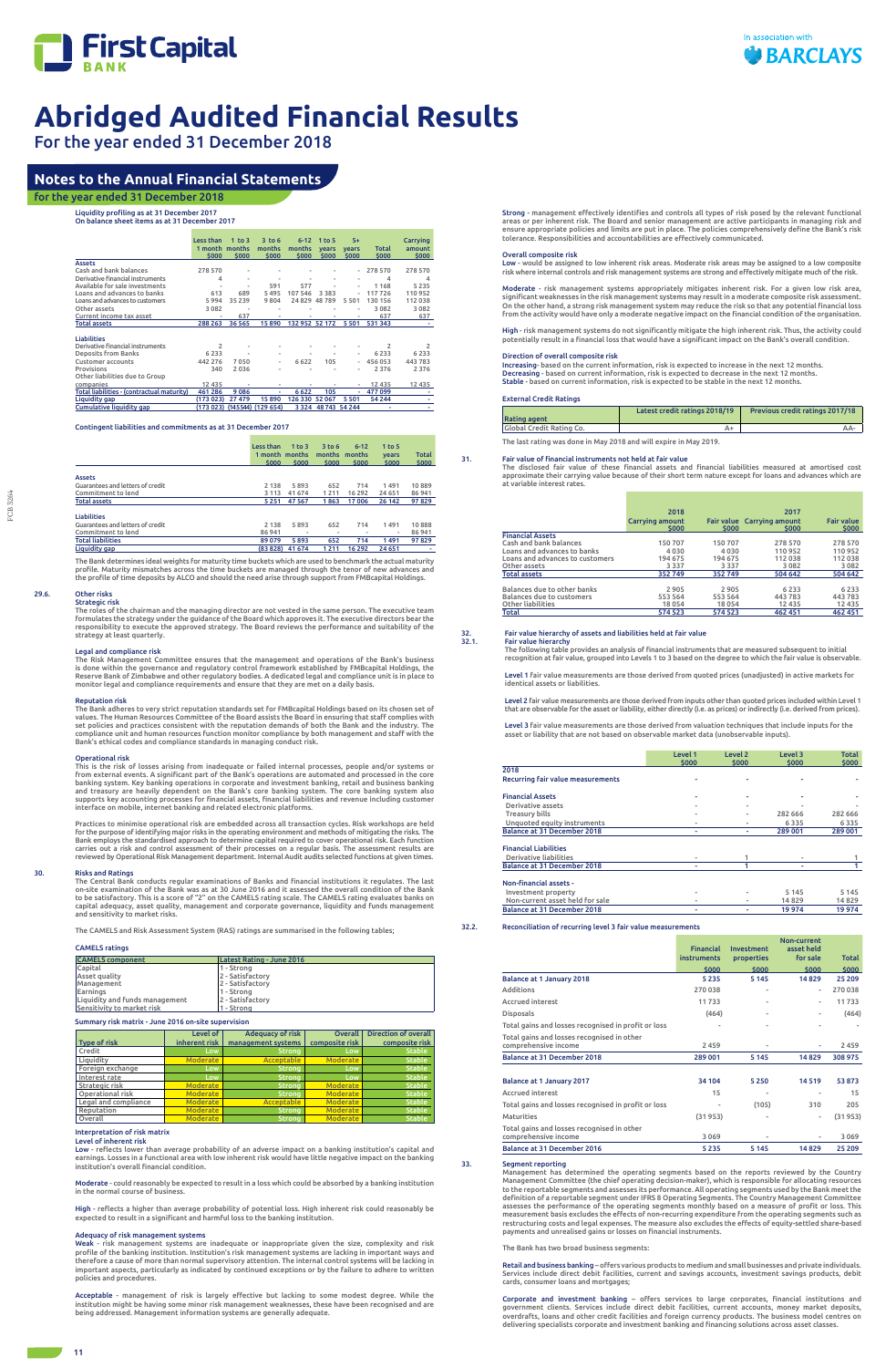

For the year ended 31 December 2018

Liquidity profiling as at 31 December 2017

On balance sheet items as at 31 December 2017

|                                            | Less than               | 1 to $3$ | $3$ to 6        | $6 - 12$        | 1 to 5         | $5+$                  |                | Carrying        |
|--------------------------------------------|-------------------------|----------|-----------------|-----------------|----------------|-----------------------|----------------|-----------------|
|                                            |                         |          |                 |                 |                |                       |                |                 |
|                                            | 1 month months<br>\$000 | \$000    | months<br>\$000 | months<br>\$000 | years<br>\$000 | <b>vears</b><br>\$000 | Total<br>\$000 | amount<br>\$000 |
| <b>Assets</b>                              |                         |          |                 |                 |                |                       |                |                 |
| Cash and bank balances                     | 278 570                 | ۰        | ٠               |                 |                | ٠                     | 278 570        | 278 570         |
|                                            |                         |          |                 |                 |                |                       |                |                 |
| Derivative financial instruments           | 4                       | ۰        | ۰               | ٠               | ۰              | ۰                     | 4              | 4               |
| Available for sale investments             |                         | ۰        | 591             | 577             |                | ٠                     | 1168           | 5 2 3 5         |
| Loans and advances to banks                | 613                     | 689      | 5 4 9 5         | 107 546         | 3 3 8 3        | ٠                     | 117726         | 110 952         |
| Loans and advances to customers            | 5994                    | 35 239   | 9804            | 24829           | 48789          | 5501                  | 130 156        | 112038          |
| Other assets                               | 3 0 8 2                 |          |                 |                 |                |                       | 3082           | 3 0 8 2         |
| Current income tax asset                   |                         | 637      |                 |                 |                |                       | 637            | 637             |
| <b>Total assets</b>                        | 288 263                 | 36 565   | 15890           | 132 952 52 172  |                | 5 5 0 1               | 531343         |                 |
|                                            |                         |          |                 |                 |                |                       |                |                 |
| <b>Liabilities</b>                         |                         |          |                 |                 |                |                       |                |                 |
| Derivative financial instruments           | 2                       | ٠        | ۰               |                 | ٠              |                       | $\overline{2}$ | 2               |
| <b>Deposits from Banks</b>                 | 6 2 3 3                 |          | ۰               | ٠               |                | ٠                     | 6 2 3 3        | 6 2 3 3         |
| Customer accounts                          | 442 276                 | 7050     | ۰               | 6 6 2 2         | 105            | ÷                     | 456 053        | 443783          |
| Provisions                                 | 340                     | 2036     | ٠               | ٠               |                | ٠                     | 2 3 7 6        | 2 3 7 6         |
| Other liabilities due to Group             |                         |          |                 |                 |                |                       |                |                 |
| companies                                  | 12 4 3 5                |          |                 |                 |                |                       | 12 4 3 5       | 12 4 35         |
| Total liabilities - (contractual maturity) | 461 286                 | 9086     | ۰               | 6622            | 105            | ٠                     | 477 099        |                 |
| Liquidity gap                              | (173 023)               | 27 479   | 15890           | 126 330 52 067  |                | 5501                  | 54 244         | ۰               |
| Cumulative liquidity gap                   | (173 023)               | (145544) | (129654)        | 3 3 2 4         |                | 48 743 54 244         | ۰              |                 |

Strategic risk<br>The roles of the chairman and the managing director are not vested in the same person. The executive team<br>formulates the strategy under the guidance of the Board which approves it. The executive directors be strategy at least quarterly.

Contingent liabilities and commitments as at 31 December 2017

The Risk Management Committee ensures that the management and operations of the Bank's business<br>is done within the governance and regulatory control framework established by FMBcapital Holdings, the<br>Reserve Bank of Zimbabw monitor legal and compliance requirements and ensure that they are met on a daily basis.

The Bank adheres to very strict reputation standards set for FMBcapital Holdings based on its chosen set of values. The Human Resources Committee of the Board assists the Board in ensuring that staff complies with set policies and practices consistent with the reputation demands of both the Bank and the industry. The<br>compliance unit and human resources function monitor compliance by both management and staff with the<br>Bank's ethical

|                                  | Less than<br>1 month months<br>\$000 | $1$ to $3$<br>\$000 | 3 <sub>to</sub> 6<br>months<br>\$000 | $6 - 12$<br>months<br>\$000 | $1$ to 5<br>years<br>\$000 | Total<br>\$000 |
|----------------------------------|--------------------------------------|---------------------|--------------------------------------|-----------------------------|----------------------------|----------------|
| <b>Assets</b>                    |                                      |                     |                                      |                             |                            |                |
| Guarantees and letters of credit | 2 1 3 8                              | 5893                | 652                                  | 714                         | 1491                       | 10889          |
| Commitment to lend               | 3 1 1 3                              | 41 674              | 1211                                 | 16 29 2                     | 24 651                     | 86 941         |
| <b>Total assets</b>              | 5251                                 | 47 5 67             | 1863                                 | 17006                       | 26 142                     | 97829          |
| <b>Liabilities</b>               |                                      |                     |                                      |                             |                            |                |
| Guarantees and letters of credit | 2 1 3 8                              | 5893                | 652                                  | 714                         | 1491                       | 10888          |
| Commitment to lend               | 86941                                | ۰                   | $\overline{\phantom{a}}$             | ۰                           | ۰                          | 86 941         |
| <b>Total liabilities</b>         | 89 0 79                              | 5893                | 652                                  | 714                         | 1491                       | 97829          |
| Liquidity gap                    | (83828)                              | 41 674              | 1211                                 | 16 292                      | 24 651                     |                |

The Bank determines ideal weights for maturity time buckets which are used to benchmark the actual maturity profile. Maturity mismatches across the time buckets are managed through the tenor of new advances and the profile of time deposits by ALCO and should the need arise through support from FMBcapital Holdings.

### 29.6. Other risks

Practices to minimise operational risk are embedded across all transaction cycles. Risk workshops are held<br>for the purpose of identifying major risks in the operating environment and methods of mitigating the risks. The<br>Ba carries out a risk and control assessment of their processes on a regular basis. The assessment results are reviewed by Operational Risk Management department. Internal Audit audits selected functions at given times.

The Central Bank conducts regular examinations of Banks and financial institutions it regulates. The last<br>on-site examination of the Bank was as at 30 June 2016 and it assessed the overall condition of the Bank<br>to be satis capital adequacy, asset quality, management and corporate governance, liquidity and funds management and sensitivity to market risks.

#### Legal and compliance risk

#### Reputation risk

o<mark>derate</mark> - could reasonably be expected to result in a loss which could be absorbed by a banking institution in the normal course of business.

#### Operational risk

This is the risk of losses arising from inadequate or failed internal processes, people and/or systems or from external events. A significant part of the Bank's operations are automated and processed in the core banking system. Key banking operations in corporate and investment banking, retail and business banking<br>and treasury are heavily dependent on the Bank's core banking system. The core banking system also<br>supports key accoun interface on mobile, internet banking and related electronic platforms.

High - risk management systems do not significantly mitigate the high inherent risk. Thus, the activity could potentially result in a financial loss that would have a significant impact on the Bank's overall condition.

31. Fair value of financial instruments not held at fair value The disclosed fair value of these financial assets and financial liabilities measured at amortised cost approximate their carrying value because of their short term nature except for loans and advances which are variable interest rates

#### 30. Risks and Ratings

The CAMELS and Risk Assessment System (RAS) ratings are summarised in the following tables;

### CAMELS ratings

| <b>CAMELS</b> component        | Latest Rating - June 2016 |
|--------------------------------|---------------------------|
| Capital                        | l 1 - Strona              |
| Asset quality                  | 2 - Satisfactory          |
| <b>Management</b>              | 2 - Satisfactory          |
| Earnings                       | l 1 - Strona              |
| Liquidity and funds management | 2 - Satisfactory          |
| Sensitivity to market risk     | 1 - Strong                |

#### Summary risk matrix - June 2016 on-site supervision

| <b>Type of risk</b>  | Level of<br>inherent risk | <b>Adequacy of risk</b><br>management systems | Overall<br>composite risk | <b>Direction of overall</b><br>composite risk |
|----------------------|---------------------------|-----------------------------------------------|---------------------------|-----------------------------------------------|
| Credit               | Low                       | <b>Strong</b>                                 | Low                       | <b>Stable</b>                                 |
| Liquidity            | <b>Moderate</b>           | Acceptable                                    | <b>Moderate</b>           | <b>Stable</b>                                 |
| Foreign exchange     | Low                       | <b>Strong</b>                                 | Low                       | <b>Stable</b>                                 |
| Interest rate        | Low                       | <b>Strong</b>                                 | Low                       | <b>Stable</b>                                 |
| Strategic risk       | <b>Moderate</b>           | <b>Strong</b>                                 | <b>Moderate</b>           | <b>Stable</b>                                 |
| Operational risk     | <b>Moderate</b>           | <b>Strong</b>                                 | <b>Moderate</b>           | <b>Stable</b>                                 |
| Legal and compliance | <b>Moderate</b>           | Acceptable                                    | <b>Moderate</b>           | <b>Stable</b>                                 |
| Reputation           | <b>Moderate</b>           | <b>Strong</b>                                 | <b>Moderate</b>           | <b>Stable</b>                                 |
| Overall              | <b>Moderate</b>           | <b>Strong</b>                                 | <b>Moderate</b>           | <b>Stable</b>                                 |

#### Interpretation of risk matrix Level of inherent risk

Low - reflects lower than average probability of an adverse impact on a banking institution's capital and earnings. Losses in a functional area with low inherent risk would have little negative impact on the banking institution's overall financial condition.

High - reflects a higher than average probability of potential loss. High inherent risk could reasonably be expected to result in a significant and harmful loss to the banking institution.

#### Adequacy of risk management systems

Weak - risk management systems are inadequate or inappropriate given the size, complexity and risk profile of the banking institution. Institution's risk management systems are lacking in important ways and therefore a cause of more than normal supervisory attention. The internal control systems will be lacking in important aspects, particularly as indicated by continued exceptions or by the failure to adhere to written policies and procedures.

Acceptable - management of risk is largely effective but lacking to some modest degree. While the institution might be having some minor risk management weaknesses, these have been recognised and are being addressed. Management information systems are generally adequate.

Strong - management effectively identifies and controls all types of risk posed by the relevant functional areas or per inherent risk. The Board and senior management are active participants in managing risk and ensure appropriate policies and limits are put in place. The policies comprehensively define the Bank's risk tolerance. Responsibilities and accountabilities are effectively communicated.

#### Overall composite risk

Low - would be assigned to low inherent risk areas. Moderate risk areas may be assigned to a low composite risk where internal controls and risk management systems are strong and effectively mitigate much of the risk.

Moderate - risk management systems appropriately mitigates inherent risk. For a given low risk area, significant weaknesses in the risk management systems may result in a moderate composite risk assessment. On the other hand, a strong risk management system may reduce the risk so that any potential financial loss from the activity would have only a moderate negative impact on the financial condition of the organisation.

#### Direction of overall composite risk

Increasing- based on the current information, risk is expected to increase in the next 12 months. Decreasing - based on current information, risk is expected to decrease in the next 12 months. Stable - based on current information, risk is expected to be stable in the next 12 months.

#### External Credit Ratings

| Rating agent                    | Latest credit ratings 2018/19 | <b>Previous credit ratings 2017/18</b> |
|---------------------------------|-------------------------------|----------------------------------------|
| <b>Global Credit Rating Co.</b> |                               | AA-                                    |

The last rating was done in May 2018 and will expire in May 2019.

|                                 | 2018<br><b>Carrying amount</b><br>\$000 | \$000   | 2017<br><b>Fair value</b> Carrying amount<br>\$000 | <b>Fair value</b><br>\$000 |
|---------------------------------|-----------------------------------------|---------|----------------------------------------------------|----------------------------|
| <b>Financial Assets</b>         |                                         |         |                                                    |                            |
| Cash and bank balances          | 150707                                  | 150 707 | 278 570                                            | 278 570                    |
| Loans and advances to banks     | 4030                                    | 4030    | 110 952                                            | 110 952                    |
| Loans and advances to customers | 194 675                                 | 194 675 | 112 038                                            | 112 038                    |
| Other assets                    | 3 3 3 7                                 | 3 3 3 7 | 3082                                               | 3 0 8 2                    |
| <b>Total assets</b>             | 352749                                  | 352749  | 504 642                                            | 504 642                    |
|                                 |                                         |         |                                                    |                            |
| Balances due to other banks     | 2905                                    | 2905    | 6 2 3 3                                            | 6 2 3 3                    |
| Balances due to customers       | 553 564                                 | 553 564 | 443 783                                            | 443 783                    |
| Other liabilities               | 18054                                   | 18054   | 12 4 3 5                                           | 12 4 35                    |
| Total                           | 574 523                                 | 574 523 | 462 451                                            | 462 451                    |

32. Fair value hierarchy of assets and liabilities held at fair value Fair value hierarchy The following table provides an analysis of financial instruments that are measured subsequent to initial

recognition at fair value, grouped into Levels 1 to 3 based on the degree to which the fair value is observable.

Level 1 fair value measurements are those derived from quoted prices (unadjusted) in active markets for identical assets or liabilities.

Level 2 fair value measurements are those derived from inputs other than quoted prices included within Level 1 that are observable for the asset or liability, either directly (i.e. as prices) or indirectly (i.e. derived from prices).

Level 3 fair value measurements are those derived from valuation techniques that include inputs for the asset or liability that are not based on observable market data (unobservable inputs).

| Level 1 | Level <sub>2</sub> | Level 3        | <b>Total</b> |
|---------|--------------------|----------------|--------------|
|         |                    |                | \$000        |
|         |                    |                |              |
|         |                    |                |              |
| ٠       | ٠                  | ۰              |              |
| ۰       | ۰                  | ۰              |              |
| ۰       | $\blacksquare$     | 282 666        | 282 666      |
| ۰       | ۰                  | 6335           | 6335         |
| ٠       | ۰                  | 289 001        | 289 001      |
|         |                    |                |              |
| ۰       |                    | $\blacksquare$ |              |
| ٠       |                    | ٠              |              |
|         |                    |                |              |
|         |                    | 5 1 4 5        | 5 1 4 5      |
| ۰       | ٠                  | 14829          | 14829        |
| ۰       |                    | 19974          | 19974        |
|         | \$000              | \$000          | \$000        |

#### 32.2. Reconciliation of recurring level 3 fair value measurements

|                                                                    | <b>Financial</b><br>instruments | Investment<br>properties | Non-current<br>asset held<br>for sale | <b>Total</b> |
|--------------------------------------------------------------------|---------------------------------|--------------------------|---------------------------------------|--------------|
|                                                                    | \$000                           | \$000                    | \$000                                 | \$000        |
| Balance at 1 January 2018                                          | 5235                            | 5 1 4 5                  | 14829                                 | 25 209       |
| Additions                                                          | 270038                          | $\overline{\phantom{0}}$ | ٠                                     | 270038       |
| <b>Accrued interest</b>                                            | 11733                           | $\overline{\phantom{0}}$ | ٠                                     | 11733        |
| <b>Disposals</b>                                                   | (464)                           | $\overline{\phantom{0}}$ | ۰                                     | (464)        |
| Total gains and losses recognised in profit or loss                | $\blacksquare$                  | $\overline{\phantom{0}}$ | ۰                                     |              |
| Total gains and losses recognised in other<br>comprehensive income | 2459                            | ۰                        | ۰                                     | 2459         |
| Balance at 31 December 2018                                        | 289 001                         | 5 1 4 5                  | 14829                                 | 308 975      |
| Balance at 1 January 2017                                          | 34 104                          | 5250                     | 14 5 19                               | 53873        |

| Balance at 31 December 2016                                        | 5235                     | 5 1 4 5 | 14829          | 25 209  |
|--------------------------------------------------------------------|--------------------------|---------|----------------|---------|
| Total gains and losses recognised in other<br>comprehensive income | 3069                     |         | $\blacksquare$ | 3069    |
| Maturities                                                         | (31953)                  |         | $\sim$         | (31953) |
| Total gains and losses recognised in profit or loss                | $\overline{\phantom{a}}$ | (105)   | 310            | 205     |
| <b>Accrued interest</b>                                            | 15                       | $\,$    | $\,$           | 15      |

33. Segment reporting Management has determined the operating segments based on the reports reviewed by the Country Management Committee (the chief operating decision-maker), which is responsible for allocating resources to the reportable segments and assesses its performance. All operating segments used by the Bank meet the definition of a reportable segment under IFRS 8 Operating Segments. The Country Management Committee assesses the performance of the operating segments monthly based on a measure of profit or loss. This measurement basis excludes the effects of non-recurring expenditure from the operating segments such as restructuring costs and legal expenses. The measure also excludes the effects of equity-settled share-based payments and unrealised gains or losses on financial instruments.

The Bank has two broad business segments:

Retail and business banking – offers various products to medium and small businesses and private individuals. Services include direct debit facilities, current and savings accounts, investment savings products, debit cards, consumer loans and mortgages;

Corporate and investment banking – offers services to large corporates, financial institutions and government clients. Services include direct debit facilities, current accounts, money market deposits, overdrafts, loans and other credit facilities and foreign currency products. The business model centres on delivering specialists corporate and investment banking and financing solutions across asset classes.

# **Notes to the Annual Financial Statements**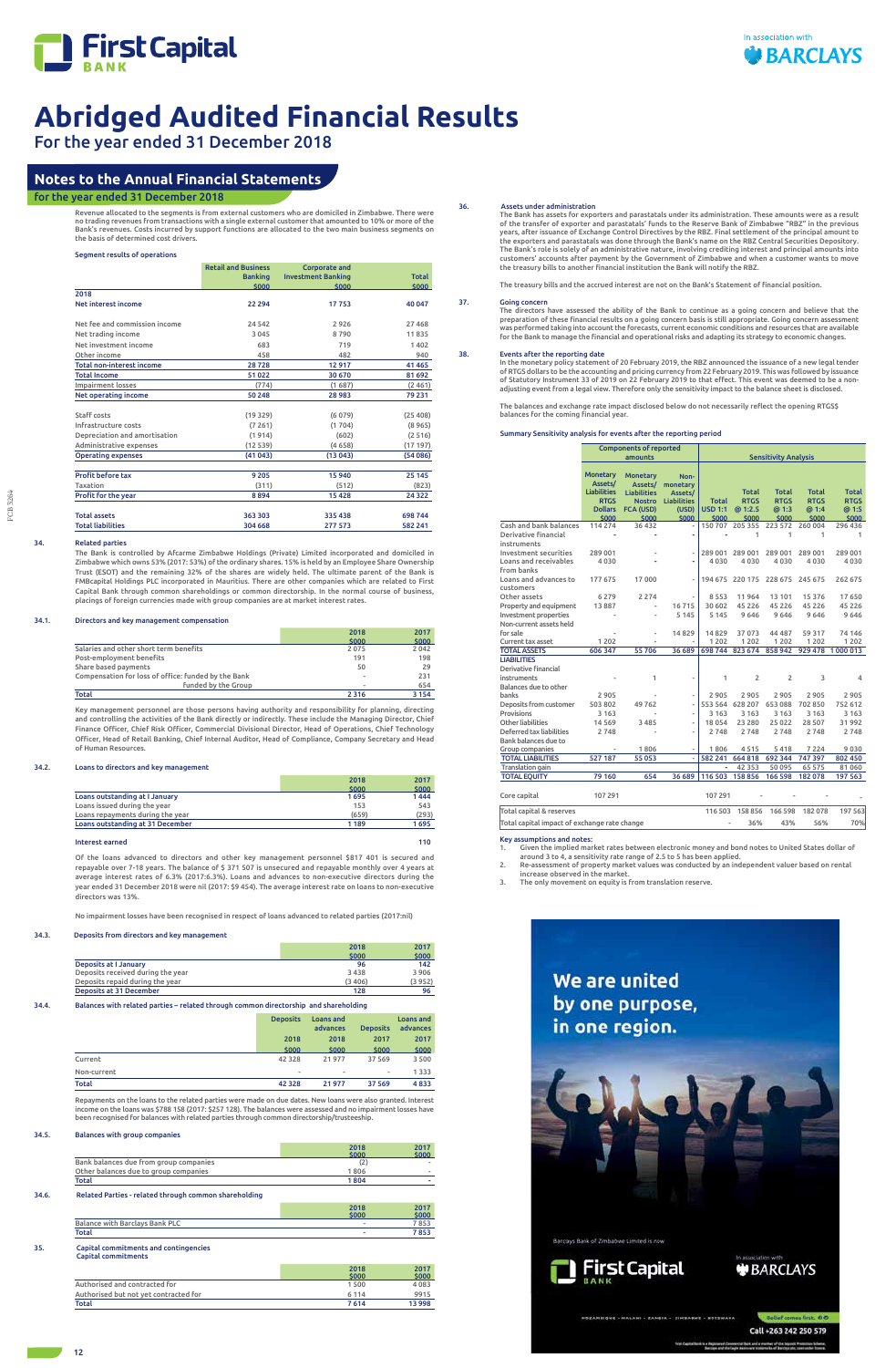

# For the year ended 31 December 2018

Revenue allocated to the segments is from external customers who are domiciled in Zimbabwe. There were no trading revenues from transactions with a single external customer that amounted to 10% or more of the Bank's revenues. Costs incurred by support functions are allocated to the two main business segments on the basis of determined cost drivers.

#### Segment results of operations

|                                  | <b>Retail and Business</b><br><b>Banking</b> | <b>Corporate and</b><br><b>Investment Banking</b> | <b>Total</b> |
|----------------------------------|----------------------------------------------|---------------------------------------------------|--------------|
|                                  | \$000                                        | \$000                                             | \$000        |
| 2018                             |                                              |                                                   |              |
| <b>Net interest income</b>       | 22 294                                       | 17753                                             | 40 047       |
| Net fee and commission income    | 24 542                                       | 2926                                              | 27 4 68      |
| Net trading income               | 3 0 4 5                                      | 8790                                              | 11835        |
| Net investment income            | 683                                          | 719                                               | 1402         |
| Other income                     | 458                                          | 482                                               | 940          |
| <b>Total non-interest income</b> | 28728                                        | 12917                                             | 41 4 65      |
| <b>Total Income</b>              | 51 022                                       | 30 670                                            | 81 692       |
| <b>Impairment losses</b>         | (774)                                        | (1687)                                            | (2461)       |
| Net operating income             | 50 248                                       | 28983                                             | 79 231       |
| Staff costs                      | (19329)                                      | (6079)                                            | (25 408)     |
| Infrastructure costs             | (7261)                                       | (1704)                                            | (8965)       |
| Depreciation and amortisation    | (1914)                                       | (602)                                             | (2516)       |
| Administrative expenses          | (12539)                                      | (4658)                                            | (17197)      |
| <b>Operating expenses</b>        | (41043)                                      | (13043)                                           | (54086)      |
| <b>Profit before tax</b>         | 9 2 0 5                                      | 15940                                             | 25 145       |
| Taxation                         | (311)                                        | (512)                                             | (823)        |
| Profit for the year              | 8894                                         | 15428                                             | 24 3 22      |
| <b>Total assets</b>              | 363 303                                      | 335 438                                           | 698 744      |
| <b>Total liabilities</b>         | 304 668                                      | 277 573                                           | 582 241      |

### 34. Related parties

The Bank is controlled by Afcarme Zimbabwe Holdings (Private) Limited incorporated and domiciled in Zimbabwe which owns 53% (2017: 53%) of the ordinary shares. 15% is held by an Employee Share Ownership Trust (ESOT) and the remaining 32% of the shares are widely held. The ultimate parent of the Bank is FMBcapital Holdings PLC incorporated in Mauritius. There are other companies which are related to First Capital Bank through common shareholdings or common directorship. In the normal course of business, placings of foreign currencies made with group companies are at market interest rates.

#### 34.1. Directors and key management compensation

|                                                     | 2018                     | 2017    |
|-----------------------------------------------------|--------------------------|---------|
|                                                     | \$000                    | \$000   |
| Salaries and other short term benefits              | 2075                     | 2042    |
| Post-employment benefits                            | 191                      | 198     |
| Share based payments                                | 50                       | 29      |
| Compensation for loss of office: funded by the Bank | $\overline{\phantom{a}}$ | 231     |
| funded by the Group                                 | $\overline{\phantom{a}}$ | 654     |
| Total                                               | 2 3 1 6                  | 3 1 5 4 |

Key management personnel are those persons having authority and responsibility for planning, directing and controlling the activities of the Bank directly or indirectly. These include the Managing Director, Chief Finance Officer, Chief Risk Officer, Commercial Divisional Director, Head of Operations, Chief Technology Officer, Head of Retail Banking, Chief Internal Auditor, Head of Compliance, Company Secretary and Head of Human Resources.

#### 34.2. Loans to directors and key management

The Bank has assets for exporters and parastatals under its administration. These amounts were as a result<br>of the transfer of exporter and parastatals' funds to the Reserve Bank of Zimbabwe "RBZ" in the previous<br>years, aft the exporters and parastatals was done through the Bank's name on the RBZ Central Securities Depository. The Bank's role is solely of an administrative nature, involving crediting interest and principal amounts into customers' accounts after payment by the Government of Zimbabwe and when a customer wants to move the treasury bills to another financial institution the Bank will notify the RBZ.

37. Going concern The directors have assessed the ability of the Bank to continue as a going concern and believe that the preparation of these financial results on a going concern basis is still appropriate. Going concern assessment was performed taking into account the forecasts, current economic conditions and resources that are available<br>for the Bank to manage the financial and operational risks and adapting its strategy to economic changes.

|                                  | 2018    | 2017  |
|----------------------------------|---------|-------|
|                                  | \$000   | \$000 |
| Loans outstanding at I January   | 1695    | 1444  |
| Loans issued during the year     | 153     | 543   |
| Loans repayments during the year | (659)   | (293) |
| Loans outstanding at 31 December | 1 1 8 9 | 1695  |
|                                  |         |       |

#### Interest earned 110

Of the loans advanced to directors and other key management personnel \$817 401 is secured and repayable over 7-18 years. The balance of \$ 371 507 is unsecured and repayable monthly over 4 years at average interest rates of 6.3% (2017:6.3%). Loans and advances to non-executive directors during the year ended 31 December 2018 were nil (2017: \$9 454). The average interest rate on loans to non-executive directors was 13%.

No impairment losses have been recognised in respect of loans advanced to related parties (2017:nil)

#### 34.3. Deposits from directors and key management

|                                   | 2018   | 2017   |
|-----------------------------------|--------|--------|
|                                   | \$000  | \$000  |
| <b>Deposits at I January</b>      | 96     | 142    |
| Deposits received during the year | 3438   | 3906   |
| Deposits repaid during the year   | (3406) | (3952) |
| Deposits at 31 December           | 128    | 96     |

#### 34.4. Balances with related parties – related through common directorship and shareholding

| _______     | .               |                       |                 |                       |
|-------------|-----------------|-----------------------|-----------------|-----------------------|
|             | <b>Deposits</b> | Loans and<br>advances | <b>Deposits</b> | Loans and<br>advances |
|             | 2018            | 2018                  | 2017            | 2017                  |
|             | \$000           | \$000                 | \$000           | \$000                 |
| Current     | 42 3 28         | 21977                 | 37 569          | 3 500                 |
| Non-current | ۰               | ٠                     | $\blacksquare$  | 1 3 3 3               |
| Total       | 42 3 28         | 21977                 | 37 5 69         | 4833                  |

Repayments on the loans to the related parties were made on due dates. New loans were also granted. Interest income on the loans was \$788 158 (2017: \$257 128). The balances were assessed and no impairment losses have been recognised for balances with related parties through common directorship/trusteeship.

### 34.5. Balances with group companies

|                                        | 2018<br>\$000 | 2017<br>\$000 |
|----------------------------------------|---------------|---------------|
| Bank balances due from group companies | (2            |               |
| Other balances due to group companies  | 1806          | -             |
| Total                                  | 1804          | -             |

#### 34.6. Related Parties - related through common shareholding

|                                | 2018<br>\$000 | 2017<br>5000 |
|--------------------------------|---------------|--------------|
| Balance with Barclays Bank PLC | ٠             |              |
| Total                          |               | 853          |

#### 35. Capital commitments and contingencies Capital commitments

|                                       | 2018    | 2017   |
|---------------------------------------|---------|--------|
|                                       | \$000   | \$000  |
| Authorised and contracted for         | 1 500   | 4083   |
| Authorised but not yet contracted for | 6 1 1 4 | 9915   |
| Total                                 | 7614    | 13 998 |

#### 36. Assets under administration

The treasury bills and the accrued interest are not on the Bank's Statement of financial position.

#### 38. Events after the reporting date

In the monetary policy statement of 20 February 2019, the RBZ announced the issuance of a new legal tender of RTGS dollars to be the accounting and pricing currency from 22 February 2019. This was followed by issuance of Statutory Instrument 33 of 2019 on 22 February 2019 to that effect. This event was deemed to be a nonadjusting event from a legal view. Therefore only the sensitivity impact to the balance sheet is disclosed.

The balances and exchange rate impact disclosed below do not necessarily reflect the opening RTGS\$ balances for the coming financial year.

#### Summary Sensitivity analysis for events after the reporting period

|                          |                            | <b>Components of reported</b>       |                               |                          |                 |                             |              |              |
|--------------------------|----------------------------|-------------------------------------|-------------------------------|--------------------------|-----------------|-----------------------------|--------------|--------------|
|                          |                            | amounts                             |                               |                          |                 | <b>Sensitivity Analysis</b> |              |              |
|                          |                            |                                     |                               |                          |                 |                             |              |              |
|                          | <b>Monetary</b><br>Assets/ | <b>Monetary</b>                     | Non-                          |                          |                 |                             |              |              |
|                          | <b>Liabilities</b>         | Assets/                             | monetary                      |                          | Total           | <b>Total</b>                | <b>Total</b> | <b>Total</b> |
|                          | <b>RTGS</b>                | <b>Liabilities</b><br><b>Nostro</b> | Assets/<br><b>Liabilities</b> | <b>Total</b>             | <b>RTGS</b>     | <b>RTGS</b>                 | <b>RTGS</b>  | <b>RTGS</b>  |
|                          | <b>Dollars</b>             | <b>FCA (USD)</b>                    | (USD)                         | <b>USD 1:1</b>           | @ 1:2.5         | @ 1:3                       | @ 1:4        | @ 1:5        |
|                          | \$000                      | \$000                               | \$000                         | \$000                    | \$000           | \$000                       | \$000        | \$000        |
| Cash and bank balances   | 114 274                    | 36 4 32                             |                               | 150707                   | 205 355         | 223 572                     | 260 004      | 296 436      |
| Derivative financial     |                            | $\overline{\phantom{a}}$            |                               | $\overline{\phantom{a}}$ | 1               | 1                           | 1            | 1            |
| instruments              |                            |                                     |                               |                          |                 |                             |              |              |
| Investment securities    | 289 001                    |                                     |                               | 289 001                  | 289 001         | 289 001                     | 289 001      | 289 001      |
| Loans and receivables    | 4030                       |                                     |                               | 4030                     | 4030            | 4 0 3 0                     | 4030         | 4030         |
| from banks               |                            |                                     |                               |                          |                 |                             |              |              |
| Loans and advances to    | 177 675                    | 17000                               |                               |                          | 194 675 220 175 | 228 675                     | 245 675      | 262 675      |
| customers                |                            |                                     |                               |                          |                 |                             |              |              |
| Other assets             | 6 2 7 9                    | 2 2 7 4                             |                               | 8553                     | 11964           | 13 101                      | 15 3 7 6     | 17650        |
| Property and equipment   | 13887                      | $\overline{\phantom{a}}$            | 16715                         | 30 602                   | 45 2 2 6        | 45 2 2 6                    | 45 2 2 6     | 45 2 2 6     |
| Investment properties    |                            |                                     | 5 1 4 5                       | 5 1 4 5                  | 9646            | 9646                        | 9646         | 9646         |
| Non-current assets held  |                            |                                     |                               |                          |                 |                             |              |              |
| for sale                 |                            |                                     | 14829                         | 14829                    | 37 073          | 44 487                      | 59 317       | 74 14 6      |
| Current tax asset        | 1 2 0 2                    |                                     |                               | 1 2 0 2                  | 1 2 0 2         | 1 2 0 2                     | 1 2 0 2      | 1 2 0 2      |
| <b>TOTAL ASSETS</b>      | 606 347                    | 55 706                              | 36 689                        |                          | 698 744 823 674 | 858 942                     | 929 478      | 1000013      |
| <b>LIABILITIES</b>       |                            |                                     |                               |                          |                 |                             |              |              |
| Derivative financial     |                            |                                     |                               |                          |                 |                             |              |              |
| instruments              |                            | 1                                   |                               | 1                        | $\overline{2}$  | 2                           | 3            | 4            |
| Balances due to other    |                            |                                     |                               |                          |                 |                             |              |              |
| banks                    | 2 9 0 5                    |                                     |                               | 2905                     | 2905            | 2905                        | 2 9 0 5      | 2905         |
| Deposits from customer   | 503 802                    | 49762                               |                               |                          | 553 564 628 207 | 653088                      | 702 850      | 752 612      |
| Provisions               | 3 1 6 3                    | $\overline{\phantom{a}}$            |                               | 3 1 6 3                  | 3 1 6 3         | 3 1 6 3                     | 3 1 6 3      | 3 1 6 3      |
| Other liabilities        | 14 5 69                    | 3 4 8 5                             |                               | 18054                    | 23 280          | 25 0 22                     | 28 507       | 31992        |
| Deferred tax liabilities | 2748                       |                                     |                               | 2748                     | 2748            | 2748                        | 2748         | 2748         |
| Bank balances due to     |                            |                                     |                               |                          |                 |                             |              |              |
| Group companies          |                            | 1806                                |                               | 1806                     | 4515            | 5418                        | 7 2 2 4      | 9030         |
| <b>TOTAL LIABILITIES</b> | 527 187                    | 55 0 53                             | $\overline{\phantom{a}}$      | 582 241                  | 664818          | 692 344                     | 747 397      | 802 450      |
| Translation gain         |                            |                                     |                               |                          | 42 3 5 3        | 50 095                      | 65 575       | 81 060       |
| <b>TOTAL EQUITY</b>      | 79 160                     | 654                                 | 36 689                        |                          | 116 503 158 856 | 166 598                     | 182 078      | 197 563      |
| Core capital             | 107 291                    |                                     |                               | 107 291                  |                 |                             |              |              |
|                          |                            |                                     |                               |                          |                 |                             |              |              |
| Total capital & reserves |                            |                                     |                               | 116 503                  | 158 856         | 166 598                     | 182078       | 197 563      |

| Total capital impact of exchange rate change | 36% | 43% | 56%                                | 70% |
|----------------------------------------------|-----|-----|------------------------------------|-----|
| jiotal capital & reserves                    |     |     | 116503 158856 166598 182078 197563 |     |

Key assumptions and notes:

1. Given the implied market rates between electronic money and bond notes to United States dollar of

around 3 to 4, a sensitivity rate range of 2.5 to 5 has been applied. 2. Re-assessment of property market values was conducted by an independent valuer based on rental

increase observed in the market.

The only movement on equity is from translation reserve.



## **Notes to the Annual Financial Statements**